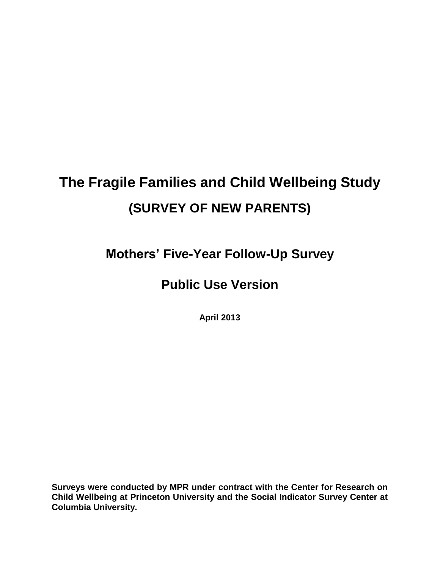# **The Fragile Families and Child Wellbeing Study (SURVEY OF NEW PARENTS)**

**Mothers' Five-Year Follow-Up Survey**

# **Public Use Version**

**April 2013**

**Surveys were conducted by MPR under contract with the Center for Research on Child Wellbeing at Princeton University and the Social Indicator Survey Center at Columbia University.**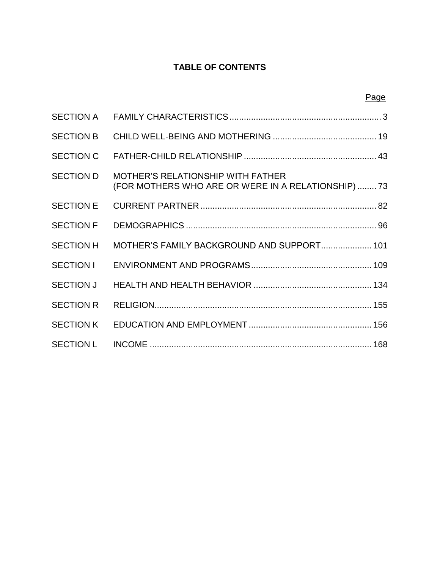# **TABLE OF CONTENTS**

Page

| <b>SECTION A</b>                                                                                                    |  |
|---------------------------------------------------------------------------------------------------------------------|--|
| <b>SECTION B</b>                                                                                                    |  |
| <b>SECTION C</b>                                                                                                    |  |
| <b>SECTION D</b><br><b>MOTHER'S RELATIONSHIP WITH FATHER</b><br>(FOR MOTHERS WHO ARE OR WERE IN A RELATIONSHIP)  73 |  |
| <b>SECTION E</b>                                                                                                    |  |
| <b>SECTION F</b>                                                                                                    |  |
| MOTHER'S FAMILY BACKGROUND AND SUPPORT 101<br><b>SECTION H</b>                                                      |  |
| SECTION I                                                                                                           |  |
|                                                                                                                     |  |
| <b>SECTION R</b>                                                                                                    |  |
| <b>SECTION K</b>                                                                                                    |  |
| <b>SECTION L</b>                                                                                                    |  |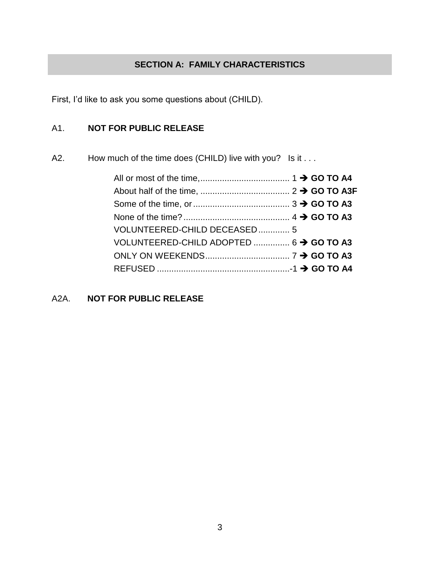# **SECTION A: FAMILY CHARACTERISTICS**

First, I'd like to ask you some questions about (CHILD).

# A1. **NOT FOR PUBLIC RELEASE**

A2. How much of the time does (CHILD) live with you? Is it . . .

| VOLUNTEERED-CHILD DECEASED 5            |  |  |  |
|-----------------------------------------|--|--|--|
| VOLUNTEERED-CHILD ADOPTED  6 → GO TO A3 |  |  |  |
|                                         |  |  |  |
|                                         |  |  |  |

A2A. **NOT FOR PUBLIC RELEASE**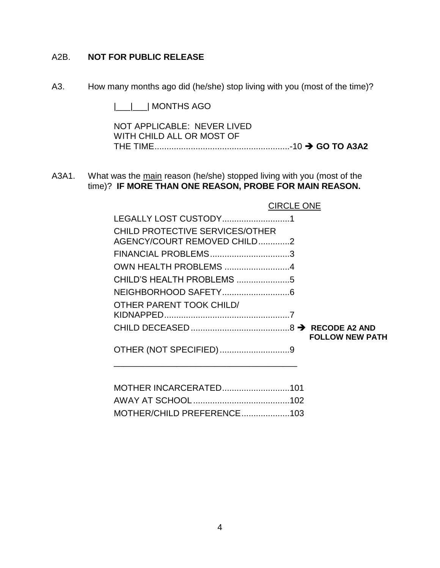# A2B. **NOT FOR PUBLIC RELEASE**

A3. How many months ago did (he/she) stop living with you (most of the time)?

|\_\_\_|\_\_\_| MONTHS AGO

NOT APPLICABLE: NEVER LIVED WITH CHILD ALL OR MOST OF THE TIME........................................................-10 **GO TO A3A2**

A3A1. What was the main reason (he/she) stopped living with you (most of the time)? **IF MORE THAN ONE REASON, PROBE FOR MAIN REASON.**

| LEGALLY LOST CUSTODY1                                          |                        |
|----------------------------------------------------------------|------------------------|
| CHILD PROTECTIVE SERVICES/OTHER<br>AGENCY/COURT REMOVED CHILD2 |                        |
| FINANCIAL PROBLEMS3                                            |                        |
| OWN HEALTH PROBLEMS 4                                          |                        |
| CHILD'S HEALTH PROBLEMS 5                                      |                        |
|                                                                |                        |
| <b>OTHER PARENT TOOK CHILD/</b>                                |                        |
|                                                                | <b>FOLLOW NEW PATH</b> |
| OTHER (NOT SPECIFIED)9                                         |                        |

CIRCLE ONE

| MOTHER/CHILD PREFERENCE103 |  |
|----------------------------|--|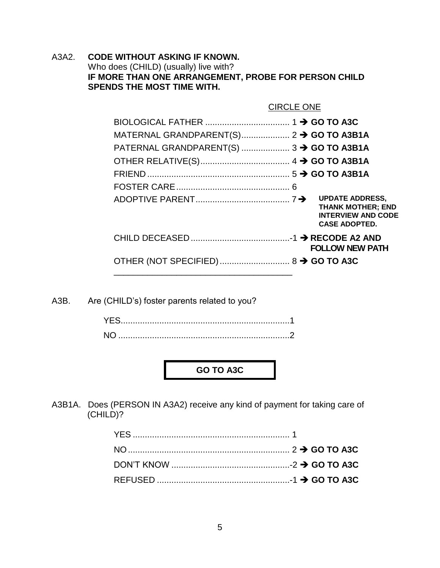A3A2. **CODE WITHOUT ASKING IF KNOWN.** Who does (CHILD) (usually) live with? **IF MORE THAN ONE ARRANGEMENT, PROBE FOR PERSON CHILD SPENDS THE MOST TIME WITH.**

|                                                     | <b>CIRCLE ONE</b>                                                             |
|-----------------------------------------------------|-------------------------------------------------------------------------------|
|                                                     |                                                                               |
|                                                     |                                                                               |
| PATERNAL GRANDPARENT(S) $3 \rightarrow$ GO TO A3B1A |                                                                               |
|                                                     |                                                                               |
|                                                     |                                                                               |
|                                                     |                                                                               |
|                                                     | <b>THANK MOTHER; END</b><br><b>INTERVIEW AND CODE</b><br><b>CASE ADOPTED.</b> |
|                                                     | <b>FOLLOW NEW PATH</b>                                                        |
|                                                     |                                                                               |

A3B. Are (CHILD's) foster parents related to you?

| <b>NC</b> |  |
|-----------|--|

**GO TO A3C**

A3B1A. Does (PERSON IN A3A2) receive any kind of payment for taking care of (CHILD)?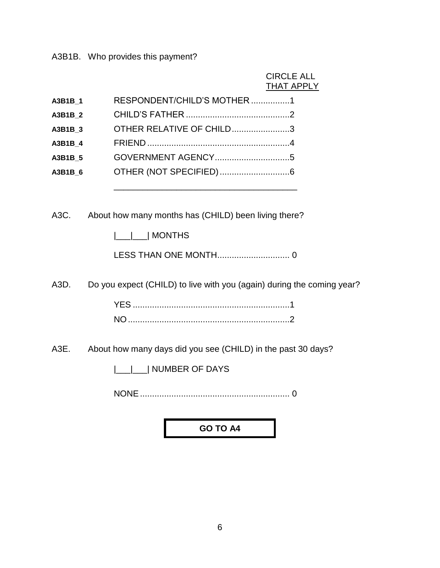A3B1B. Who provides this payment?

# CIRCLE ALL **THAT APPLY**

| A3B1B 1 | RESPONDENT/CHILD'S MOTHER 1 |
|---------|-----------------------------|
| A3B1B 2 |                             |
| A3B1B 3 | OTHER RELATIVE OF CHILD3    |
| A3B1B 4 |                             |
| A3B1B 5 |                             |
| A3B1B 6 |                             |
|         |                             |

A3C. About how many months has (CHILD) been living there?

|\_\_\_|\_\_\_| MONTHS

LESS THAN ONE MONTH.............................. 0

A3D. Do you expect (CHILD) to live with you (again) during the coming year?

A3E. About how many days did you see (CHILD) in the past 30 days?

|\_\_\_|\_\_\_| NUMBER OF DAYS

NONE.............................................................. 0

**GO TO A4**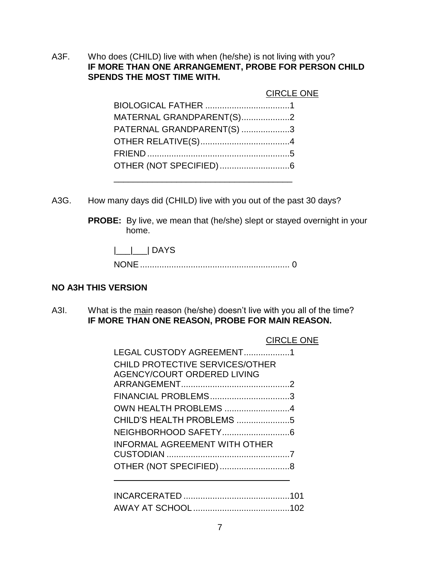A3F. Who does (CHILD) live with when (he/she) is not living with you? **IF MORE THAN ONE ARRANGEMENT, PROBE FOR PERSON CHILD SPENDS THE MOST TIME WITH.**

|                           | <b>CIRCLE ONE</b> |
|---------------------------|-------------------|
|                           |                   |
| MATERNAL GRANDPARENT(S)2  |                   |
| PATERNAL GRANDPARENT(S) 3 |                   |
|                           |                   |
|                           |                   |
|                           |                   |
|                           |                   |

A3G. How many days did (CHILD) live with you out of the past 30 days?

**PROBE:** By live, we mean that (he/she) slept or stayed overnight in your home.

|\_\_\_|\_\_\_| DAYS

NONE.............................................................. 0

# **NO A3H THIS VERSION**

A3I. What is the main reason (he/she) doesn't live with you all of the time? **IF MORE THAN ONE REASON, PROBE FOR MAIN REASON.**

# CIRCLE ONE

| LEGAL CUSTODY AGREEMENT1               |  |
|----------------------------------------|--|
| <b>CHILD PROTECTIVE SERVICES/OTHER</b> |  |
| <b>AGENCY/COURT ORDERED LIVING</b>     |  |
|                                        |  |
| FINANCIAL PROBLEMS3                    |  |
| OWN HEALTH PROBLEMS 4                  |  |
| CHILD'S HEALTH PROBLEMS 5              |  |
|                                        |  |
| <b>INFORMAL AGREEMENT WITH OTHER</b>   |  |
|                                        |  |
|                                        |  |
|                                        |  |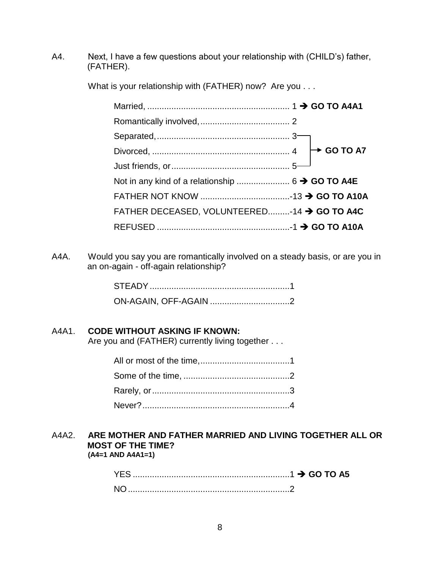A4. Next, I have a few questions about your relationship with (CHILD's) father, (FATHER).

What is your relationship with (FATHER) now? Are you . . .

| FATHER DECEASED, VOLUNTEERED-14 > GO TO A4C |  |
|---------------------------------------------|--|
|                                             |  |

A4A. Would you say you are romantically involved on a steady basis, or are you in an on-again - off-again relationship?

# A4A1. **CODE WITHOUT ASKING IF KNOWN:**

Are you and (FATHER) currently living together . . .

#### A4A2. **ARE MOTHER AND FATHER MARRIED AND LIVING TOGETHER ALL OR MOST OF THE TIME? (A4=1 AND A4A1=1)**

YES .................................................................1 **GO TO A5** NO...................................................................2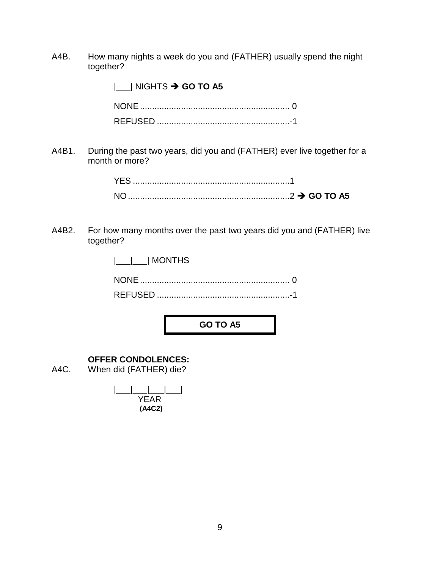A4B. How many nights a week do you and (FATHER) usually spend the night together?

|\_\_\_| NIGHTS **GO TO A5**

A4B1. During the past two years, did you and (FATHER) ever live together for a month or more?

| $\ldots$ GO TO A5 |
|-------------------|

A4B2. For how many months over the past two years did you and (FATHER) live together?

| $ $ <sub>___</sub>  ___  MONTHS |  |
|---------------------------------|--|
|                                 |  |
|                                 |  |

**GO TO A5**

# **OFFER CONDOLENCES:**

A4C. When did (FATHER) die?

| YEAR   |  |
|--------|--|
| (A4C2) |  |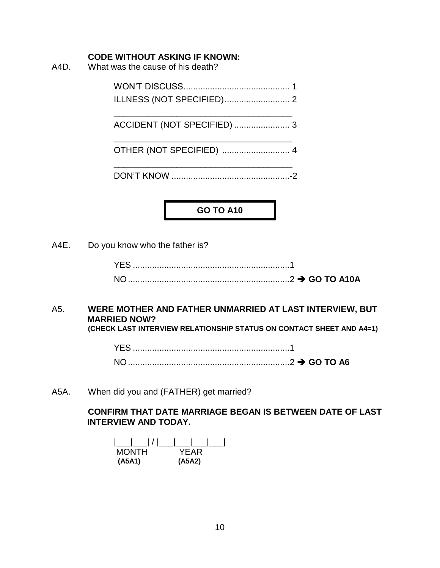#### **CODE WITHOUT ASKING IF KNOWN:**

A4D. What was the cause of his death?

WON'T DISCUSS............................................ 1 ILLNESS (NOT SPECIFIED)........................... 2

\_\_\_\_\_\_\_\_\_\_\_\_\_\_\_\_\_\_\_\_\_\_\_\_\_\_\_\_\_\_\_\_\_\_\_\_\_ ACCIDENT (NOT SPECIFIED) ....................... 3

\_\_\_\_\_\_\_\_\_\_\_\_\_\_\_\_\_\_\_\_\_\_\_\_\_\_\_\_\_\_\_\_\_\_\_\_\_ OTHER (NOT SPECIFIED) ............................ 4

\_\_\_\_\_\_\_\_\_\_\_\_\_\_\_\_\_\_\_\_\_\_\_\_\_\_\_\_\_\_\_\_\_\_\_\_\_ DON'T KNOW .................................................-2

**GO TO A10**

A4E. Do you know who the father is?

| $\ldots$ GO TO A10A |
|---------------------|

#### A5. **WERE MOTHER AND FATHER UNMARRIED AT LAST INTERVIEW, BUT MARRIED NOW? (CHECK LAST INTERVIEW RELATIONSHIP STATUS ON CONTACT SHEET AND A4=1)**

YES .................................................................1

A5A. When did you and (FATHER) get married?

# **CONFIRM THAT DATE MARRIAGE BEGAN IS BETWEEN DATE OF LAST INTERVIEW AND TODAY.**

| ' I -        |        |
|--------------|--------|
| <b>MONTH</b> | YFAR   |
| (A5A1)       | (A5A2) |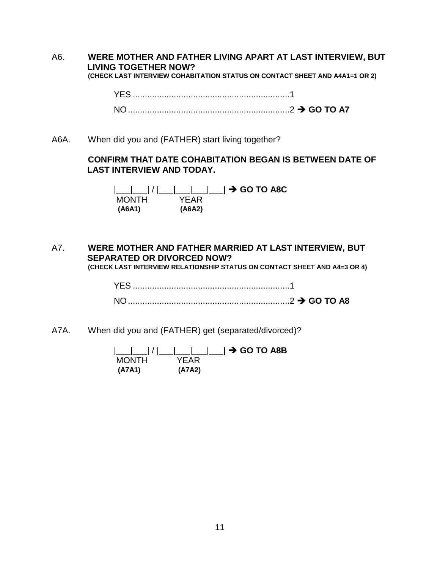A6. **WERE MOTHER AND FATHER LIVING APART AT LAST INTERVIEW, BUT LIVING TOGETHER NOW? (CHECK LAST INTERVIEW COHABITATION STATUS ON CONTACT SHEET AND A4A1=1 OR 2)**

YES .................................................................1

NO...................................................................2 **GO TO A7**

A6A. When did you and (FATHER) start living together?

# **CONFIRM THAT DATE COHABITATION BEGAN IS BETWEEN DATE OF LAST INTERVIEW AND TODAY.**

|\_\_\_|\_\_\_| / |\_\_\_|\_\_\_|\_\_\_|\_\_\_| **GO TO A8C** MONTH YEAR **(A6A1) (A6A2)**

A7. **WERE MOTHER AND FATHER MARRIED AT LAST INTERVIEW, BUT SEPARATED OR DIVORCED NOW? (CHECK LAST INTERVIEW RELATIONSHIP STATUS ON CONTACT SHEET AND A4=3 OR 4)**

| <b>YES</b> |  |
|------------|--|
|            |  |

A7A. When did you and (FATHER) get (separated/divorced)?

| <b>MONTH</b> | YFAR.  |  |
|--------------|--------|--|
| (A7A1)       | (A7A2) |  |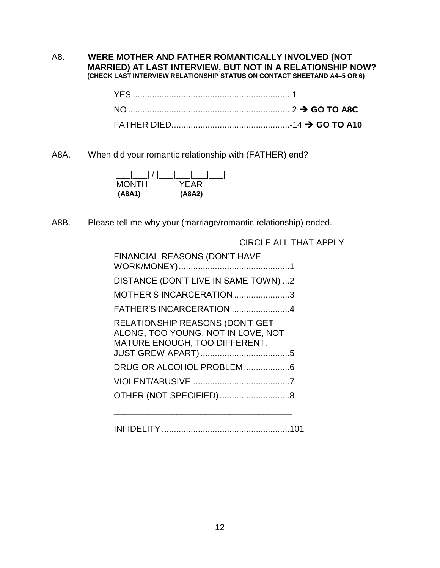#### A8. **WERE MOTHER AND FATHER ROMANTICALLY INVOLVED (NOT MARRIED) AT LAST INTERVIEW, BUT NOT IN A RELATIONSHIP NOW? (CHECK LAST INTERVIEW RELATIONSHIP STATUS ON CONTACT SHEETAND A4=5 OR 6)**

A8A. When did your romantic relationship with (FATHER) end?

| MONTH  | YFAR   |
|--------|--------|
| (A8A1) | (A8A2) |

A8B. Please tell me why your (marriage/romantic relationship) ended.

| FINANCIAL REASONS (DON'T HAVE                                                                          |
|--------------------------------------------------------------------------------------------------------|
| DISTANCE (DON'T LIVE IN SAME TOWN) 2                                                                   |
| MOTHER'S INCARCERATION 3                                                                               |
| FATHER'S INCARCERATION 4                                                                               |
| RELATIONSHIP REASONS (DON'T GET<br>ALONG, TOO YOUNG, NOT IN LOVE, NOT<br>MATURE ENOUGH, TOO DIFFERENT, |
| DRUG OR ALCOHOL PROBLEM6                                                                               |
|                                                                                                        |
|                                                                                                        |

INFIDELITY.....................................................101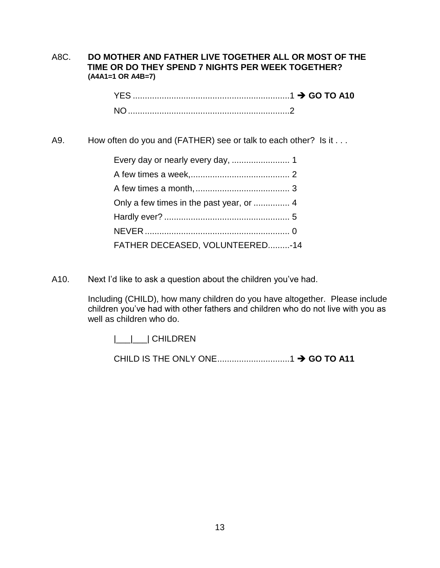## A8C. **DO MOTHER AND FATHER LIVE TOGETHER ALL OR MOST OF THE TIME OR DO THEY SPEND 7 NIGHTS PER WEEK TOGETHER? (A4A1=1 OR A4B=7)**

| YES.           |  |
|----------------|--|
| N <sub>O</sub> |  |

A9. How often do you and (FATHER) see or talk to each other? Is it . . .

| FATHER DECEASED, VOLUNTEERED-14 |  |
|---------------------------------|--|

A10. Next I'd like to ask a question about the children you've had.

Including (CHILD), how many children do you have altogether. Please include children you've had with other fathers and children who do not live with you as well as children who do.

|\_\_\_|\_\_\_| CHILDREN

CHILD IS THE ONLY ONE..............................1 **GO TO A11**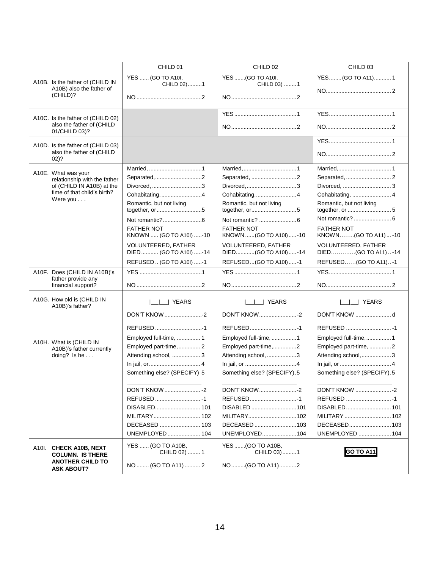|                                                                                                                             | CHILD 01                                                                                                                                                                                                     | CHILD 02                                                                                                                                                                                              | CHILD 03                                                                                                                                                                             |
|-----------------------------------------------------------------------------------------------------------------------------|--------------------------------------------------------------------------------------------------------------------------------------------------------------------------------------------------------------|-------------------------------------------------------------------------------------------------------------------------------------------------------------------------------------------------------|--------------------------------------------------------------------------------------------------------------------------------------------------------------------------------------|
| A10B. Is the father of (CHILD IN<br>A10B) also the father of<br>(CHILD)?                                                    | YES  (GO TO A10I,<br>CHILD 02)1                                                                                                                                                                              | YES (GO TO A10I,<br>CHILD 03) 1                                                                                                                                                                       | YES(GO TO A11)1                                                                                                                                                                      |
| A10C. Is the father of (CHILD 02)<br>also the father of (CHILD<br>01/CHILD 03)?                                             |                                                                                                                                                                                                              |                                                                                                                                                                                                       | <b>YFS</b> 1                                                                                                                                                                         |
| A10D. Is the father of (CHILD 03)<br>also the father of (CHILD<br>$02)$ ?                                                   |                                                                                                                                                                                                              |                                                                                                                                                                                                       |                                                                                                                                                                                      |
| A10E. What was your<br>relationship with the father<br>of (CHILD IN A10B) at the<br>time of that child's birth?<br>Were you | Separated,2<br>Divorced, 3<br>Cohabitating, 4<br>Romantic, but not living<br><b>FATHER NOT</b><br>KNOWN  (GO TO A10I) -10<br><b>VOLUNTEERED, FATHER</b><br>DIED  (GO TO A10I) -14<br>REFUSED (GO TO A10I) -1 | Separated, 2<br>Cohabitating,4<br>Romantic, but not living<br><b>FATHER NOT</b><br>KNOWN  (GO TO A10I) -10<br><b>VOLUNTEERED, FATHER</b><br>DIED(GO TO A10I)-14<br>REFUSED(GO TO A10I)-1              | Cohabitating,  4<br>Romantic, but not living<br><b>FATHER NOT</b><br>KNOWN(GO TO A11)  -10<br><b>VOLUNTEERED, FATHER</b><br>DIED(GO TO A11)-14<br>REFUSED (GO TO A11)-1              |
| A10F. Does (CHILD IN A10B)'s<br>father provide any<br>financial support?                                                    |                                                                                                                                                                                                              |                                                                                                                                                                                                       |                                                                                                                                                                                      |
| A10G. How old is (CHILD IN<br>A10B)'s father?                                                                               | YEARS<br>DON'T KNOW 2                                                                                                                                                                                        | <b>YEARS</b>                                                                                                                                                                                          | <b>YEARS</b>                                                                                                                                                                         |
| A10H. What is (CHILD IN<br>A10B)'s father currently<br>doing? Is he $\ldots$                                                | Employed full-time,  1<br>Employed part-time,  2<br>Attending school,  3<br>Something else? (SPECIFY) 5<br>UNEMPLOYED  104                                                                                   | Employed full-time, 1<br>Employed part-time,2<br>Attending school, 3<br>Something else? (SPECIFY).5<br><b>DON'T KNOW2</b><br>REFUSED1<br>DISABLED 101<br>MILITARY102<br>DECEASED 103<br>UNEMPLOYED104 | Employed full-time,1<br>Employed part-time, 2<br>Attending school,3<br>Something else? (SPECIFY). 5<br>DON'T KNOW 2<br>REFUSED 1<br>MILITARY  102<br>DECEASED 103<br>UNEMPLOYED  104 |
| A10I. CHECK A10B, NEXT<br><b>COLUMN. IS THERE</b><br><b>ANOTHER CHILD TO</b><br><b>ASK ABOUT?</b>                           | YES  (GO TO A10B,<br>CHILD 02)  1<br>NO  (GO TO A11)  2                                                                                                                                                      | YES (GO TO A10B,<br>CHILD 03) 1<br>NO(GO TO A11)2                                                                                                                                                     | GO TO A11                                                                                                                                                                            |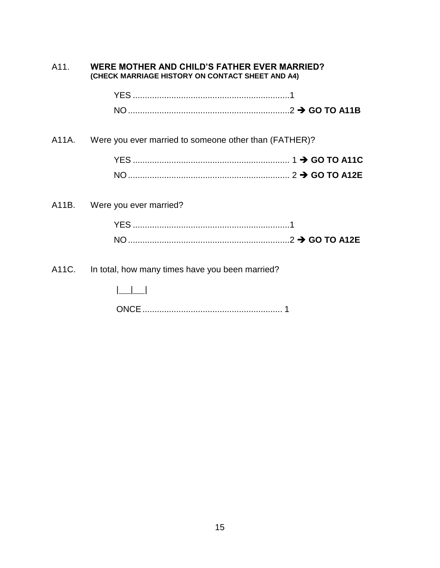| WERE MOTHER AND CHILD'S FATHER EVER MARRIED?<br>A11.<br>(CHECK MARRIAGE HISTORY ON CONTACT SHEET AND A4) |                                                             |  |
|----------------------------------------------------------------------------------------------------------|-------------------------------------------------------------|--|
|                                                                                                          |                                                             |  |
|                                                                                                          |                                                             |  |
|                                                                                                          | A11A. Were you ever married to someone other than (FATHER)? |  |
|                                                                                                          |                                                             |  |
|                                                                                                          |                                                             |  |
|                                                                                                          | A11B. Were you ever married?                                |  |
|                                                                                                          |                                                             |  |
|                                                                                                          |                                                             |  |
| A11C.                                                                                                    | In total, how many times have you been married?             |  |
|                                                                                                          |                                                             |  |
|                                                                                                          |                                                             |  |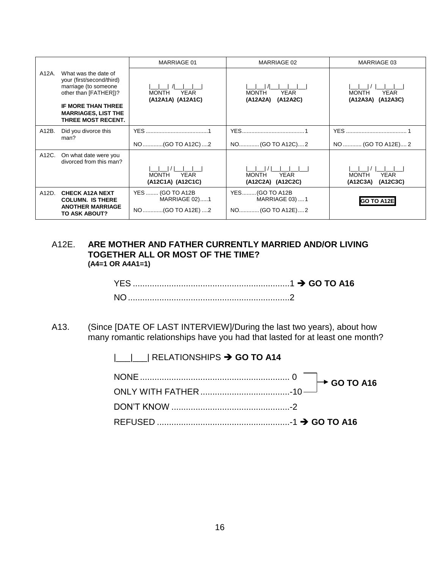|       |                                                                                                                                                                                     | MARRIAGE 01                                                 | MARRIAGE 02                                                  | MARRIAGE 03                                         |
|-------|-------------------------------------------------------------------------------------------------------------------------------------------------------------------------------------|-------------------------------------------------------------|--------------------------------------------------------------|-----------------------------------------------------|
| A12A. | What was the date of<br>your (first/second/third)<br>marriage (to someone<br>other than [FATHER])?<br><b>IF MORE THAN THREE</b><br><b>MARRIAGES, LIST THE</b><br>THREE MOST RECENT. | <b>YEAR</b><br><b>MONTH</b><br>(A12A1A) (A12A1C)            | <b>YEAR</b><br><b>MONTH</b><br>(A12A2A)<br>(A12A2C)          | YEAR<br><b>MONTH</b><br>(A12A3A)<br>(A12A3C)        |
| A12B. | Did you divorce this<br>man?                                                                                                                                                        | NO(GO TO A12C)2                                             | NO(GO TO A12C)2                                              | NO  (GO TO A12E) 2                                  |
| A12C. | On what date were you<br>divorced from this man?                                                                                                                                    | <b>YEAR</b><br><b>MONTH</b><br>(A12C1A) (A12C1C)            | <b>YEAR</b><br><b>MONTH</b><br>(A12C2A)<br>(A12C2C)          | <b>YEAR</b><br><b>MONTH</b><br>(A12C3A)<br>(A12C3C) |
| A12D. | <b>CHECK A12A NEXT</b><br><b>COLUMN. IS THERE</b><br><b>ANOTHER MARRIAGE</b><br>TO ASK ABOUT?                                                                                       | YES  (GO TO A12B<br><b>MARRIAGE 02)1</b><br>NO(GO TO A12E)2 | YES(GO TO A12B<br><b>MARRIAGE 03)  1</b><br>NO (GO TO A12E)2 | <b>GO TO A12E</b>                                   |

#### A12E. **ARE MOTHER AND FATHER CURRENTLY MARRIED AND/OR LIVING TOGETHER ALL OR MOST OF THE TIME? (A4=1 OR A4A1=1)**

| материалов в составлении в составительность в состо для не только на том, что не для не только на том, что не т |  |
|-----------------------------------------------------------------------------------------------------------------|--|
|                                                                                                                 |  |

A13. (Since [DATE OF LAST INTERVIEW]/During the last two years), about how many romantic relationships have you had that lasted for at least one month?

|\_\_\_|\_\_\_| RELATIONSHIPS  $\rightarrow$  **GO TO A14**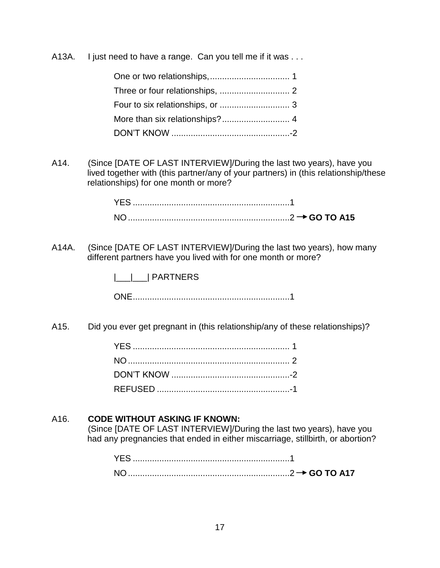A13A. I just need to have a range. Can you tell me if it was ...

A14. (Since [DATE OF LAST INTERVIEW]/During the last two years), have you lived together with (this partner/any of your partners) in (this relationship/these relationships) for one month or more?

A14A. (Since [DATE OF LAST INTERVIEW]/During the last two years), how many different partners have you lived with for one month or more?

|\_\_\_|\_\_\_| PARTNERS

ONE.................................................................1

A15. Did you ever get pregnant in (this relationship/any of these relationships)?

# A16. **CODE WITHOUT ASKING IF KNOWN:**

(Since [DATE OF LAST INTERVIEW]/During the last two years), have you had any pregnancies that ended in either miscarriage, stillbirth, or abortion?

| <b>YES</b>     |  |
|----------------|--|
| N <sub>O</sub> |  |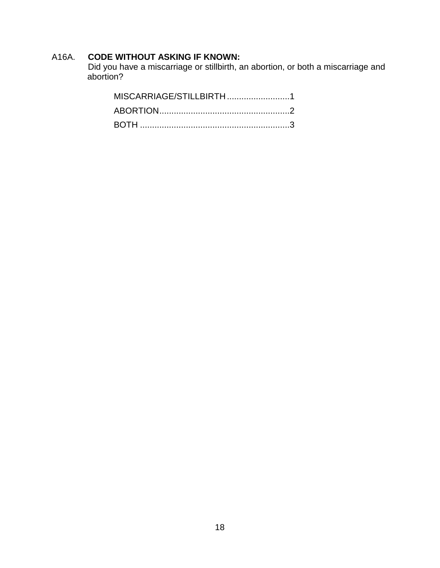# A16A. **CODE WITHOUT ASKING IF KNOWN:**

Did you have a miscarriage or stillbirth, an abortion, or both a miscarriage and abortion?

| MISCARRIAGE/STILLBIRTH1 |  |
|-------------------------|--|
|                         |  |
|                         |  |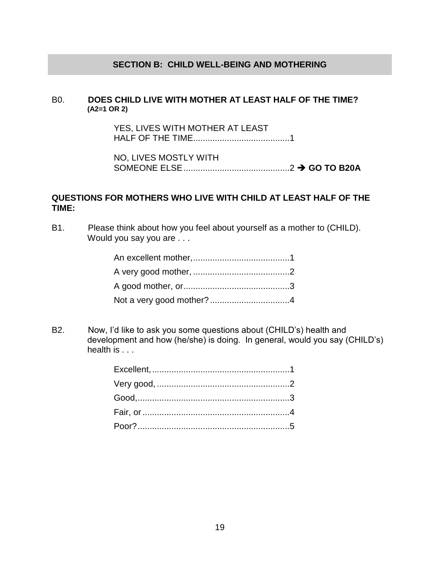#### **SECTION B: CHILD WELL-BEING AND MOTHERING**

#### B0. **DOES CHILD LIVE WITH MOTHER AT LEAST HALF OF THE TIME? (A2=1 OR 2)**

YES, LIVES WITH MOTHER AT LEAST HALF OF THE TIME........................................1

NO, LIVES MOSTLY WITH SOMEONE ELSE............................................2 **GO TO B20A**

# **QUESTIONS FOR MOTHERS WHO LIVE WITH CHILD AT LEAST HALF OF THE TIME:**

B1. Please think about how you feel about yourself as a mother to (CHILD). Would you say you are . . .

B2. Now, I'd like to ask you some questions about (CHILD's) health and development and how (he/she) is doing. In general, would you say (CHILD's) health is . . .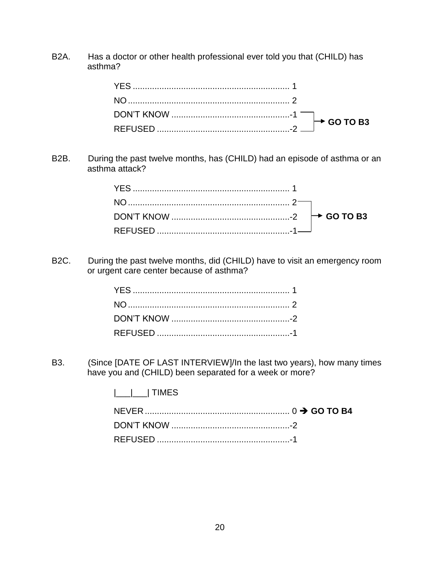B2A. Has a doctor or other health professional ever told you that (CHILD) has asthma?

B2B. During the past twelve months, has (CHILD) had an episode of asthma or an asthma attack?

B2C. During the past twelve months, did (CHILD) have to visit an emergency room or urgent care center because of asthma?

B3. (Since [DATE OF LAST INTERVIEW]/In the last two years), how many times have you and (CHILD) been separated for a week or more?

|\_\_\_|\_\_\_| TIMES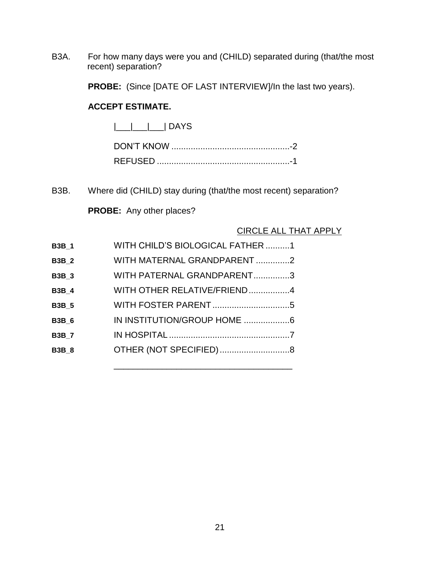B3A. For how many days were you and (CHILD) separated during (that/the most recent) separation?

**PROBE:** (Since [DATE OF LAST INTERVIEW]/In the last two years).

# **ACCEPT ESTIMATE.**

 $|\_\_|$  DAYS

B3B. Where did (CHILD) stay during (that/the most recent) separation?

\_\_\_\_\_\_\_\_\_\_\_\_\_\_\_\_\_\_\_\_\_\_\_\_\_\_\_\_\_\_\_\_\_\_\_\_\_

**PROBE:** Any other places?

# CIRCLE ALL THAT APPLY

| <b>B3B 1</b> | WITH CHILD'S BIOLOGICAL FATHER 1 |  |
|--------------|----------------------------------|--|
| <b>B3B 2</b> | WITH MATERNAL GRANDPARENT2       |  |
| <b>B3B_3</b> | WITH PATERNAL GRANDPARENT3       |  |
| <b>B3B_4</b> | WITH OTHER RELATIVE/FRIEND4      |  |
| <b>B3B_5</b> |                                  |  |
| <b>B3B 6</b> | IN INSTITUTION/GROUP HOME 6      |  |
| <b>B3B 7</b> |                                  |  |
| <b>B3B 8</b> | OTHER (NOT SPECIFIED)8           |  |
|              |                                  |  |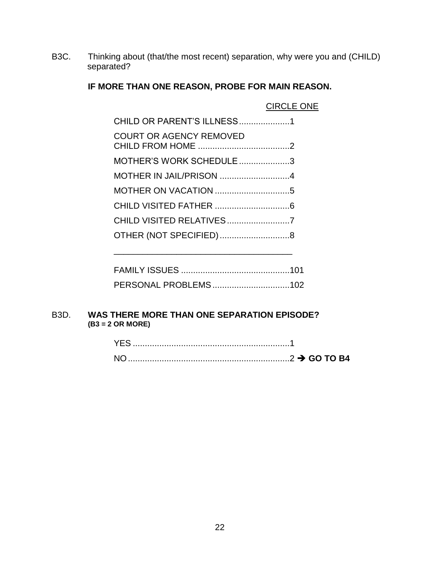B3C. Thinking about (that/the most recent) separation, why were you and (CHILD) separated?

# **IF MORE THAN ONE REASON, PROBE FOR MAIN REASON.**

|                                | <b>CIRCLE ONE</b> |
|--------------------------------|-------------------|
| CHILD OR PARENT'S ILLNESS1     |                   |
| <b>COURT OR AGENCY REMOVED</b> |                   |
| MOTHER'S WORK SCHEDULE3        |                   |
|                                |                   |
|                                |                   |
|                                |                   |
|                                |                   |
|                                |                   |
|                                |                   |

| PERSONAL PROBLEMS102 |  |
|----------------------|--|

\_\_\_\_\_\_\_\_\_\_\_\_\_\_\_\_\_\_\_\_\_\_\_\_\_\_\_\_\_\_\_\_\_\_\_\_\_

#### B3D. **WAS THERE MORE THAN ONE SEPARATION EPISODE? (B3 = 2 OR MORE)**

| YES. |  |
|------|--|
| NC   |  |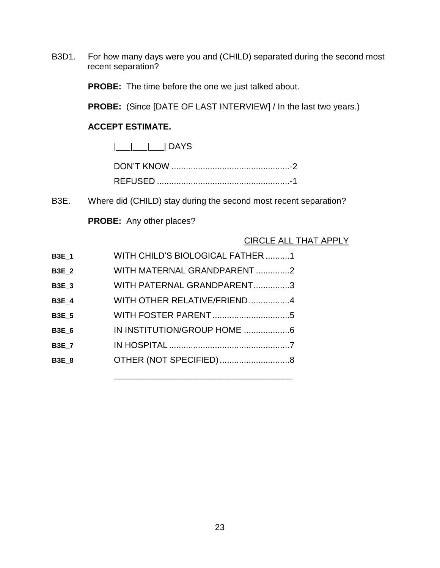B3D1. For how many days were you and (CHILD) separated during the second most recent separation?

**PROBE:** The time before the one we just talked about.

**PROBE:** (Since [DATE OF LAST INTERVIEW] / In the last two years.)

# **ACCEPT ESTIMATE.**

 $|\_$ 

B3E. Where did (CHILD) stay during the second most recent separation?

\_\_\_\_\_\_\_\_\_\_\_\_\_\_\_\_\_\_\_\_\_\_\_\_\_\_\_\_\_\_\_\_\_\_\_\_\_

**PROBE:** Any other places?

# CIRCLE ALL THAT APPLY

| <b>B3E 1</b> | WITH CHILD'S BIOLOGICAL FATHER1 |  |
|--------------|---------------------------------|--|
| <b>B3E 2</b> | WITH MATERNAL GRANDPARENT 2     |  |
| <b>B3E 3</b> | WITH PATERNAL GRANDPARENT3      |  |
| <b>B3E 4</b> | WITH OTHER RELATIVE/FRIEND4     |  |
| <b>B3E 5</b> |                                 |  |
| <b>B3E 6</b> | IN INSTITUTION/GROUP HOME 6     |  |
| <b>B3E 7</b> |                                 |  |
| <b>B3E 8</b> | OTHER (NOT SPECIFIED)8          |  |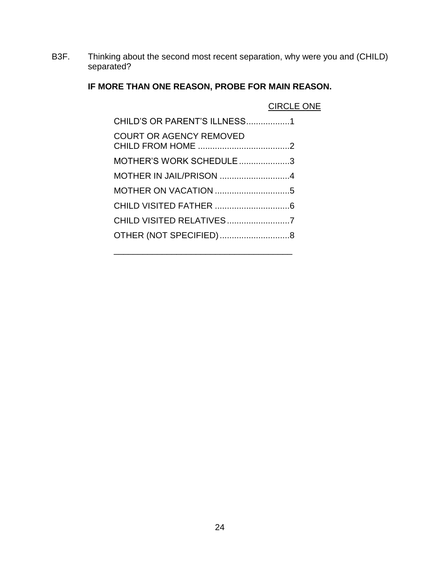B3F. Thinking about the second most recent separation, why were you and (CHILD) separated?

# **IF MORE THAN ONE REASON, PROBE FOR MAIN REASON.**

|                              | <b>CIRCLE ONE</b> |
|------------------------------|-------------------|
| CHILD'S OR PARENT'S ILLNESS1 |                   |
| COURT OR AGENCY REMOVED      |                   |
| MOTHER'S WORK SCHEDULE3      |                   |
| MOTHER IN JAIL/PRISON 4      |                   |
|                              |                   |
|                              |                   |
| CHILD VISITED RELATIVES7     |                   |
|                              |                   |
|                              |                   |

\_\_\_\_\_\_\_\_\_\_\_\_\_\_\_\_\_\_\_\_\_\_\_\_\_\_\_\_\_\_\_\_\_\_\_\_\_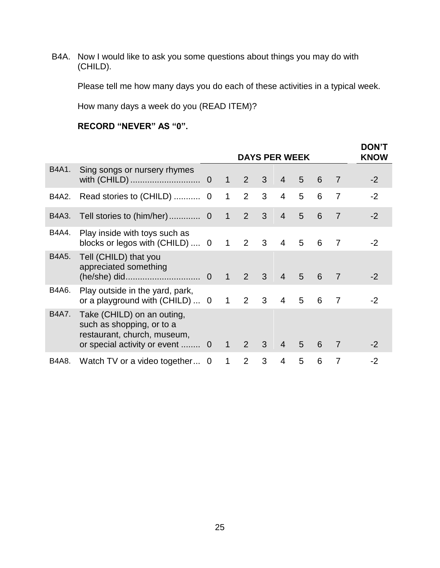B4A. Now I would like to ask you some questions about things you may do with (CHILD).

Please tell me how many days you do each of these activities in a typical week.

How many days a week do you (READ ITEM)?

# **RECORD "NEVER" AS "0".**

|       |                                                                                                                           | <b>DAYS PER WEEK</b> |              |                |              |                |                | <b>DON'T</b><br><b>KNOW</b> |                |      |
|-------|---------------------------------------------------------------------------------------------------------------------------|----------------------|--------------|----------------|--------------|----------------|----------------|-----------------------------|----------------|------|
| B4A1. | Sing songs or nursery rhymes                                                                                              |                      | $\mathbf{1}$ | $\overline{2}$ | $\mathbf{3}$ | $\overline{4}$ | 5              | 6                           | $\overline{7}$ | $-2$ |
| B4A2. |                                                                                                                           |                      | 1            | $\overline{2}$ | 3            | $\overline{4}$ | 5              | 6                           | $\overline{7}$ | $-2$ |
| B4A3. | Tell stories to (him/her)                                                                                                 | $\overline{0}$       | $\mathbf{1}$ | 2              | 3            | $\overline{4}$ | 5              | 6                           | 7              | $-2$ |
| B4A4. | Play inside with toys such as<br>blocks or legos with (CHILD)  0                                                          |                      | $\mathbf{1}$ | $2 \quad 3$    |              | $\overline{4}$ | 5              | 6                           | 7              | $-2$ |
| B4A5. | Tell (CHILD) that you<br>appreciated something                                                                            |                      | $\mathbf{1}$ | $\mathcal{P}$  | 3            | $\overline{4}$ | $\overline{5}$ | 6                           | $\overline{7}$ | -2   |
| B4A6. | Play outside in the yard, park,<br>or a playground with $(CHILD) \ldots 0$                                                |                      | $\mathbf{1}$ | 2              | 3            | 4              | 5              | 6                           | 7              | $-2$ |
| B4A7. | Take (CHILD) on an outing,<br>such as shopping, or to a<br>restaurant, church, museum,<br>or special activity or event  0 |                      | $\mathbf{1}$ | 2              | 3            | $\overline{4}$ | 5              | 6                           | 7              | -2   |
| B4A8. | Watch TV or a video together 0                                                                                            |                      | 1            | $\mathcal{P}$  | 3            | $\overline{4}$ | 5              | 6                           | 7              | -2   |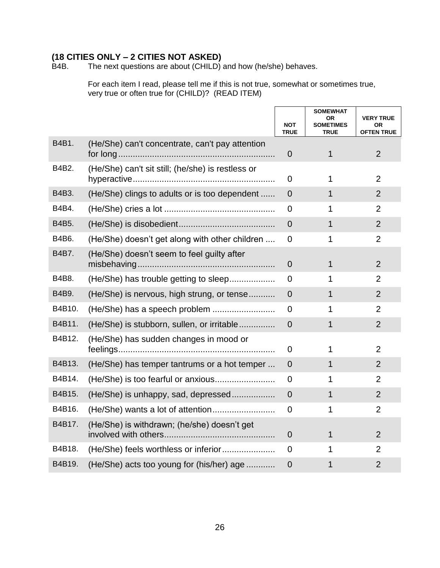# **(18 CITIES ONLY – 2 CITIES NOT ASKED)**

The next questions are about  $(CHILD)$  and how (he/she) behaves.

For each item I read, please tell me if this is not true, somewhat or sometimes true, very true or often true for (CHILD)? (READ ITEM)

|        |                                                   | <b>NOT</b><br><b>TRUE</b> | <b>SOMEWHAT</b><br>OR<br><b>SOMETIMES</b><br><b>TRUE</b> | <b>VERY TRUE</b><br><b>OR</b><br><b>OFTEN TRUE</b> |
|--------|---------------------------------------------------|---------------------------|----------------------------------------------------------|----------------------------------------------------|
| B4B1.  | (He/She) can't concentrate, can't pay attention   | $\mathbf 0$               | 1                                                        | $\overline{2}$                                     |
| B4B2.  | (He/She) can't sit still; (he/she) is restless or | $\overline{0}$            | 1                                                        | $\overline{2}$                                     |
| B4B3.  | (He/She) clings to adults or is too dependent     | $\overline{0}$            | 1                                                        | $\overline{2}$                                     |
| B4B4.  |                                                   | $\Omega$                  | 1                                                        | $\overline{2}$                                     |
| B4B5.  |                                                   | $\overline{0}$            | 1                                                        | $\overline{2}$                                     |
| B4B6.  | (He/She) doesn't get along with other children    | 0                         | 1                                                        | $\overline{2}$                                     |
| B4B7.  | (He/She) doesn't seem to feel guilty after        | $\overline{0}$            | 1                                                        | $\overline{2}$                                     |
| B4B8.  | (He/She) has trouble getting to sleep             | $\Omega$                  | 1                                                        | $\overline{2}$                                     |
| B4B9.  | (He/She) is nervous, high strung, or tense        | $\overline{0}$            | 1                                                        | $\overline{2}$                                     |
| B4B10. |                                                   | $\Omega$                  | 1                                                        | $\overline{2}$                                     |
| B4B11. | (He/She) is stubborn, sullen, or irritable        | $\overline{0}$            | 1                                                        | $\overline{2}$                                     |
| B4B12. | (He/She) has sudden changes in mood or            | 0                         | 1                                                        | $\overline{2}$                                     |
| B4B13. | (He/She) has temper tantrums or a hot temper      | $\overline{0}$            | 1                                                        | $\overline{2}$                                     |
| B4B14. | (He/She) is too fearful or anxious                | $\Omega$                  | 1                                                        | $\overline{2}$                                     |
| B4B15. | (He/She) is unhappy, sad, depressed               | $\overline{0}$            | $\mathbf 1$                                              | $\overline{2}$                                     |
| B4B16. |                                                   | 0                         | 1                                                        | $\overline{2}$                                     |
| B4B17. | (He/She) is withdrawn; (he/she) doesn't get       | $\overline{0}$            | 1                                                        | $\overline{2}$                                     |
| B4B18. |                                                   | 0                         | 1                                                        | $\overline{2}$                                     |
| B4B19. | (He/She) acts too young for (his/her) age         | $\overline{0}$            | 1                                                        | $\overline{2}$                                     |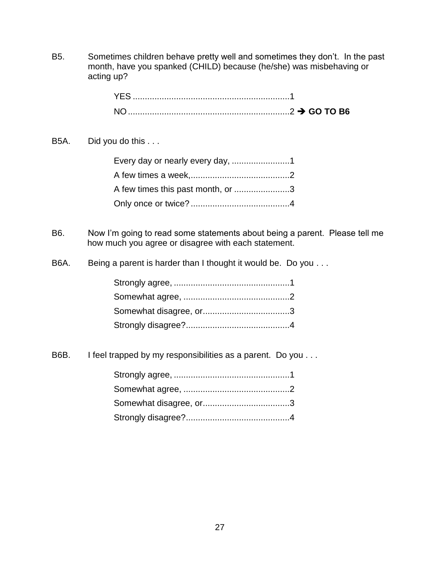B5. Sometimes children behave pretty well and sometimes they don't. In the past month, have you spanked (CHILD) because (he/she) was misbehaving or acting up?

# B5A. Did you do this . . .

| A few times this past month, or 3 |  |
|-----------------------------------|--|
|                                   |  |

B6. Now I'm going to read some statements about being a parent. Please tell me how much you agree or disagree with each statement.

B6A. Being a parent is harder than I thought it would be. Do you . . .

B6B. I feel trapped by my responsibilities as a parent. Do you . . .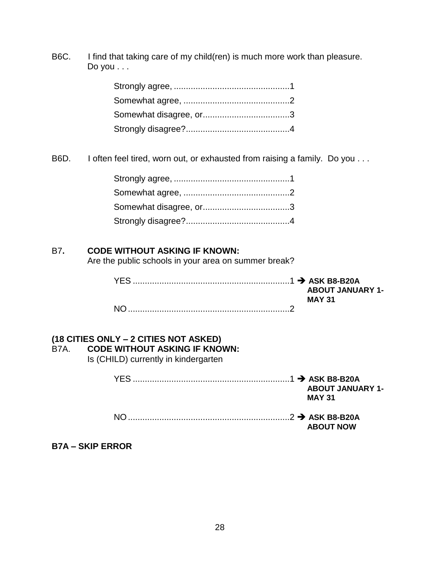B6C. I find that taking care of my child(ren) is much more work than pleasure. Do you . . .

B6D. I often feel tired, worn out, or exhausted from raising a family. Do you . . .

# B7**. CODE WITHOUT ASKING IF KNOWN:**

Are the public schools in your area on summer break?

|  | <b>ABOUT JANUARY 1-</b><br><b>MAY 31</b> |
|--|------------------------------------------|
|  |                                          |

# **(18 CITIES ONLY – 2 CITIES NOT ASKED)**

# B7A. **CODE WITHOUT ASKING IF KNOWN:**

Is (CHILD) currently in kindergarten

|     | <b>ABOUT JANUARY 1-</b><br><b>MAY 31</b> |
|-----|------------------------------------------|
| NO. | <b>ABOUT NOW</b>                         |

# **B7A – SKIP ERROR**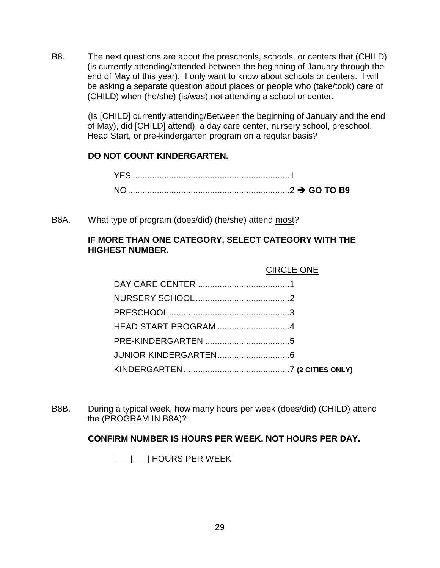B8. The next questions are about the preschools, schools, or centers that (CHILD) (is currently attending/attended between the beginning of January through the end of May of this year). I only want to know about schools or centers. I will be asking a separate question about places or people who (take/took) care of (CHILD) when (he/she) (is/was) not attending a school or center.

> (Is [CHILD] currently attending/Between the beginning of January and the end of May), did [CHILD] attend), a day care center, nursery school, preschool, Head Start, or pre-kindergarten program on a regular basis?

# **DO NOT COUNT KINDERGARTEN.**

B8A. What type of program (does/did) (he/she) attend most?

# **IF MORE THAN ONE CATEGORY, SELECT CATEGORY WITH THE HIGHEST NUMBER.**

| <b>CIRCLE ONE</b> |
|-------------------|
|                   |
|                   |
|                   |
|                   |
|                   |
|                   |
|                   |

B8B. During a typical week, how many hours per week (does/did) (CHILD) attend the (PROGRAM IN B8A)?

# **CONFIRM NUMBER IS HOURS PER WEEK, NOT HOURS PER DAY.**

|\_\_\_|\_\_\_| HOURS PER WEEK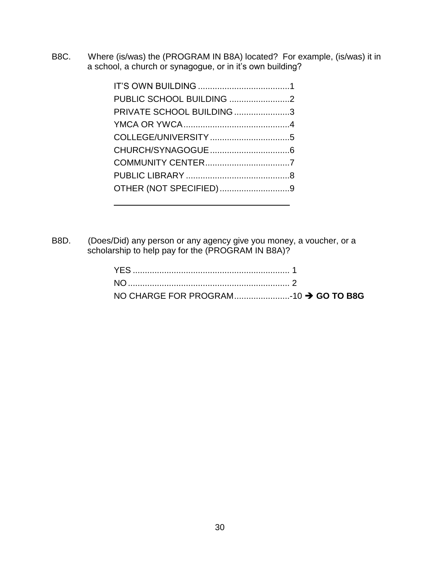B8C. Where (is/was) the (PROGRAM IN B8A) located? For example, (is/was) it in a school, a church or synagogue, or in it's own building?

| PRIVATE SCHOOL BUILDING 3 |  |
|---------------------------|--|
|                           |  |
|                           |  |
|                           |  |
|                           |  |
|                           |  |
| OTHER (NOT SPECIFIED)9    |  |
|                           |  |

B8D. (Does/Did) any person or any agency give you money, a voucher, or a scholarship to help pay for the (PROGRAM IN B8A)?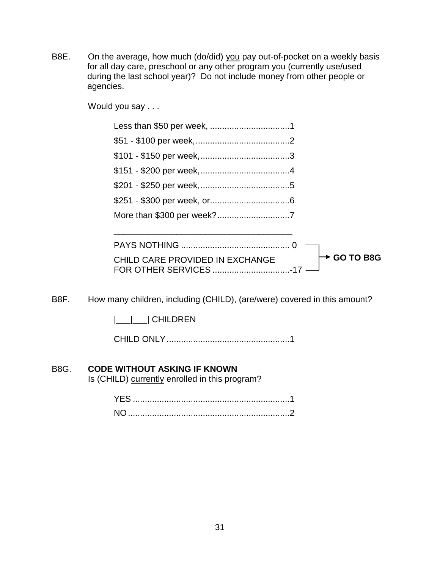B8E. On the average, how much (do/did) you pay out-of-pocket on a weekly basis for all day care, preschool or any other program you (currently use/used during the last school year)? Do not include money from other people or agencies.

Would you say . . .

CHILD CARE PROVIDED IN EXCHANGE FOR OTHER SERVICES ................................-17 **GO TO B8G**

B8F. How many children, including (CHILD), (are/were) covered in this amount?

|\_\_\_|\_\_\_| CHILDREN

CHILD ONLY...................................................1

# B8G. **CODE WITHOUT ASKING IF KNOWN**

Is (CHILD) currently enrolled in this program?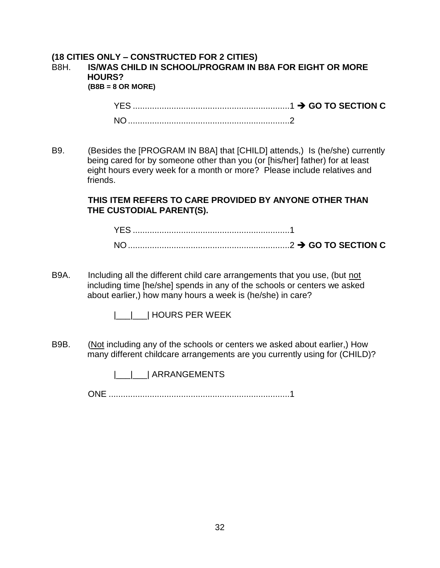#### **(18 CITIES ONLY – CONSTRUCTED FOR 2 CITIES)** B8H. **IS/WAS CHILD IN SCHOOL/PROGRAM IN B8A FOR EIGHT OR MORE HOURS? (B8B = 8 OR MORE)**

YES .................................................................1 **GO TO SECTION C** NO...................................................................2

B9. (Besides the [PROGRAM IN B8A] that [CHILD] attends,) Is (he/she) currently being cared for by someone other than you (or [his/her] father) for at least eight hours every week for a month or more? Please include relatives and friends.

> **THIS ITEM REFERS TO CARE PROVIDED BY ANYONE OTHER THAN THE CUSTODIAL PARENT(S).**

| $\overline{\mathsf{N}}$ |  |
|-------------------------|--|

B9A. Including all the different child care arrangements that you use, (but not including time [he/she] spends in any of the schools or centers we asked about earlier,) how many hours a week is (he/she) in care?

|\_\_\_|\_\_\_| HOURS PER WEEK

B9B. (Not including any of the schools or centers we asked about earlier,) How many different childcare arrangements are you currently using for (CHILD)?

|\_\_\_|\_\_\_| ARRANGEMENTS

ONE ...........................................................................1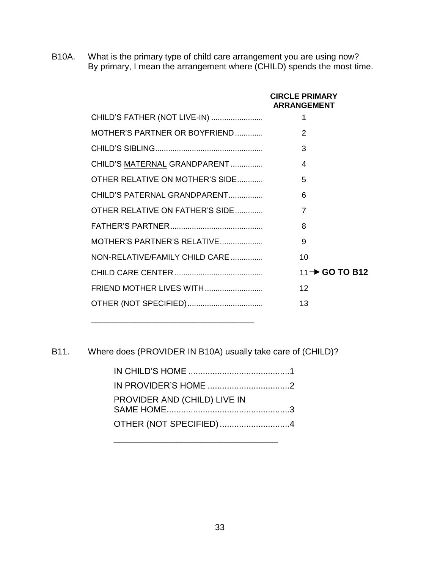B10A. What is the primary type of child care arrangement you are using now? By primary, I mean the arrangement where (CHILD) spends the most time.

|                                 | <b>CIRCLE PRIMARY</b><br><b>ARRANGEMENT</b> |
|---------------------------------|---------------------------------------------|
| CHILD'S FATHER (NOT LIVE-IN)    | 1                                           |
| MOTHER'S PARTNER OR BOYFRIEND   | 2                                           |
|                                 | 3                                           |
| CHILD'S MATERNAL GRANDPARENT    | 4                                           |
| OTHER RELATIVE ON MOTHER'S SIDE | 5                                           |
| CHILD'S PATERNAL GRANDPARENT    | 6                                           |
| OTHER RELATIVE ON FATHER'S SIDE | 7                                           |
|                                 | 8                                           |
| MOTHER'S PARTNER'S RELATIVE     | 9                                           |
| NON-RELATIVE/FAMILY CHILD CARE  | 10                                          |
|                                 | $11 \rightarrow$ GO TO B12                  |
| FRIEND MOTHER LIVES WITH        | 12                                          |
|                                 | 13                                          |

B11. Where does (PROVIDER IN B10A) usually take care of (CHILD)?

\_\_\_\_\_\_\_\_\_\_\_\_\_\_\_\_\_\_\_\_\_\_\_\_\_\_\_\_\_\_\_\_\_\_\_\_\_

| PROVIDER AND (CHILD) LIVE IN |  |
|------------------------------|--|
| OTHER (NOT SPECIFIED)4       |  |

\_\_\_\_\_\_\_\_\_\_\_\_\_\_\_\_\_\_\_\_\_\_\_\_\_\_\_\_\_\_\_\_\_\_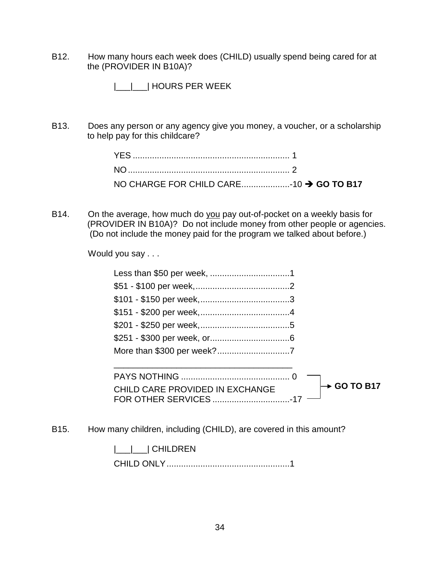B12. How many hours each week does (CHILD) usually spend being cared for at the (PROVIDER IN B10A)?

|\_\_\_|\_\_\_| HOURS PER WEEK

B13. Does any person or any agency give you money, a voucher, or a scholarship to help pay for this childcare?

B14. On the average, how much do you pay out-of-pocket on a weekly basis for (PROVIDER IN B10A)? Do not include money from other people or agencies. (Do not include the money paid for the program we talked about before.)

Would you say . . .

| CHILD CARE PROVIDED IN EXCHANGE | $\rightarrow$ GO TO B17 |  |
|---------------------------------|-------------------------|--|

B15. How many children, including (CHILD), are covered in this amount?

FOR OTHER SERVICES ................................-17

CHILD CARE PROVIDED IN EXCHANGE

|\_\_\_|\_\_\_| CHILDREN

CHILD ONLY...................................................1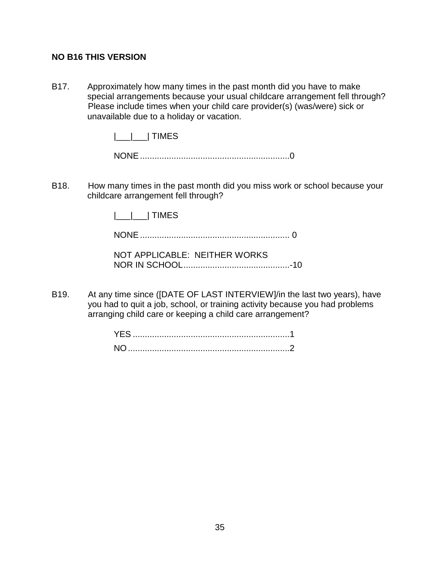# **NO B16 THIS VERSION**

B17. Approximately how many times in the past month did you have to make special arrangements because your usual childcare arrangement fell through? Please include times when your child care provider(s) (was/were) sick or unavailable due to a holiday or vacation.

|\_\_\_|\_\_\_| TIMES

NONE..............................................................0

B18. How many times in the past month did you miss work or school because your childcare arrangement fell through?

|\_\_\_|\_\_\_| TIMES

NONE.............................................................. 0

| NOT APPLICABLE: NEITHER WORKS |  |
|-------------------------------|--|
|                               |  |

B19. At any time since ([DATE OF LAST INTERVIEW]/in the last two years), have you had to quit a job, school, or training activity because you had problems arranging child care or keeping a child care arrangement?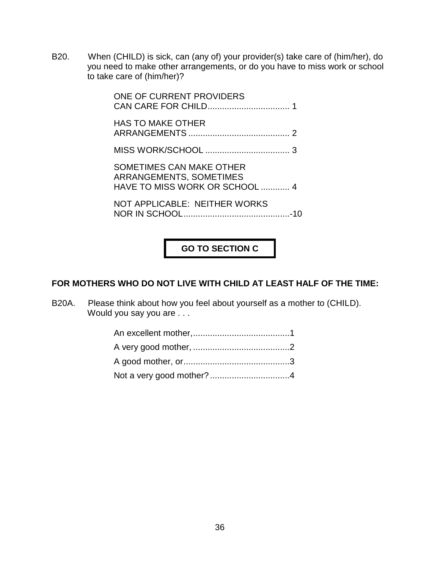B20. When (CHILD) is sick, can (any of) your provider(s) take care of (him/her), do you need to make other arrangements, or do you have to miss work or school to take care of (him/her)?

> ONE OF CURRENT PROVIDERS CAN CARE FOR CHILD.................................. 1 HAS TO MAKE OTHER ARRANGEMENTS .......................................... 2 MISS WORK/SCHOOL ................................... 3 SOMETIMES CAN MAKE OTHER ARRANGEMENTS, SOMETIMES HAVE TO MISS WORK OR SCHOOL ............ 4 NOT APPLICABLE: NEITHER WORKS NOR IN SCHOOL............................................-10

**GO TO SECTION C**

# **FOR MOTHERS WHO DO NOT LIVE WITH CHILD AT LEAST HALF OF THE TIME:**

B20A. Please think about how you feel about yourself as a mother to (CHILD). Would you say you are . . .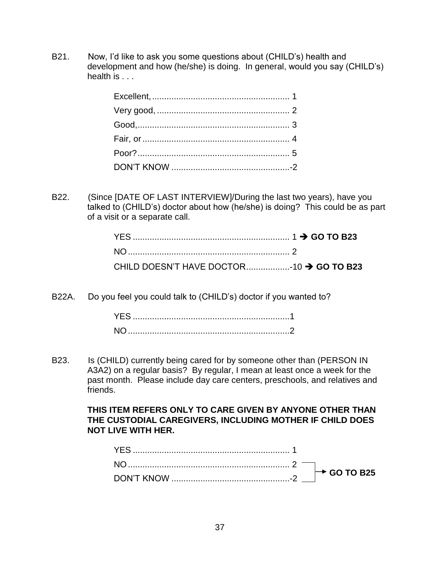B21. Now, I'd like to ask you some questions about (CHILD's) health and development and how (he/she) is doing. In general, would you say (CHILD's) health is . . .

B22. (Since [DATE OF LAST INTERVIEW]/During the last two years), have you talked to (CHILD's) doctor about how (he/she) is doing? This could be as part of a visit or a separate call.

| CHILD DOESN'T HAVE DOCTOR10 → GO TO B23 |  |
|-----------------------------------------|--|

B22A. Do you feel you could talk to (CHILD's) doctor if you wanted to?

B23. Is (CHILD) currently being cared for by someone other than (PERSON IN A3A2) on a regular basis? By regular, I mean at least once a week for the past month. Please include day care centers, preschools, and relatives and friends.

## **THIS ITEM REFERS ONLY TO CARE GIVEN BY ANYONE OTHER THAN THE CUSTODIAL CAREGIVERS, INCLUDING MOTHER IF CHILD DOES NOT LIVE WITH HER.**

|  | $\rightarrow$ GO TO B25 |
|--|-------------------------|
|  |                         |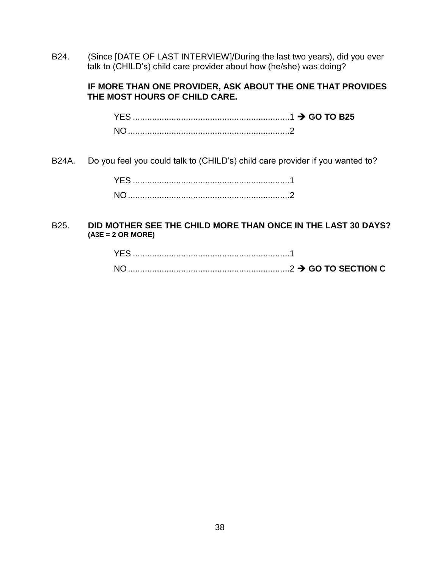B24. (Since [DATE OF LAST INTERVIEW]/During the last two years), did you ever talk to (CHILD's) child care provider about how (he/she) was doing?

#### **IF MORE THAN ONE PROVIDER, ASK ABOUT THE ONE THAT PROVIDES THE MOST HOURS OF CHILD CARE.**

YES .................................................................1 **GO TO B25** NO...................................................................2

B24A. Do you feel you could talk to (CHILD's) child care provider if you wanted to?

#### B25. **DID MOTHER SEE THE CHILD MORE THAN ONCE IN THE LAST 30 DAYS? (A3E = 2 OR MORE)**

| <b>YES</b>     |  |  |
|----------------|--|--|
| N <sub>O</sub> |  |  |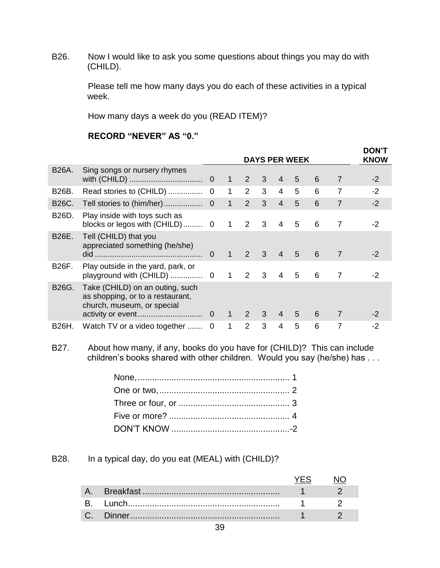B26. Now I would like to ask you some questions about things you may do with (CHILD).

> Please tell me how many days you do each of these activities in a typical week.

> > **DON'T**

How many days a week do you (READ ITEM)?

# **RECORD "NEVER" AS "0."**

|              |                                                                                                   | <b>DAYS PER WEEK</b> |              |                |                         |                |                |   | <b>DON'T</b><br><b>KNOW</b> |      |
|--------------|---------------------------------------------------------------------------------------------------|----------------------|--------------|----------------|-------------------------|----------------|----------------|---|-----------------------------|------|
| B26A.        | Sing songs or nursery rhymes                                                                      |                      | $\mathbf 1$  | 2              | 3                       | 4              | 5              | 6 | 7                           | $-2$ |
| B26B.        |                                                                                                   |                      | $\mathbf{1}$ | 2              | 3                       | 4              | 5              | 6 | 7                           | $-2$ |
| B26C.        | Tell stories to (him/her)                                                                         | $\overline{0}$       | $\mathbf{1}$ | $\overline{2}$ | 3                       | $\overline{4}$ | 5              | 6 | $\overline{7}$              | $-2$ |
| B26D.        | Play inside with toys such as                                                                     |                      | $\mathbf 1$  | 2              | $\overline{\mathbf{3}}$ | $\overline{4}$ | 5              | 6 | 7                           | $-2$ |
| B26E.        | Tell (CHILD) that you<br>appreciated something (he/she)                                           | $\Omega$             | $\mathbf{1}$ | $\mathcal{P}$  | 3 <sup>2</sup>          | $\overline{4}$ | $\overline{5}$ | 6 | 7                           | $-2$ |
| <b>B26F.</b> | Play outside in the yard, park, or                                                                |                      | $\mathbf{1}$ | 2              | 3                       | 4              | 5              | 6 | 7                           | $-2$ |
| B26G.        | Take (CHILD) on an outing, such<br>as shopping, or to a restaurant,<br>church, museum, or special |                      | $1 \quad$    | 2              | 3 <sup>1</sup>          | $\overline{4}$ | 5              | 6 | 7                           | -2   |
| B26H.        | Watch TV or a video together  0                                                                   |                      | 1            | $\mathcal{P}$  | 3                       | 4              | 5              | 6 | 7                           | -2   |

B27. About how many, if any, books do you have for (CHILD)? This can include children's books shared with other children. Would you say (he/she) has . . .

B28. In a typical day, do you eat (MEAL) with (CHILD)?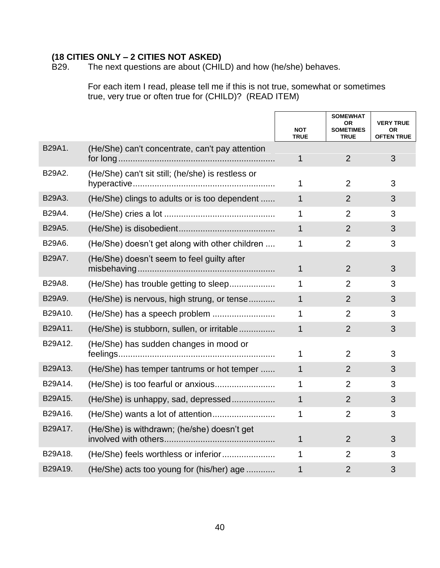# **(18 CITIES ONLY – 2 CITIES NOT ASKED)**

The next questions are about (CHILD) and how (he/she) behaves.

For each item I read, please tell me if this is not true, somewhat or sometimes true, very true or often true for (CHILD)? (READ ITEM)

|         |                                                   | <b>NOT</b><br><b>TRUE</b> | <b>SOMEWHAT</b><br><b>OR</b><br><b>SOMETIMES</b><br><b>TRUE</b> | <b>VERY TRUE</b><br><b>OR</b><br><b>OFTEN TRUE</b> |
|---------|---------------------------------------------------|---------------------------|-----------------------------------------------------------------|----------------------------------------------------|
| B29A1.  | (He/She) can't concentrate, can't pay attention   | 1                         | $\overline{2}$                                                  | 3                                                  |
| B29A2.  | (He/She) can't sit still; (he/she) is restless or | 1                         | $\overline{2}$                                                  | 3                                                  |
| B29A3.  | (He/She) clings to adults or is too dependent     | $\overline{1}$            | $\overline{2}$                                                  | 3                                                  |
| B29A4.  |                                                   | 1                         | $\overline{2}$                                                  | 3                                                  |
| B29A5.  |                                                   | $\overline{1}$            | $\overline{2}$                                                  | 3                                                  |
| B29A6.  | (He/She) doesn't get along with other children    | 1                         | $\overline{2}$                                                  | 3                                                  |
| B29A7.  | (He/She) doesn't seem to feel guilty after        | $\mathbf{1}$              | $\overline{2}$                                                  | 3                                                  |
| B29A8.  | (He/She) has trouble getting to sleep             | 1                         | $\overline{2}$                                                  | 3                                                  |
| B29A9.  | (He/She) is nervous, high strung, or tense        | $\mathbf{1}$              | $\overline{2}$                                                  | 3                                                  |
| B29A10. |                                                   | 1                         | $\overline{2}$                                                  | 3                                                  |
| B29A11. | (He/She) is stubborn, sullen, or irritable        | 1                         | $\overline{2}$                                                  | 3                                                  |
| B29A12. | (He/She) has sudden changes in mood or            | 1                         | $\overline{2}$                                                  | 3                                                  |
| B29A13. | (He/She) has temper tantrums or hot temper        | $\mathbf 1$               | $\overline{2}$                                                  | 3                                                  |
| B29A14. |                                                   | 1                         | $\overline{2}$                                                  | 3                                                  |
| B29A15. | (He/She) is unhappy, sad, depressed               | 1                         | $\overline{2}$                                                  | 3                                                  |
| B29A16. |                                                   | 1                         | 2                                                               | 3                                                  |
| B29A17. | (He/She) is withdrawn; (he/she) doesn't get       | $\mathbf{1}$              | $\overline{2}$                                                  | 3                                                  |
| B29A18. |                                                   | 1                         | $\overline{2}$                                                  | 3                                                  |
| B29A19. | (He/She) acts too young for (his/her) age         | 1                         | $\overline{2}$                                                  | 3                                                  |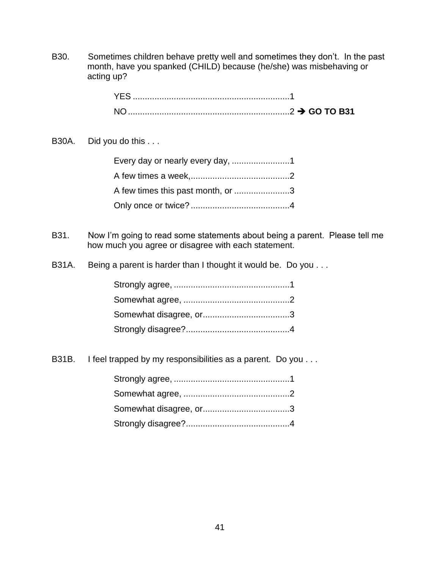B30. Sometimes children behave pretty well and sometimes they don't. In the past month, have you spanked (CHILD) because (he/she) was misbehaving or acting up?

B30A. Did you do this . . .

| A few times this past month, or 3 |  |
|-----------------------------------|--|
|                                   |  |

- B31. Now I'm going to read some statements about being a parent. Please tell me how much you agree or disagree with each statement.
- B31A. Being a parent is harder than I thought it would be. Do you ...

B31B. I feel trapped by my responsibilities as a parent. Do you . . .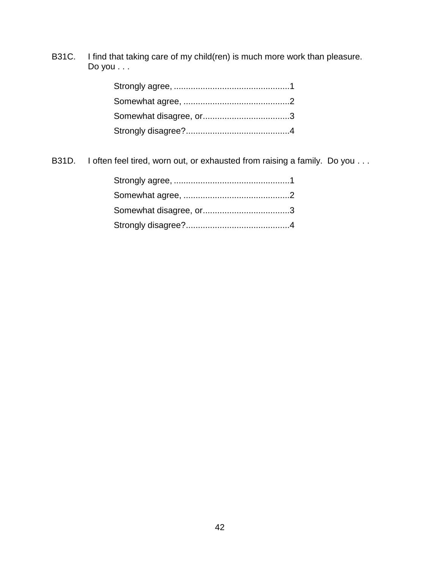B31C. I find that taking care of my child(ren) is much more work than pleasure. Do you . . .

B31D. I often feel tired, worn out, or exhausted from raising a family. Do you . . .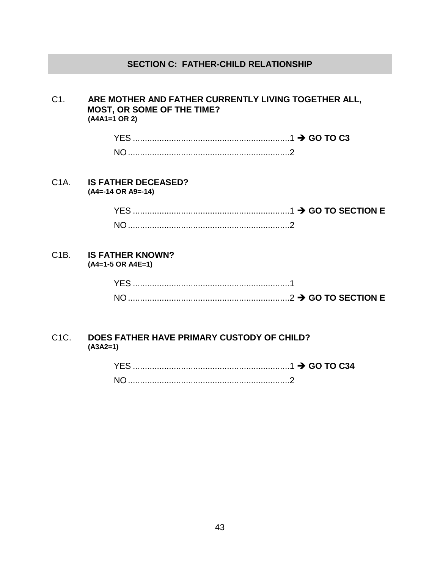## **SECTION C: FATHER-CHILD RELATIONSHIP**

#### C1. **ARE MOTHER AND FATHER CURRENTLY LIVING TOGETHER ALL, MOST, OR SOME OF THE TIME? (A4A1=1 OR 2)**

| $\ldots$ $\rightarrow$ GO TO C3 |
|---------------------------------|
|                                 |

C1A. **IS FATHER DECEASED? (A4=-14 OR A9=-14)**

> YES .................................................................1 **GO TO SECTION E** NO...................................................................2

#### C1B. **IS FATHER KNOWN? (A4=1-5 OR A4E=1)**

| <b>YES</b> |  |
|------------|--|
| <b>NO</b>  |  |

#### C1C. **DOES FATHER HAVE PRIMARY CUSTODY OF CHILD? (A3A2=1)**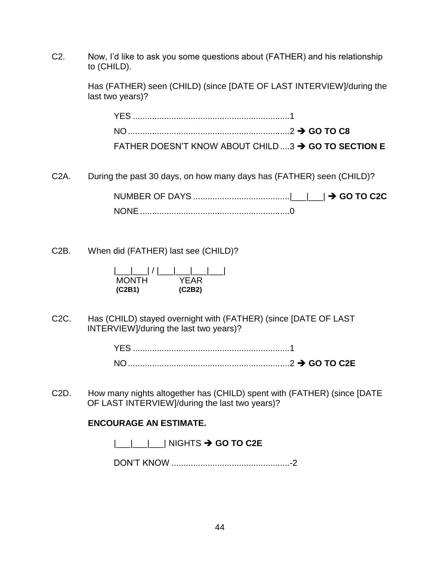C2. Now, I'd like to ask you some questions about (FATHER) and his relationship to (CHILD).

> Has (FATHER) seen (CHILD) (since [DATE OF LAST INTERVIEW]/during the last two years)?

| FATHER DOESN'T KNOW ABOUT CHILD 3 → GO TO SECTION E |  |
|-----------------------------------------------------|--|

C2A. During the past 30 days, on how many days has (FATHER) seen (CHILD)?

NUMBER OF DAYS ........................................|\_\_\_|\_\_\_| **GO TO C2C** NONE..............................................................0

C2B. When did (FATHER) last see (CHILD)?

| <b>MONTH</b> | YFAR   |
|--------------|--------|
| (C2B1)       | (C2B2) |

C2C. Has (CHILD) stayed overnight with (FATHER) (since [DATE OF LAST INTERVIEW]/during the last two years)?

> YES .................................................................1 NO...................................................................2 **GO TO C2E**

C2D. How many nights altogether has (CHILD) spent with (FATHER) (since [DATE OF LAST INTERVIEW]/during the last two years)?

#### **ENCOURAGE AN ESTIMATE.**

| | | | | | NIGHTS  $\rightarrow$  **GO TO C2E** 

DON'T KNOW .................................................-2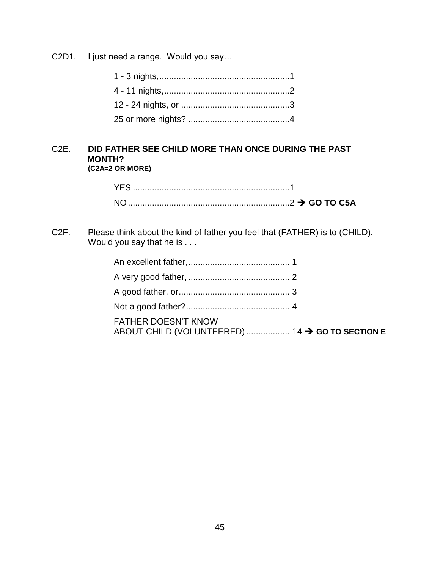C2D1. I just need a range. Would you say…

#### C2E. **DID FATHER SEE CHILD MORE THAN ONCE DURING THE PAST MONTH? (C2A=2 OR MORE)**

| YES. |  |
|------|--|
|      |  |

C2F. Please think about the kind of father you feel that (FATHER) is to (CHILD). Would you say that he is . . .

| <b>FATHER DOESN'T KNOW</b><br>ABOUT CHILD (VOLUNTEERED) 14 → GO TO SECTION E |  |
|------------------------------------------------------------------------------|--|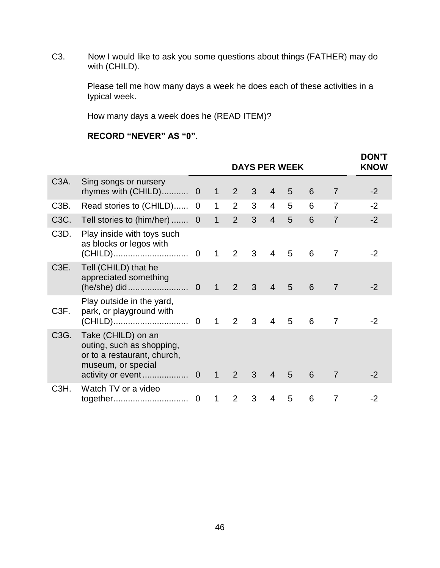C3. Now I would like to ask you some questions about things (FATHER) may do with (CHILD).

> Please tell me how many days a week he does each of these activities in a typical week.

How many days a week does he (READ ITEM)?

# **RECORD "NEVER" AS "0".**

|                   |                                                                                                      |                  |               |                |                |                | <b>DAYS PER WEEK</b> |   |                | <b>DON'T</b><br><b>KNOW</b> |
|-------------------|------------------------------------------------------------------------------------------------------|------------------|---------------|----------------|----------------|----------------|----------------------|---|----------------|-----------------------------|
| C <sub>3</sub> A. | Sing songs or nursery<br>rhymes with (CHILD) 0                                                       |                  | $\mathbf{1}$  | $2^{\circ}$    | 3 <sup>1</sup> | $\overline{4}$ | 5                    | 6 | 7              | $-2$                        |
| C <sub>3</sub> B. | Read stories to (CHILD)                                                                              | $\overline{0}$   | $\mathbf 1$   | $\overline{2}$ | 3              | $\overline{4}$ | 5                    | 6 | 7              | $-2$                        |
| C3C.              | Tell stories to (him/her)  0                                                                         |                  | $\mathbf{1}$  | $2^{\circ}$    | 3 <sup>1</sup> | $\overline{4}$ | 5                    | 6 | $\overline{7}$ | $-2$                        |
| C3D.              | Play inside with toys such<br>as blocks or legos with                                                |                  |               | $\overline{2}$ | 3 <sup>1</sup> | $\overline{4}$ | 5                    | 6 | $\overline{7}$ | $-2$                        |
| C <sub>3</sub> E. | Tell (CHILD) that he<br>appreciated something                                                        |                  | $\big  \big $ | 2 <sup>7</sup> | 3 <sup>7</sup> | $\overline{4}$ | 5                    | 6 | $\overline{7}$ | $-2$                        |
| C3F.              | Play outside in the yard,<br>park, or playground with                                                |                  |               | $2^{\circ}$    | $\mathbf{3}$   | $\overline{4}$ | 5                    | 6 | $\overline{7}$ | $-2$                        |
| C3G.              | Take (CHILD) on an<br>outing, such as shopping,<br>or to a restaurant, church,<br>museum, or special |                  |               | 2 <sup>7</sup> | $\mathbf{3}$   | $\overline{4}$ | 5                    | 6 | $\overline{7}$ | $-2$                        |
| C <sub>3</sub> H. | Watch TV or a video                                                                                  | $\boldsymbol{0}$ | $\mathbf 1$   | 2              | 3              | 4              | 5                    | 6 | 7              | $-2$                        |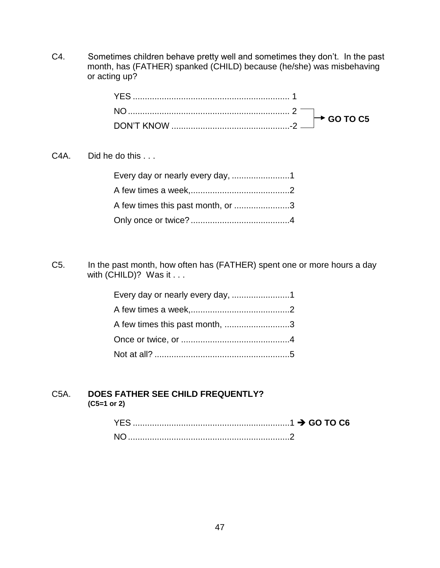C4. Sometimes children behave pretty well and sometimes they don't. In the past month, has (FATHER) spanked (CHILD) because (he/she) was misbehaving or acting up?

C4A. Did he do this . . .

| A few times this past month, or 3 |  |
|-----------------------------------|--|
|                                   |  |

C5. In the past month, how often has (FATHER) spent one or more hours a day with (CHILD)? Was it . . .

| Every day or nearly every day, 1 |  |
|----------------------------------|--|
|                                  |  |
| A few times this past month, 3   |  |
|                                  |  |
|                                  |  |

#### C5A. **DOES FATHER SEE CHILD FREQUENTLY? (C5=1 or 2)**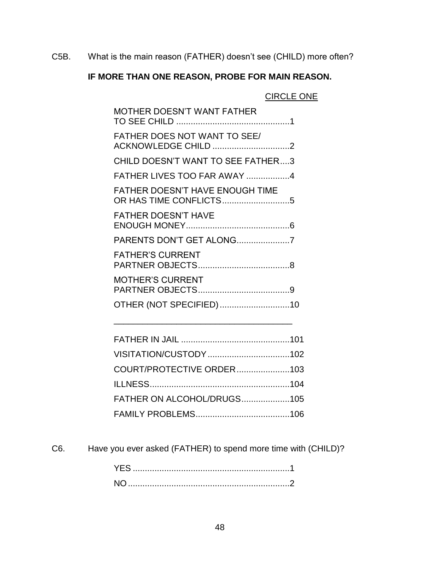C5B. What is the main reason (FATHER) doesn't see (CHILD) more often?

# **IF MORE THAN ONE REASON, PROBE FOR MAIN REASON.**

# CIRCLE ONE

| <b>MOTHER DOESN'T WANT FATHER</b>                                |
|------------------------------------------------------------------|
| <b>FATHER DOES NOT WANT TO SEE/</b><br>ACKNOWLEDGE CHILD 2       |
| CHILD DOESN'T WANT TO SEE FATHER3                                |
| FATHER LIVES TOO FAR AWAY 4                                      |
| <b>FATHER DOESN'T HAVE ENOUGH TIME</b><br>OR HAS TIME CONFLICTS5 |
| <b>FATHER DOESN'T HAVE</b>                                       |
| PARENTS DON'T GET ALONG7                                         |
| <b>FATHER'S CURRENT</b>                                          |
| <b>MOTHER'S CURRENT</b>                                          |
| OTHER (NOT SPECIFIED)10                                          |
|                                                                  |

| COURT/PROTECTIVE ORDER103  |  |
|----------------------------|--|
|                            |  |
| FATHER ON ALCOHOL/DRUGS105 |  |
|                            |  |

\_\_\_\_\_\_\_\_\_\_\_\_\_\_\_\_\_\_\_\_\_\_\_\_\_\_\_\_\_\_\_\_\_\_\_\_\_

C6. Have you ever asked (FATHER) to spend more time with (CHILD)?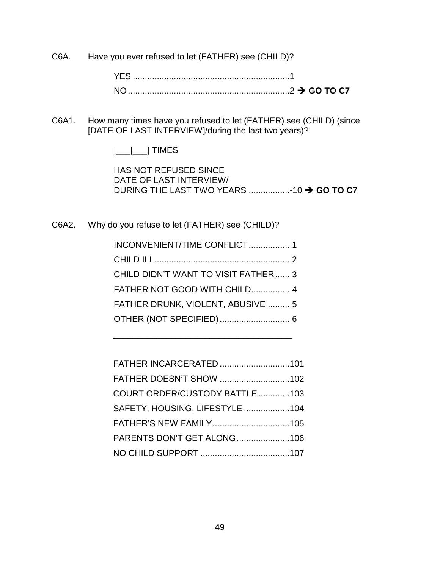C6A. Have you ever refused to let (FATHER) see (CHILD)?

YES .................................................................1 NO...................................................................2 **GO TO C7**

C6A1. How many times have you refused to let (FATHER) see (CHILD) (since [DATE OF LAST INTERVIEW]/during the last two years)?

|\_\_\_|\_\_\_| TIMES

HAS NOT REFUSED SINCE DATE OF LAST INTERVIEW/ DURING THE LAST TWO YEARS .................-10 **GO TO C7**

C6A2. Why do you refuse to let (FATHER) see (CHILD)?

| INCONVENIENT/TIME CONFLICT 1         |  |
|--------------------------------------|--|
|                                      |  |
| CHILD DIDN'T WANT TO VISIT FATHER  3 |  |
| FATHER NOT GOOD WITH CHILD 4         |  |
| FATHER DRUNK, VIOLENT, ABUSIVE  5    |  |
|                                      |  |
|                                      |  |

\_\_\_\_\_\_\_\_\_\_\_\_\_\_\_\_\_\_\_\_\_\_\_\_\_\_\_\_\_\_\_\_\_\_\_\_\_

| FATHER INCARCERATED 101        |  |
|--------------------------------|--|
| FATHER DOESN'T SHOW 102        |  |
| COURT ORDER/CUSTODY BATTLE 103 |  |
| SAFETY, HOUSING, LIFESTYLE 104 |  |
|                                |  |
| PARENTS DON'T GET ALONG106     |  |
|                                |  |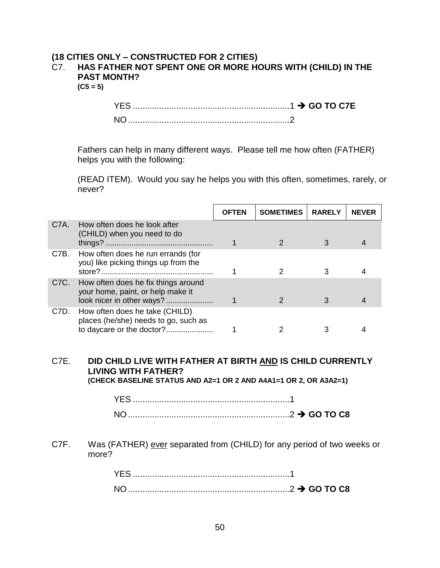#### **(18 CITIES ONLY – CONSTRUCTED FOR 2 CITIES)** C7. **HAS FATHER NOT SPENT ONE OR MORE HOURS WITH (CHILD) IN THE PAST MONTH?**

**(C5 = 5)**

| YES.           |  |
|----------------|--|
| N <sub>O</sub> |  |

Fathers can help in many different ways. Please tell me how often (FATHER) helps you with the following:

(READ ITEM). Would you say he helps you with this often, sometimes, rarely, or never?

|                   |                                                                                                       | <b>OFTEN</b> | <b>SOMETIMES</b> | <b>RARELY</b> | <b>NEVER</b> |
|-------------------|-------------------------------------------------------------------------------------------------------|--------------|------------------|---------------|--------------|
| C7A.              | How often does he look after<br>(CHILD) when you need to do                                           |              |                  |               |              |
| C7B.              | How often does he run errands (for<br>you) like picking things up from the                            |              |                  |               |              |
| C <sub>7</sub> C. | How often does he fix things around<br>your home, paint, or help make it<br>look nicer in other ways? |              |                  |               |              |
| C7D.              | How often does he take (CHILD)<br>places (he/she) needs to go, such as<br>to daycare or the doctor?   |              |                  |               |              |

# C7E. **DID CHILD LIVE WITH FATHER AT BIRTH AND IS CHILD CURRENTLY LIVING WITH FATHER?**

**(CHECK BASELINE STATUS AND A2=1 OR 2 AND A4A1=1 OR 2, OR A3A2=1)**

| <b>YES</b> |  |
|------------|--|
| N(         |  |

C7F. Was (FATHER) ever separated from (CHILD) for any period of two weeks or more?

| $\sim$ GO TO C8 |  |  |
|-----------------|--|--|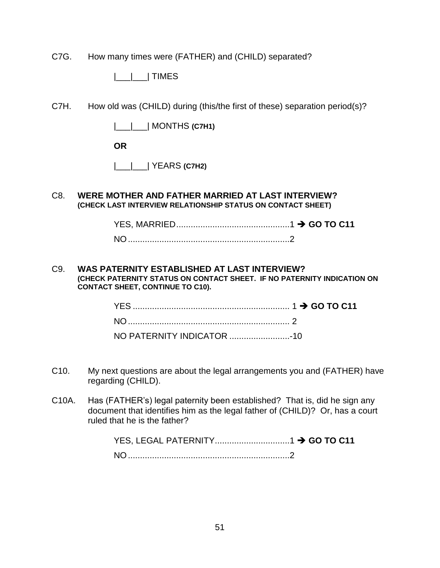C7G. How many times were (FATHER) and (CHILD) separated?

|\_\_\_|\_\_\_| TIMES

C7H. How old was (CHILD) during (this/the first of these) separation period(s)?

|\_\_\_|\_\_\_| MONTHS **(C7H1)**

**OR**

|\_\_\_|\_\_\_| YEARS **(C7H2)**

#### C8. **WERE MOTHER AND FATHER MARRIED AT LAST INTERVIEW? (CHECK LAST INTERVIEW RELATIONSHIP STATUS ON CONTACT SHEET)**

#### C9. **WAS PATERNITY ESTABLISHED AT LAST INTERVIEW? (CHECK PATERNITY STATUS ON CONTACT SHEET. IF NO PATERNITY INDICATION ON CONTACT SHEET, CONTINUE TO C10).**

- C10. My next questions are about the legal arrangements you and (FATHER) have regarding (CHILD).
- C10A. Has (FATHER's) legal paternity been established? That is, did he sign any document that identifies him as the legal father of (CHILD)? Or, has a court ruled that he is the father?

| NO. |  |
|-----|--|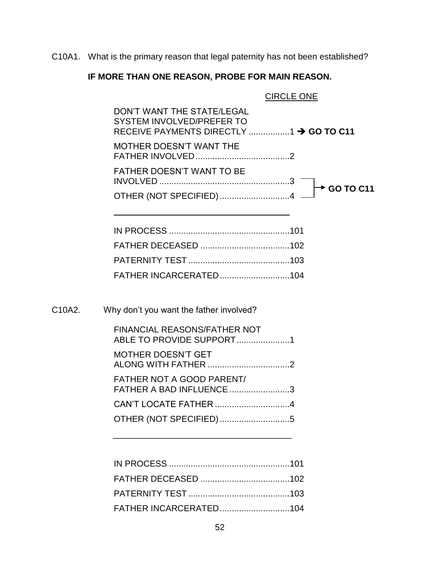C10A1. What is the primary reason that legal paternity has not been established?

# **IF MORE THAN ONE REASON, PROBE FOR MAIN REASON.**

| <b>CIRCLE ONE</b>                                                                                  |
|----------------------------------------------------------------------------------------------------|
| DON'T WANT THE STATE/LEGAL<br>SYSTEM INVOLVED/PREFER TO<br>RECEIVE PAYMENTS DIRECTLY 1 → GO TO C11 |
| <b>MOTHER DOESN'T WANT THE</b>                                                                     |
| <b>FATHER DOESN'T WANT TO BE</b><br><b>► GO TO C11</b>                                             |
| OTHER (NOT SPECIFIED) 4                                                                            |
|                                                                                                    |
|                                                                                                    |
|                                                                                                    |
|                                                                                                    |
| Why don't you want the father involved?                                                            |
| <b>FINANCIAL REASONS/FATHER NOT</b><br>ABLE TO PROVIDE SUPPORT1                                    |
| <b>MOTHER DOESN'T GET</b>                                                                          |
| <b>FATHER NOT A GOOD PARENT/</b><br>FATHER A BAD INFLUENCE 3                                       |
| CAN'T LOCATE FATHER 4                                                                              |
| OTHER (NOT SPECIFIED)5                                                                             |

C10A2.

\_\_\_\_\_\_\_\_\_\_\_\_\_\_\_\_\_\_\_\_\_\_\_\_\_\_\_\_\_\_\_\_\_\_\_\_\_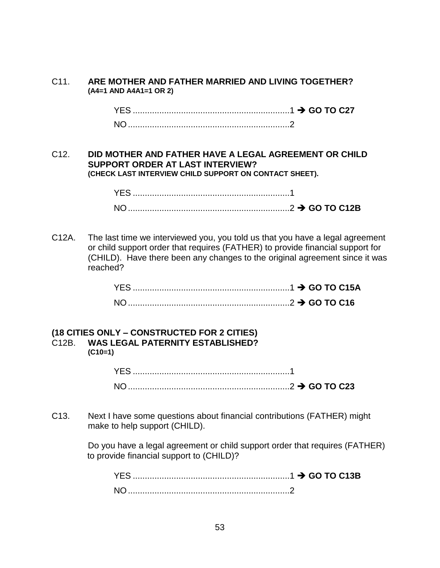#### C11. **ARE MOTHER AND FATHER MARRIED AND LIVING TOGETHER? (A4=1 AND A4A1=1 OR 2)**

YES .................................................................1 **GO TO C27** NO...................................................................2

#### C12. **DID MOTHER AND FATHER HAVE A LEGAL AGREEMENT OR CHILD SUPPORT ORDER AT LAST INTERVIEW? (CHECK LAST INTERVIEW CHILD SUPPORT ON CONTACT SHEET).**

| YES.     |  |
|----------|--|
| $N \cap$ |  |

C12A. The last time we interviewed you, you told us that you have a legal agreement or child support order that requires (FATHER) to provide financial support for (CHILD). Have there been any changes to the original agreement since it was reached?

| $NO1$ . |  |
|---------|--|

#### **(18 CITIES ONLY – CONSTRUCTED FOR 2 CITIES)** C12B. **WAS LEGAL PATERNITY ESTABLISHED? (C10=1)**

C13. Next I have some questions about financial contributions (FATHER) might make to help support (CHILD).

> Do you have a legal agreement or child support order that requires (FATHER) to provide financial support to (CHILD)?

YES .................................................................1 **GO TO C13B** NO...................................................................2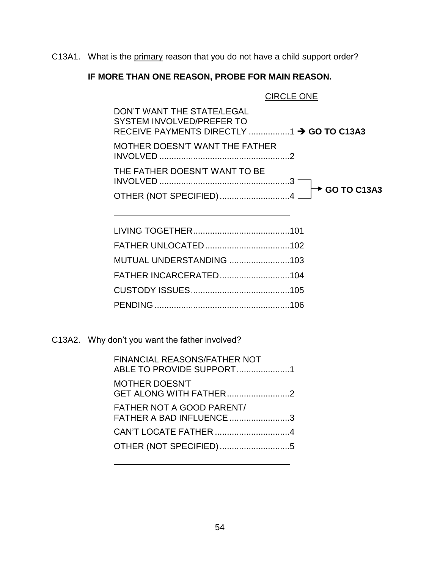C13A1. What is the primary reason that you do not have a child support order?

# **IF MORE THAN ONE REASON, PROBE FOR MAIN REASON.**

CIRCLE ONE

| DON'T WANT THE STATE/LEGAL<br>SYSTEM INVOLVED/PREFER TO |  |
|---------------------------------------------------------|--|
| MOTHER DOESN'T WANT THE FATHER                          |  |
| THE FATHER DOESN'T WANT TO BE                           |  |
|                                                         |  |

| MUTUAL UNDERSTANDING 103 |
|--------------------------|
|                          |
|                          |
|                          |
|                          |

C13A2. Why don't you want the father involved?

| <b>FINANCIAL REASONS/FATHER NOT</b><br>ABLE TO PROVIDE SUPPORT1 |  |
|-----------------------------------------------------------------|--|
| <b>MOTHER DOESN'T</b><br>GET ALONG WITH FATHER2                 |  |
| FATHER NOT A GOOD PARENT/<br>FATHER A BAD INFLUENCE 3           |  |
|                                                                 |  |
| OTHER (NOT SPECIFIED)5                                          |  |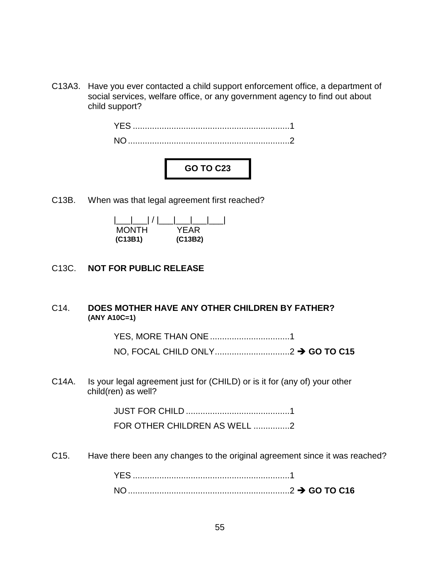C13A3. Have you ever contacted a child support enforcement office, a department of social services, welfare office, or any government agency to find out about child support?



C13B. When was that legal agreement first reached?

| <b>MONTH</b> | YFAR    |
|--------------|---------|
| (C13B1)      | (C13B2) |

## C13C. **NOT FOR PUBLIC RELEASE**

#### C14. **DOES MOTHER HAVE ANY OTHER CHILDREN BY FATHER? (ANY A10C=1)**

YES, MORE THAN ONE.................................1 NO, FOCAL CHILD ONLY...............................2 **GO TO C15**

C14A. Is your legal agreement just for (CHILD) or is it for (any of) your other child(ren) as well?

JUST FOR CHILD ...........................................1

FOR OTHER CHILDREN AS WELL ...............2

C15. Have there been any changes to the original agreement since it was reached?

YES .................................................................1 NO...................................................................2 **GO TO C16**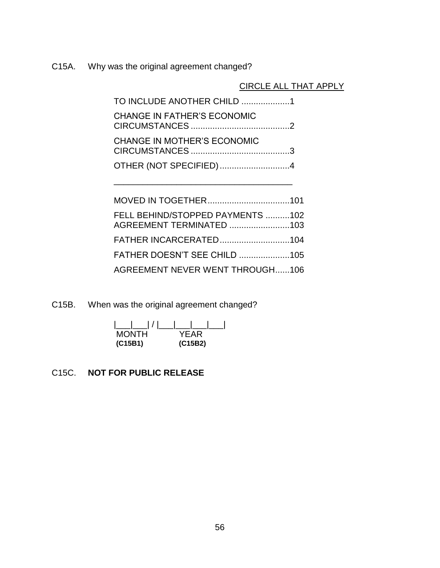C15A. Why was the original agreement changed?

CIRCLE ALL THAT APPLY

| TO INCLUDE ANOTHER CHILD 1         |  |
|------------------------------------|--|
| <b>CHANGE IN FATHER'S ECONOMIC</b> |  |
| <b>CHANGE IN MOTHER'S ECONOMIC</b> |  |
| OTHER (NOT SPECIFIED) 4            |  |

\_\_\_\_\_\_\_\_\_\_\_\_\_\_\_\_\_\_\_\_\_\_\_\_\_\_\_\_\_\_\_\_\_\_\_\_\_

| FELL BEHIND/STOPPED PAYMENTS 102       |  |
|----------------------------------------|--|
|                                        |  |
|                                        |  |
| <b>AGREEMENT NEVER WENT THROUGH106</b> |  |

C15B. When was the original agreement changed?

| <b>MONTH</b> | YFAR    |
|--------------|---------|
| (C15B1)      | (C15B2) |

# C15C. **NOT FOR PUBLIC RELEASE**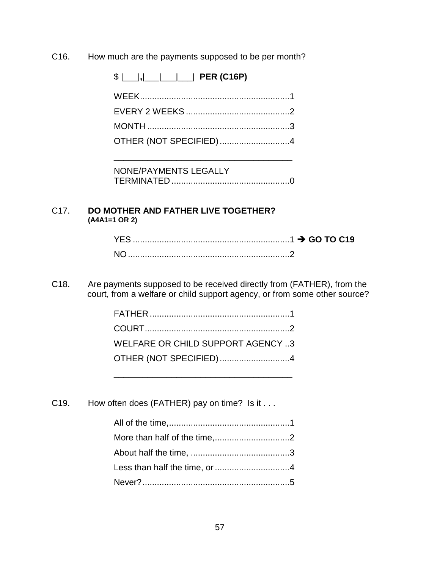C16. How much are the payments supposed to be per month?

\$ |\_\_\_|**,**|\_\_\_|\_\_\_|\_\_\_| **PER (C16P)**

| OTHER (NOT SPECIFIED)4 |  |
|------------------------|--|

NONE/PAYMENTS LEGALLY TERMINATED .................................................0

\_\_\_\_\_\_\_\_\_\_\_\_\_\_\_\_\_\_\_\_\_\_\_\_\_\_\_\_\_\_\_\_\_\_\_\_\_

#### C17. **DO MOTHER AND FATHER LIVE TOGETHER? (A4A1=1 OR 2)**

| NO. |  |
|-----|--|

C18. Are payments supposed to be received directly from (FATHER), from the court, from a welfare or child support agency, or from some other source?

| WELFARE OR CHILD SUPPORT AGENCY 3 |  |
|-----------------------------------|--|
| OTHER (NOT SPECIFIED)4            |  |

C19. How often does (FATHER) pay on time? Is it . . .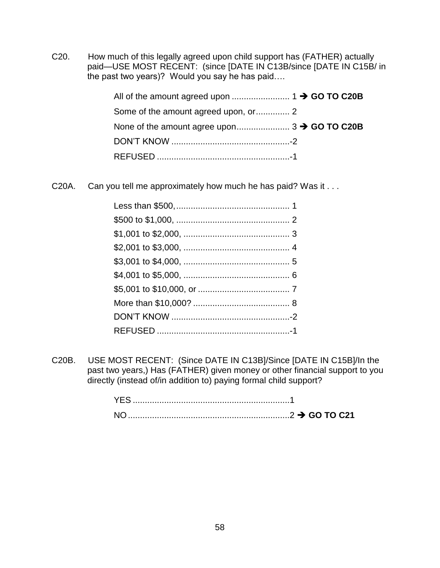C20. How much of this legally agreed upon child support has (FATHER) actually paid—USE MOST RECENT: (since [DATE IN C13B/since [DATE IN C15B/ in the past two years)? Would you say he has paid….

C20A. Can you tell me approximately how much he has paid? Was it . . .

C20B. USE MOST RECENT: (Since DATE IN C13B]/Since [DATE IN C15B]/In the past two years,) Has (FATHER) given money or other financial support to you directly (instead of/in addition to) paying formal child support?

| YES.      |  |
|-----------|--|
| <b>NO</b> |  |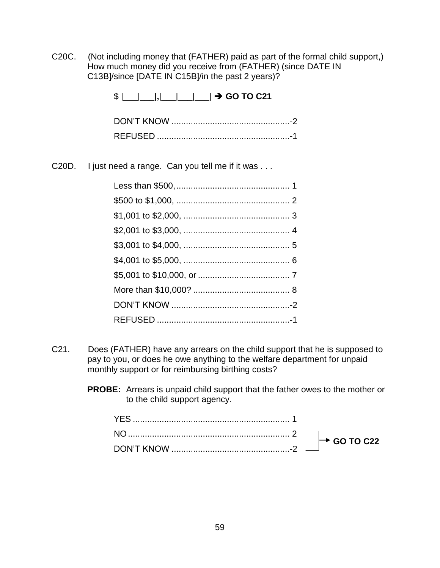C20C. (Not including money that (FATHER) paid as part of the formal child support,) How much money did you receive from (FATHER) (since DATE IN C13B]/since [DATE IN C15B]/in the past 2 years)?

| $\frac{1}{2}$ $\frac{1}{2}$ $\frac{1}{2}$ $\frac{1}{2}$ $\frac{1}{2}$ GO TO C21<br>DON'T KNOW |
|-----------------------------------------------------------------------------------------------|

C20D. I just need a range. Can you tell me if it was . . .

- C21. Does (FATHER) have any arrears on the child support that he is supposed to pay to you, or does he owe anything to the welfare department for unpaid monthly support or for reimbursing birthing costs?
	- **PROBE:** Arrears is unpaid child support that the father owes to the mother or to the child support agency.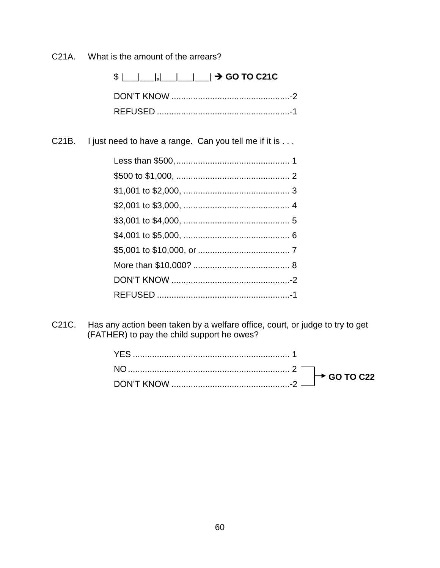What is the amount of the arrears? C<sub>21</sub>A.

> \$ |\_\_|\_\_|, |\_\_\_|\_\_\_|\_\_\_| → GO TO C21C

I just need to have a range. Can you tell me if it is . . . C21B.

Has any action been taken by a welfare office, court, or judge to try to get C21C. (FATHER) to pay the child support he owes?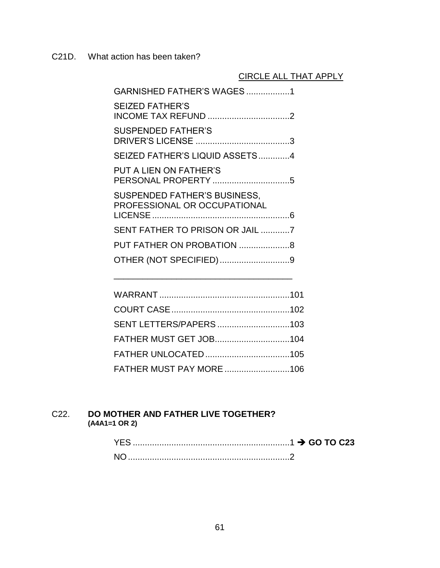C21D. What action has been taken?

# CIRCLE ALL THAT APPLY

| GARNISHED FATHER'S WAGES1                                           |  |
|---------------------------------------------------------------------|--|
| <b>SEIZED FATHER'S</b>                                              |  |
| <b>SUSPENDED FATHER'S</b>                                           |  |
| SEIZED FATHER'S LIQUID ASSETS4                                      |  |
| <b>PUT A LIEN ON FATHER'S</b>                                       |  |
| <b>SUSPENDED FATHER'S BUSINESS,</b><br>PROFESSIONAL OR OCCUPATIONAL |  |
| SENT FATHER TO PRISON OR JAIL 7                                     |  |
|                                                                     |  |
| OTHER (NOT SPECIFIED) 9                                             |  |
|                                                                     |  |

| SENT LETTERS/PAPERS103 |  |
|------------------------|--|
|                        |  |
|                        |  |
|                        |  |

\_\_\_\_\_\_\_\_\_\_\_\_\_\_\_\_\_\_\_\_\_\_\_\_\_\_\_\_\_\_\_\_\_\_\_\_\_

#### C22. **DO MOTHER AND FATHER LIVE TOGETHER? (A4A1=1 OR 2)**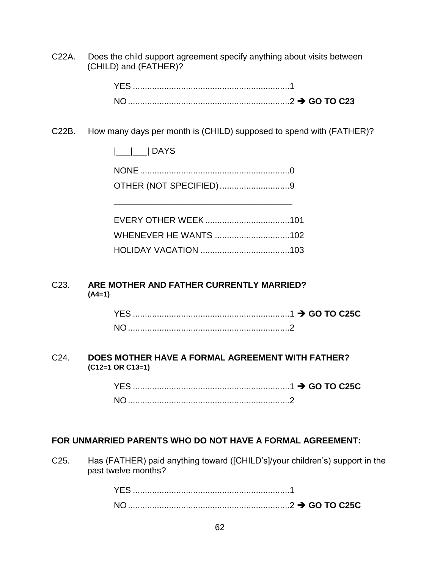C22A. Does the child support agreement specify anything about visits between (CHILD) and (FATHER)?

#### C22B. How many days per month is (CHILD) supposed to spend with (FATHER)?

|\_\_\_|\_\_\_| DAYS

NONE..............................................................0 OTHER (NOT SPECIFIED).............................9

\_\_\_\_\_\_\_\_\_\_\_\_\_\_\_\_\_\_\_\_\_\_\_\_\_\_\_\_\_\_\_\_\_\_\_\_\_

#### C23. **ARE MOTHER AND FATHER CURRENTLY MARRIED? (A4=1)**

#### C24. **DOES MOTHER HAVE A FORMAL AGREEMENT WITH FATHER? (C12=1 OR C13=1)**

YES .................................................................1 **GO TO C25C** NO...................................................................2

#### **FOR UNMARRIED PARENTS WHO DO NOT HAVE A FORMAL AGREEMENT:**

C25. Has (FATHER) paid anything toward ([CHILD's]/your children's) support in the past twelve months?

| <b>YES</b> |  |
|------------|--|
| $N \cap$   |  |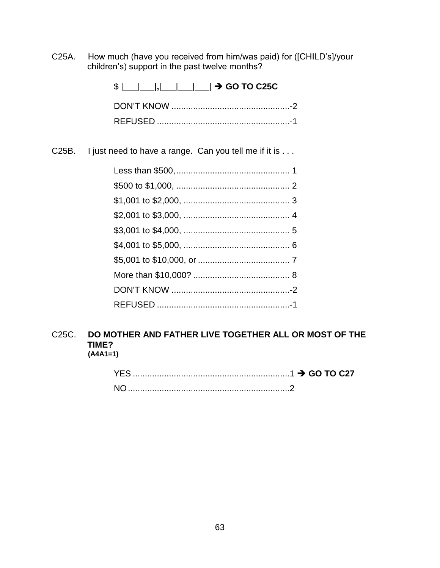C25A. How much (have you received from him/was paid) for ([CHILD's]/your children's) support in the past twelve months?

\$ |\_\_\_|\_\_\_|**,**|\_\_\_|\_\_\_|\_\_\_| **GO TO C25C**

C25B. I just need to have a range. Can you tell me if it is . . .

#### C25C. **DO MOTHER AND FATHER LIVE TOGETHER ALL OR MOST OF THE TIME? (A4A1=1)**

| YFS. |  |
|------|--|
|      |  |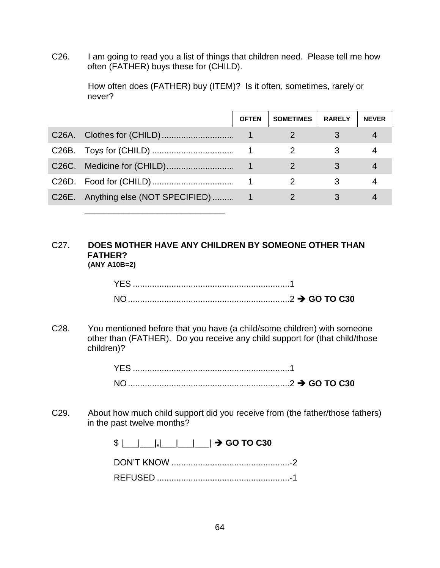C26. I am going to read you a list of things that children need. Please tell me how often (FATHER) buys these for (CHILD).

> How often does (FATHER) buy (ITEM)? Is it often, sometimes, rarely or never?

|       | <b>OFTEN</b> | <b>SOMETIMES</b> | <b>RARELY</b> | <b>NEVER</b> |
|-------|--------------|------------------|---------------|--------------|
|       |              |                  |               |              |
|       |              |                  |               |              |
|       |              |                  |               |              |
|       |              |                  | 3             |              |
| C26E. |              |                  |               |              |

#### C27. **DOES MOTHER HAVE ANY CHILDREN BY SOMEONE OTHER THAN FATHER? (ANY A10B=2)**

\_\_\_\_\_\_\_\_\_\_\_\_\_\_\_\_\_\_\_\_\_\_\_\_\_\_\_\_\_

C28. You mentioned before that you have (a child/some children) with someone other than (FATHER). Do you receive any child support for (that child/those children)?

C29. About how much child support did you receive from (the father/those fathers) in the past twelve months?

| $\frac{1}{2}$ $\frac{1}{2}$ $\frac{1}{2}$ $\frac{1}{2}$ $\frac{1}{2}$ $\frac{1}{2}$ GO TO C30 |  |
|-----------------------------------------------------------------------------------------------|--|
|                                                                                               |  |
|                                                                                               |  |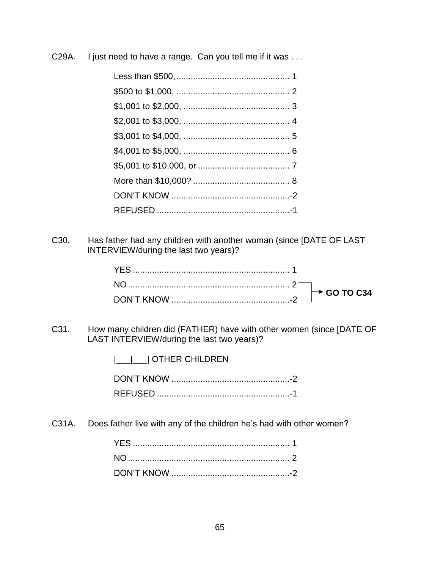C29A. I just need to have a range. Can you tell me if it was ...

C30. Has father had any children with another woman (since [DATE OF LAST INTERVIEW/during the last two years)?

C31. How many children did (FATHER) have with other women (since [DATE OF LAST INTERVIEW/during the last two years)?

|\_\_\_|\_\_\_| OTHER CHILDREN

DON'T KNOW .................................................-2 REFUSED .......................................................-1

C31A. Does father live with any of the children he's had with other women?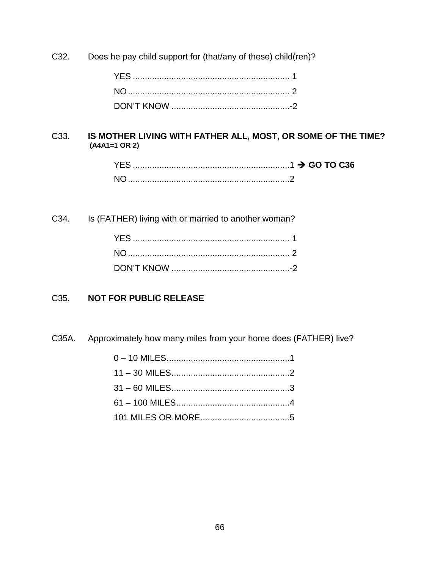C32. Does he pay child support for (that/any of these) child(ren)?

## C33. **IS MOTHER LIVING WITH FATHER ALL, MOST, OR SOME OF THE TIME? (A4A1=1 OR 2)**

| YES. |  |
|------|--|
|      |  |

C34. Is (FATHER) living with or married to another woman?

#### C35. **NOT FOR PUBLIC RELEASE**

C35A. Approximately how many miles from your home does (FATHER) live?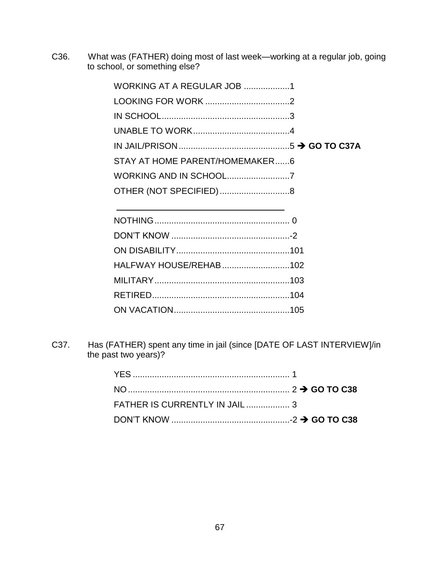C36. What was (FATHER) doing most of last week—working at a regular job, going to school, or something else?

| WORKING AT A REGULAR JOB 1     |  |
|--------------------------------|--|
|                                |  |
|                                |  |
|                                |  |
|                                |  |
| STAY AT HOME PARENT/HOMEMAKER6 |  |
|                                |  |
| OTHER (NOT SPECIFIED)8         |  |
|                                |  |

| HALFWAY HOUSE/REHAB102 |  |
|------------------------|--|
|                        |  |
|                        |  |
|                        |  |

C37. Has (FATHER) spent any time in jail (since [DATE OF LAST INTERVIEW]/in the past two years)?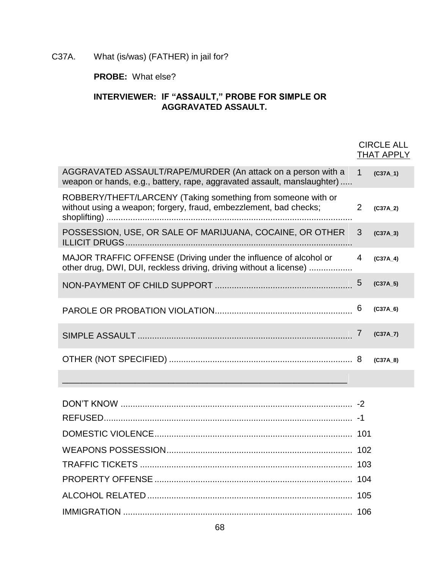# C37A. What (is/was) (FATHER) in jail for?

# **PROBE:** What else?

#### **INTERVIEWER: IF "ASSAULT," PROBE FOR SIMPLE OR AGGRAVATED ASSAULT.**

|                                                                                                                                         |             | <b>CIRCLE ALL</b><br><b>THAT APPLY</b> |
|-----------------------------------------------------------------------------------------------------------------------------------------|-------------|----------------------------------------|
| AGGRAVATED ASSAULT/RAPE/MURDER (An attack on a person with a<br>weapon or hands, e.g., battery, rape, aggravated assault, manslaughter) | $\mathbf 1$ | $(C37A_1)$                             |
| ROBBERY/THEFT/LARCENY (Taking something from someone with or<br>without using a weapon; forgery, fraud, embezzlement, bad checks;       | 2           | (C37A <sub>2</sub> )                   |
| POSSESSION, USE, OR SALE OF MARIJUANA, COCAINE, OR OTHER                                                                                | 3           | (C37A <sub>3</sub> )                   |
| MAJOR TRAFFIC OFFENSE (Driving under the influence of alcohol or<br>other drug, DWI, DUI, reckless driving, driving without a license)  | 4           | (C37A 4)                               |
|                                                                                                                                         | 5           | (C37A <sub>5</sub> )                   |
|                                                                                                                                         | 6           | $(C37A_6)$                             |
|                                                                                                                                         |             | (C37A 7)                               |
|                                                                                                                                         |             | (C37A 8)                               |

\_\_\_\_\_\_\_\_\_\_\_\_\_\_\_\_\_\_\_\_\_\_\_\_\_\_\_\_\_\_\_\_\_\_\_\_\_\_\_\_\_\_\_\_\_\_\_\_\_\_\_\_\_\_\_\_\_\_\_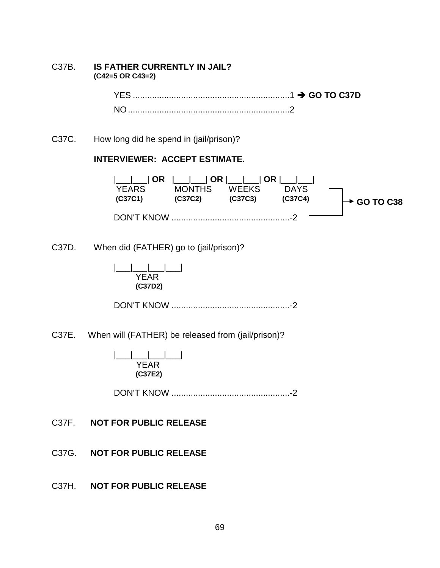#### C37B. **IS FATHER CURRENTLY IN JAIL? (C42=5 OR C43=2)**

YES .................................................................1 **GO TO C37D** NO...................................................................2

C37C. How long did he spend in (jail/prison)?

#### **INTERVIEWER: ACCEPT ESTIMATE.**



C37D. When did (FATHER) go to (jail/prison)?

|\_\_\_|\_\_\_|\_\_\_|\_\_\_| YEAR<sup>1</sup>  **(C37D2)**

DON'T KNOW .................................................-2

C37E. When will (FATHER) be released from (jail/prison)?

|\_\_\_|\_\_\_|\_\_\_|\_\_\_| YEAR  **(C37E2)**

DON'T KNOW .................................................-2

C37F. **NOT FOR PUBLIC RELEASE**

C37G. **NOT FOR PUBLIC RELEASE**

C37H. **NOT FOR PUBLIC RELEASE**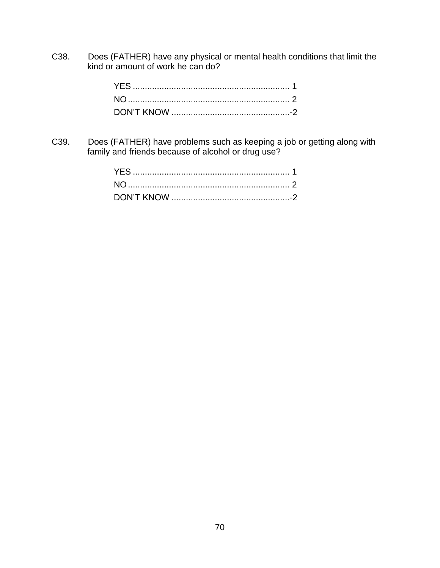C38. Does (FATHER) have any physical or mental health conditions that limit the kind or amount of work he can do?

C39. Does (FATHER) have problems such as keeping a job or getting along with family and friends because of alcohol or drug use?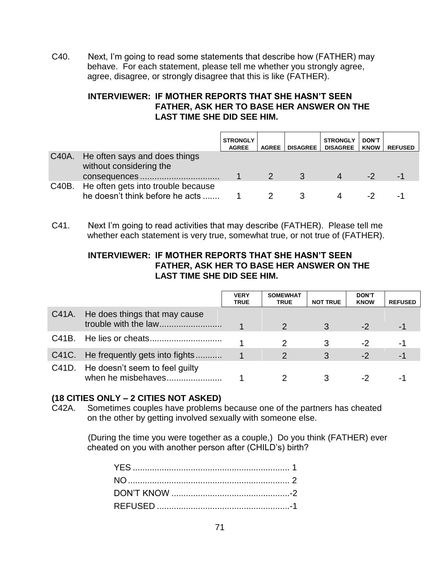C40. Next, I'm going to read some statements that describe how (FATHER) may behave. For each statement, please tell me whether you strongly agree, agree, disagree, or strongly disagree that this is like (FATHER).

# **INTERVIEWER: IF MOTHER REPORTS THAT SHE HASN'T SEEN FATHER, ASK HER TO BASE HER ANSWER ON THE LAST TIME SHE DID SEE HIM.**

|                                                                             | <b>STRONGLY</b><br><b>AGREE</b> | <b>AGREE</b> | <b>DISAGREE</b> | <b>STRONGLY</b><br><b>DISAGREE</b> | <b>DON'T</b><br><b>KNOW</b> | <b>REFUSED</b> |
|-----------------------------------------------------------------------------|---------------------------------|--------------|-----------------|------------------------------------|-----------------------------|----------------|
| C40A. He often says and does things<br>without considering the              |                                 |              |                 |                                    |                             |                |
|                                                                             |                                 |              |                 | 4                                  | -2                          | -1             |
| C40B. He often gets into trouble because<br>he doesn't think before he acts |                                 |              |                 |                                    |                             |                |

C41. Next I'm going to read activities that may describe (FATHER). Please tell me whether each statement is very true, somewhat true, or not true of (FATHER).

## **INTERVIEWER: IF MOTHER REPORTS THAT SHE HASN'T SEEN FATHER, ASK HER TO BASE HER ANSWER ON THE LAST TIME SHE DID SEE HIM.**

|                                                            | <b>VERY</b><br><b>TRUE</b> | <b>SOMEWHAT</b><br><b>TRUE</b> | <b>NOT TRUE</b> | <b>DON'T</b><br><b>KNOW</b> | <b>REFUSED</b> |
|------------------------------------------------------------|----------------------------|--------------------------------|-----------------|-----------------------------|----------------|
| C41A. He does things that may cause                        |                            |                                |                 | $-2$                        | -1             |
|                                                            |                            |                                |                 | -2                          | -1             |
| C41C. He frequently gets into fights                       |                            |                                |                 | $-2$                        | $-1$           |
| C41D. He doesn't seem to feel guilty<br>when he misbehaves |                            |                                |                 |                             | -              |

# **(18 CITIES ONLY – 2 CITIES NOT ASKED)**

C42A. Sometimes couples have problems because one of the partners has cheated on the other by getting involved sexually with someone else.

> (During the time you were together as a couple,) Do you think (FATHER) ever cheated on you with another person after (CHILD's) birth?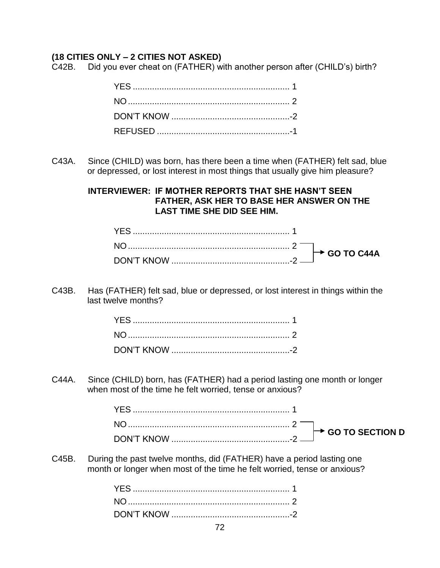## **(18 CITIES ONLY – 2 CITIES NOT ASKED)**

C42B. Did you ever cheat on (FATHER) with another person after (CHILD's) birth?

C43A. Since (CHILD) was born, has there been a time when (FATHER) felt sad, blue or depressed, or lost interest in most things that usually give him pleasure?

> **INTERVIEWER: IF MOTHER REPORTS THAT SHE HASN'T SEEN FATHER, ASK HER TO BASE HER ANSWER ON THE LAST TIME SHE DID SEE HIM.**

C43B. Has (FATHER) felt sad, blue or depressed, or lost interest in things within the last twelve months?

C44A. Since (CHILD) born, has (FATHER) had a period lasting one month or longer when most of the time he felt worried, tense or anxious?

C45B. During the past twelve months, did (FATHER) have a period lasting one month or longer when most of the time he felt worried, tense or anxious?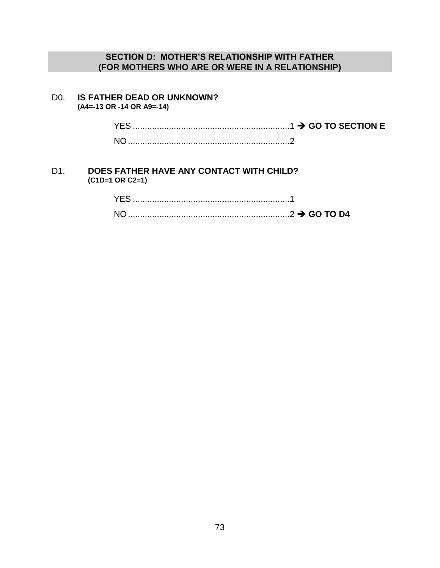## **SECTION D: MOTHER'S RELATIONSHIP WITH FATHER (FOR MOTHERS WHO ARE OR WERE IN A RELATIONSHIP)**

#### D0. **IS FATHER DEAD OR UNKNOWN? (A4=-13 OR -14 OR A9=-14)**

YES .................................................................1 **GO TO SECTION E** NO...................................................................2

#### D1. **DOES FATHER HAVE ANY CONTACT WITH CHILD? (C1D=1 OR C2=1)**

| <b>NO</b> |  |
|-----------|--|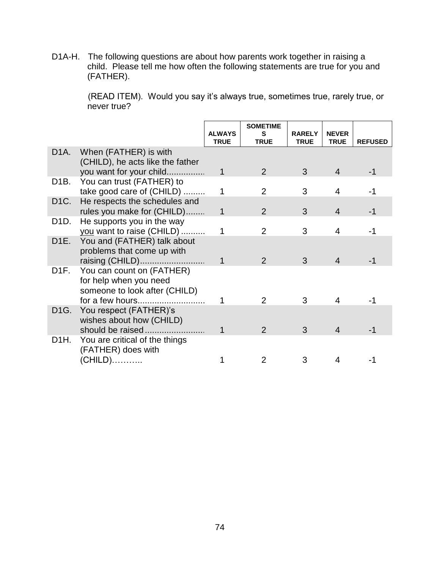D1A-H. The following questions are about how parents work together in raising a child. Please tell me how often the following statements are true for you and (FATHER).

> (READ ITEM). Would you say it's always true, sometimes true, rarely true, or never true?

|                   |                                                                                      | <b>ALWAYS</b><br><b>TRUE</b> | <b>SOMETIME</b><br>S<br><b>TRUE</b> | <b>RARELY</b><br><b>TRUE</b> | <b>NEVER</b><br><b>TRUE</b> | <b>REFUSED</b> |
|-------------------|--------------------------------------------------------------------------------------|------------------------------|-------------------------------------|------------------------------|-----------------------------|----------------|
| D1A.              | When (FATHER) is with<br>(CHILD), he acts like the father                            |                              |                                     |                              |                             |                |
|                   | you want for your child                                                              | 1                            | $\mathcal{P}$                       | 3                            | 4                           | -1             |
| D1B.              | You can trust (FATHER) to<br>take good care of (CHILD)                               | 1                            | 2                                   | 3                            | 4                           |                |
| D <sub>1</sub> C. | He respects the schedules and<br>rules you make for (CHILD)                          | $\mathbf 1$                  | $\mathcal{P}$                       | 3                            | 4                           | -1             |
| D1D.              | He supports you in the way                                                           |                              |                                     |                              |                             |                |
|                   | you want to raise (CHILD)                                                            | 1                            | $\mathcal{P}$                       | 3                            | 4                           |                |
| D <sub>1</sub> E. | You and (FATHER) talk about<br>problems that come up with                            |                              |                                     |                              |                             |                |
|                   | raising (CHILD)                                                                      | 1                            | $\mathcal{P}$                       | 3                            | 4                           |                |
| D1F.              | You can count on (FATHER)<br>for help when you need<br>someone to look after (CHILD) |                              |                                     |                              |                             |                |
|                   | for a few hours                                                                      |                              | 2                                   | 3                            | 4                           |                |
| D1G.              | You respect (FATHER)'s<br>wishes about how (CHILD)                                   |                              |                                     |                              |                             |                |
|                   | should be raised                                                                     |                              | $\mathcal{P}$                       | 3                            | 4                           | -1             |
| D1H.              | You are critical of the things<br>(FATHER) does with                                 |                              |                                     |                              |                             |                |
|                   | (CHILD)                                                                              |                              |                                     | 3                            |                             |                |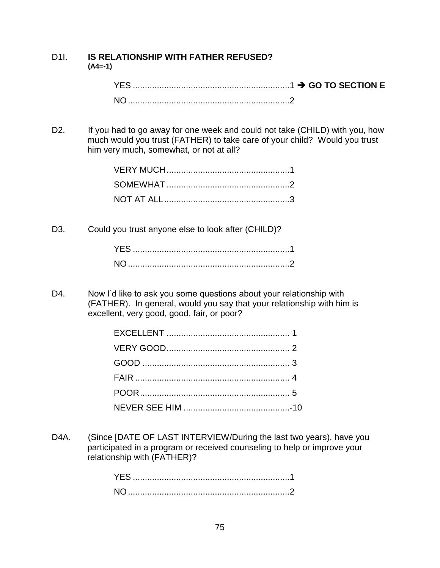#### D1I. **IS RELATIONSHIP WITH FATHER REFUSED? (A4=-1)**

D2. If you had to go away for one week and could not take (CHILD) with you, how much would you trust (FATHER) to take care of your child? Would you trust him very much, somewhat, or not at all?

D3. Could you trust anyone else to look after (CHILD)?

D4. Now I'd like to ask you some questions about your relationship with (FATHER). In general, would you say that your relationship with him is excellent, very good, good, fair, or poor?

D4A. (Since [DATE OF LAST INTERVIEW/During the last two years), have you participated in a program or received counseling to help or improve your relationship with (FATHER)?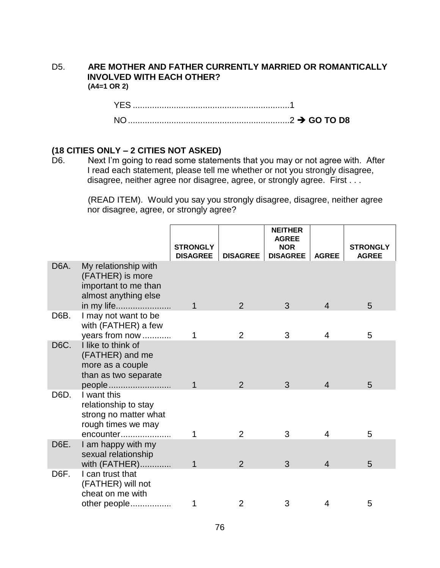#### D5. **ARE MOTHER AND FATHER CURRENTLY MARRIED OR ROMANTICALLY INVOLVED WITH EACH OTHER? (A4=1 OR 2)**

YES .................................................................1 NO...................................................................2 **GO TO D8**

### **(18 CITIES ONLY – 2 CITIES NOT ASKED)**

D6. Next I'm going to read some statements that you may or not agree with. After I read each statement, please tell me whether or not you strongly disagree, disagree, neither agree nor disagree, agree, or strongly agree. First . . .

> (READ ITEM). Would you say you strongly disagree, disagree, neither agree nor disagree, agree, or strongly agree?

|                   |                                                                                                        | <b>STRONGLY</b><br><b>DISAGREE</b> | <b>DISAGREE</b> | <b>NEITHER</b><br><b>AGREE</b><br><b>NOR</b><br><b>DISAGREE</b> | <b>AGREE</b>   | <b>STRONGLY</b><br><b>AGREE</b> |
|-------------------|--------------------------------------------------------------------------------------------------------|------------------------------------|-----------------|-----------------------------------------------------------------|----------------|---------------------------------|
| D <sub>6</sub> A. | My relationship with<br>(FATHER) is more<br>important to me than<br>almost anything else<br>in my life | $\overline{1}$                     | 2               | 3                                                               | $\overline{4}$ | 5                               |
| D6B.              | I may not want to be<br>with (FATHER) a few<br>years from now                                          | 1                                  | 2               | 3                                                               | 4              | 5                               |
| D6C.              | I like to think of<br>(FATHER) and me<br>more as a couple<br>than as two separate<br>people            | 1                                  | 2               | 3                                                               | $\overline{4}$ | 5                               |
| D6D.              | I want this<br>relationship to stay<br>strong no matter what<br>rough times we may<br>encounter        |                                    | $\overline{2}$  | 3                                                               | 4              | 5                               |
| D6E.              | I am happy with my<br>sexual relationship<br>with (FATHER)                                             |                                    | 2               | 3                                                               | 4              | 5                               |
| D <sub>6</sub> F. | I can trust that<br>(FATHER) will not<br>cheat on me with<br>other people                              |                                    | $\overline{2}$  | 3                                                               | 4              | 5                               |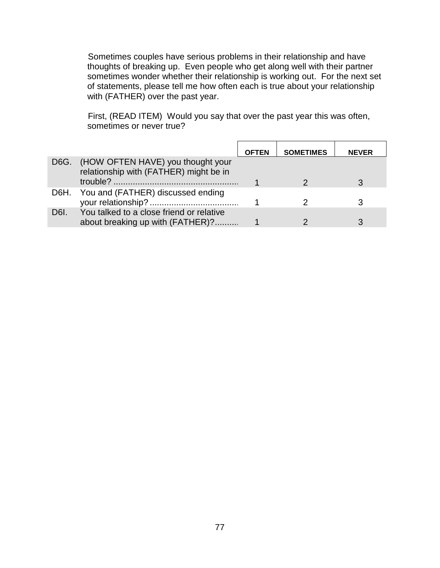Sometimes couples have serious problems in their relationship and have thoughts of breaking up. Even people who get along well with their partner sometimes wonder whether their relationship is working out. For the next set of statements, please tell me how often each is true about your relationship with (FATHER) over the past year.

First, (READ ITEM) Would you say that over the past year this was often, sometimes or never true?

|      |                                                                                  | <b>OFTEN</b> | <b>SOMETIMES</b> | <b>NEVER</b> |
|------|----------------------------------------------------------------------------------|--------------|------------------|--------------|
|      | D6G. (HOW OFTEN HAVE) you thought your<br>relationship with (FATHER) might be in |              |                  |              |
| D6H. | You and (FATHER) discussed ending                                                |              |                  |              |
| D6I. | You talked to a close friend or relative<br>about breaking up with (FATHER)?     |              |                  |              |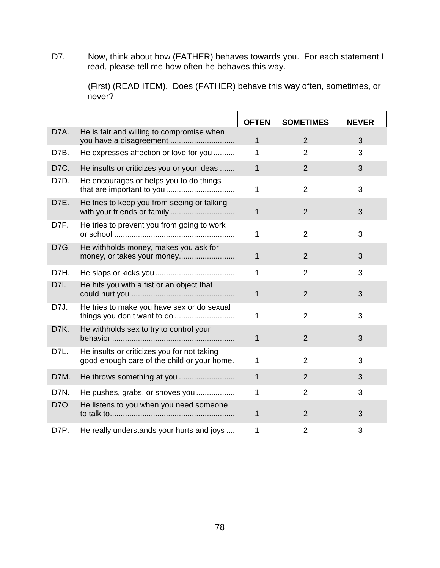D7. Now, think about how (FATHER) behaves towards you. For each statement I read, please tell me how often he behaves this way.

> (First) (READ ITEM). Does (FATHER) behave this way often, sometimes, or never?

|      |                                                                                            | <b>OFTEN</b> | <b>SOMETIMES</b> | <b>NEVER</b> |
|------|--------------------------------------------------------------------------------------------|--------------|------------------|--------------|
| D7A. | He is fair and willing to compromise when                                                  | $\mathbf{1}$ | 2                | 3            |
| D7B. | He expresses affection or love for you                                                     | 1            | $\overline{2}$   | 3            |
| D7C. | He insults or criticizes you or your ideas                                                 | $\mathbf 1$  | $\overline{2}$   | 3            |
| D7D. | He encourages or helps you to do things                                                    | $\mathbf 1$  | $\overline{2}$   | 3            |
| D7E. | He tries to keep you from seeing or talking<br>with your friends or family                 | $\mathbf{1}$ | $\overline{2}$   | 3            |
| D7F. | He tries to prevent you from going to work                                                 | 1            | $\overline{2}$   | 3            |
| D7G. | He withholds money, makes you ask for<br>money, or takes your money                        | $\mathbf{1}$ | $\overline{2}$   | 3            |
| D7H. |                                                                                            | $\mathbf{1}$ | $\overline{2}$   | 3            |
| D7I. | He hits you with a fist or an object that                                                  | $\mathbf{1}$ | $\overline{2}$   | 3            |
| D7J. | He tries to make you have sex or do sexual<br>things you don't want to do                  | 1            | $\overline{2}$   | 3            |
| D7K. | He withholds sex to try to control your                                                    | $\mathbf{1}$ | $\overline{2}$   | 3            |
| D7L. | He insults or criticizes you for not taking<br>good enough care of the child or your home. | $\mathbf{1}$ | $\overline{2}$   | 3            |
| D7M. |                                                                                            | $\mathbf{1}$ | $\overline{2}$   | 3            |
| D7N. | He pushes, grabs, or shoves you                                                            | 1            | $\overline{2}$   | 3            |
| D70. | He listens to you when you need someone                                                    | 1            | $\overline{2}$   | 3            |
| D7P. | He really understands your hurts and joys                                                  | 1            | $\overline{2}$   | 3            |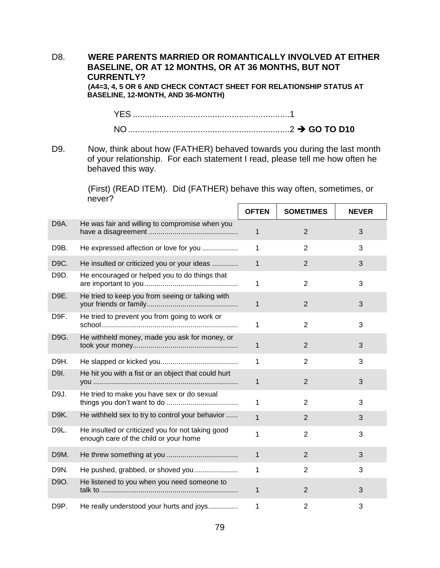#### D8. **WERE PARENTS MARRIED OR ROMANTICALLY INVOLVED AT EITHER BASELINE, OR AT 12 MONTHS, OR AT 36 MONTHS, BUT NOT CURRENTLY? (A4=3, 4, 5 OR 6 AND CHECK CONTACT SHEET FOR RELATIONSHIP STATUS AT**

**BASELINE, 12-MONTH, AND 36-MONTH)**

YES .................................................................1 NO...................................................................2 **GO TO D10**

D9. Now, think about how (FATHER) behaved towards you during the last month of your relationship. For each statement I read, please tell me how often he behaved this way.

> (First) (READ ITEM). Did (FATHER) behave this way often, sometimes, or never?

|      |                                                                                            | <b>OFTEN</b> | <b>SOMETIMES</b> | <b>NEVER</b> |
|------|--------------------------------------------------------------------------------------------|--------------|------------------|--------------|
| D9A. | He was fair and willing to compromise when you                                             | 1            | $\overline{2}$   | 3            |
| D9B. | He expressed affection or love for you                                                     | 1            | $\overline{2}$   | 3            |
| D9C. | He insulted or criticized you or your ideas                                                | $\mathbf{1}$ | $\overline{2}$   | 3            |
| D9D. | He encouraged or helped you to do things that                                              | 1            | $\overline{2}$   | 3            |
| D9E. | He tried to keep you from seeing or talking with                                           | 1            | $\overline{2}$   | 3            |
| D9F. | He tried to prevent you from going to work or                                              | 1            | $\overline{2}$   | 3            |
| D9G. | He withheld money, made you ask for money, or                                              | 1            | $\overline{2}$   | 3            |
| D9H. |                                                                                            | 1            | $\overline{2}$   | 3            |
| D9I. | He hit you with a fist or an object that could hurt                                        | 1            | 2                | 3            |
| D9J. | He tried to make you have sex or do sexual                                                 | 1            | $\overline{2}$   | 3            |
| D9K. | He withheld sex to try to control your behavior                                            | $\mathbf{1}$ | $\overline{2}$   | 3            |
| D9L. | He insulted or criticized you for not taking good<br>enough care of the child or your home | 1            | $\overline{2}$   | 3            |
| D9M. |                                                                                            | 1            | 2                | 3            |
| D9N. | He pushed, grabbed, or shoved you                                                          | 1            | 2                | 3            |
| D9O. | He listened to you when you need someone to                                                | 1            | $\overline{2}$   | 3            |
| D9P. | He really understood your hurts and joys                                                   | 1            | $\overline{2}$   | 3            |

79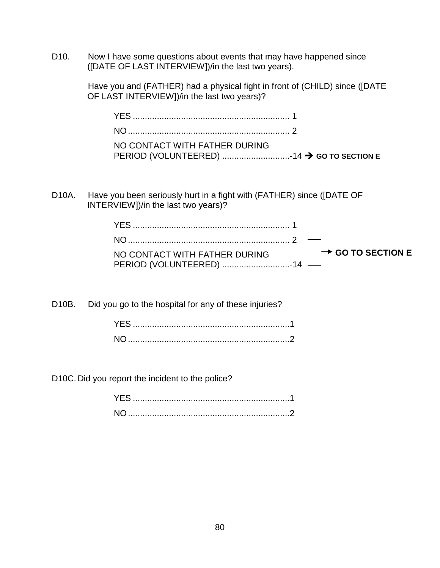D10. Now I have some questions about events that may have happened since ([DATE OF LAST INTERVIEW])/in the last two years).

> Have you and (FATHER) had a physical fight in front of (CHILD) since ([DATE OF LAST INTERVIEW])/in the last two years)?

| NO CONTACT WITH FATHER DURING |  |
|-------------------------------|--|
|                               |  |

D10A. Have you been seriously hurt in a fight with (FATHER) since ([DATE OF INTERVIEW])/in the last two years)?

| NO CONTACT WITH FATHER DURING $\rightarrow$ GO TO SECTION E |  |
|-------------------------------------------------------------|--|

D10B. Did you go to the hospital for any of these injuries?

D10C. Did you report the incident to the police?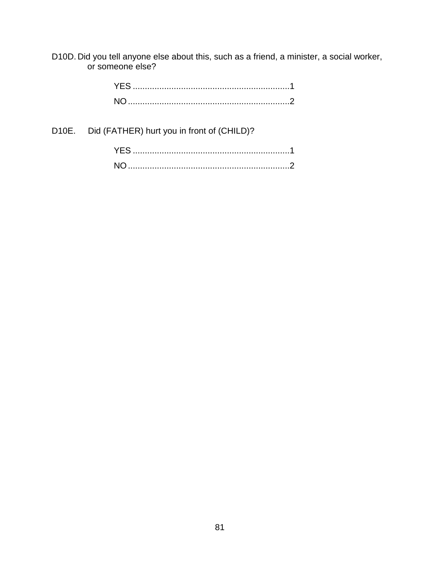D10D. Did you tell anyone else about this, such as a friend, a minister, a social worker, or someone else?

D10E. Did (FATHER) hurt you in front of (CHILD)?

| YES.      |  |
|-----------|--|
| <b>NO</b> |  |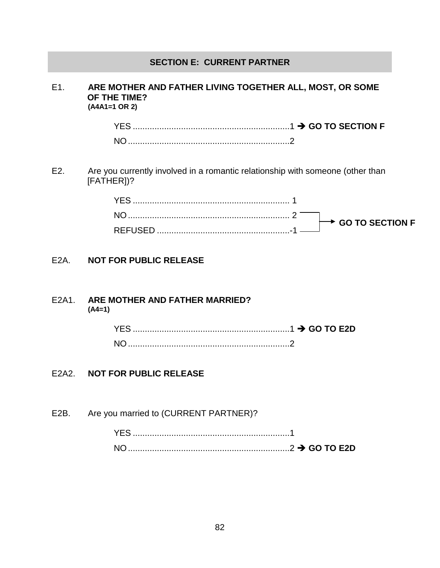### **SECTION E: CURRENT PARTNER**

#### E1. **ARE MOTHER AND FATHER LIVING TOGETHER ALL, MOST, OR SOME OF THE TIME? (A4A1=1 OR 2)**

YES .................................................................1 **GO TO SECTION F** NO...................................................................2

E2. Are you currently involved in a romantic relationship with someone (other than [FATHER])?

| $\rightarrow$ GO TO SECTION F |
|-------------------------------|
|                               |

### E2A. **NOT FOR PUBLIC RELEASE**

#### E2A1. **ARE MOTHER AND FATHER MARRIED? (A4=1)**

#### E2A2. **NOT FOR PUBLIC RELEASE**

E2B. Are you married to (CURRENT PARTNER)?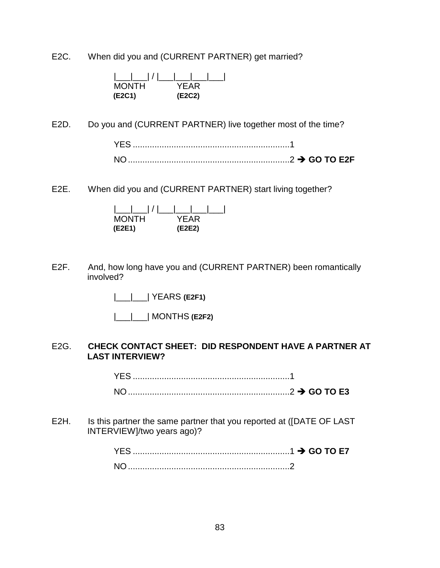E2C. When did you and (CURRENT PARTNER) get married?

| <b>MONTH</b> | YFAR   |
|--------------|--------|
| (E2C1)       | (E2C2) |

E2D. Do you and (CURRENT PARTNER) live together most of the time?

E2E. When did you and (CURRENT PARTNER) start living together?

| <b>MONTH</b> | YFAR   |  |
|--------------|--------|--|
| (E2E1)       | (E2E2) |  |

E2F. And, how long have you and (CURRENT PARTNER) been romantically involved?

|\_\_\_|\_\_\_| YEARS **(E2F1)**

|\_\_\_|\_\_\_| MONTHS **(E2F2)**

#### E2G. **CHECK CONTACT SHEET: DID RESPONDENT HAVE A PARTNER AT LAST INTERVIEW?**

YES .................................................................1 NO...................................................................2 **GO TO E3**

E2H. Is this partner the same partner that you reported at ([DATE OF LAST INTERVIEW]/two years ago)?

| N <sub>O</sub> |  |
|----------------|--|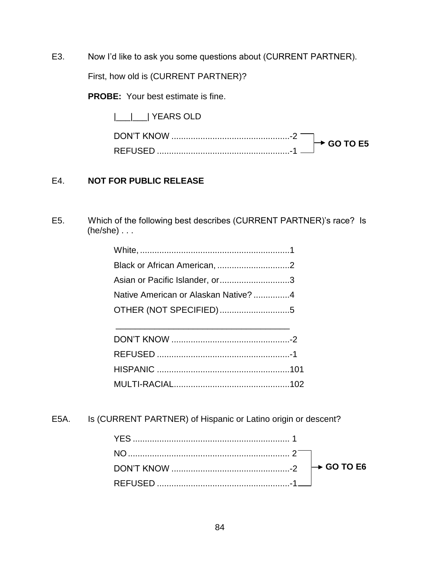E3. Now I'd like to ask you some questions about (CURRENT PARTNER).

First, how old is (CURRENT PARTNER)?

**PROBE:** Your best estimate is fine.

|\_\_\_|\_\_\_| YEARS OLD

| DON'T KNOW      | $\sim$ GO TO F5 |
|-----------------|-----------------|
| <b>DEELISEF</b> |                 |

### E4. **NOT FOR PUBLIC RELEASE**

E5. Which of the following best describes (CURRENT PARTNER)'s race? Is (he/she) . . .

| Asian or Pacific Islander, or3       |  |
|--------------------------------------|--|
| Native American or Alaskan Native? 4 |  |
| OTHER (NOT SPECIFIED) 5              |  |
|                                      |  |

\_\_\_\_\_\_\_\_\_\_\_\_\_\_\_\_\_\_\_\_\_\_\_\_\_\_\_\_\_\_\_\_\_\_\_\_

E5A. Is (CURRENT PARTNER) of Hispanic or Latino origin or descent?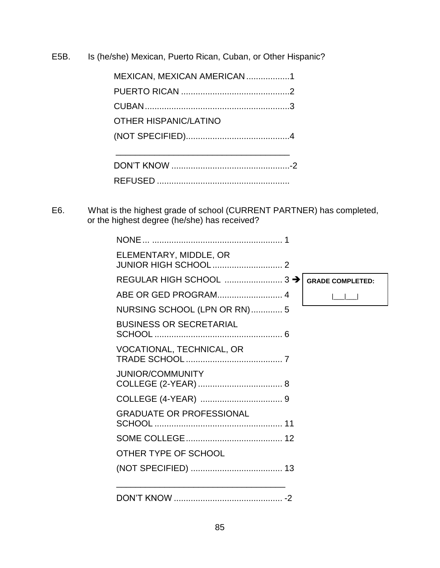E5B. Is (he/she) Mexican, Puerto Rican, Cuban, or Other Hispanic?

| MEXICAN, MEXICAN AMERICAN 1 |
|-----------------------------|
|                             |
|                             |
| OTHER HISPANIC/LATINO       |
|                             |
|                             |
|                             |
|                             |

E6. What is the highest grade of school (CURRENT PARTNER) has completed, or the highest degree (he/she) has received?

| ELEMENTARY, MIDDLE, OR          |                         |
|---------------------------------|-------------------------|
|                                 | <b>GRADE COMPLETED:</b> |
| ABE OR GED PROGRAM 4            |                         |
| NURSING SCHOOL (LPN OR RN)  5   |                         |
| <b>BUSINESS OR SECRETARIAL</b>  |                         |
| VOCATIONAL, TECHNICAL, OR       |                         |
| <b>JUNIOR/COMMUNITY</b>         |                         |
|                                 |                         |
| <b>GRADUATE OR PROFESSIONAL</b> |                         |
|                                 |                         |
| OTHER TYPE OF SCHOOL            |                         |
|                                 |                         |
|                                 |                         |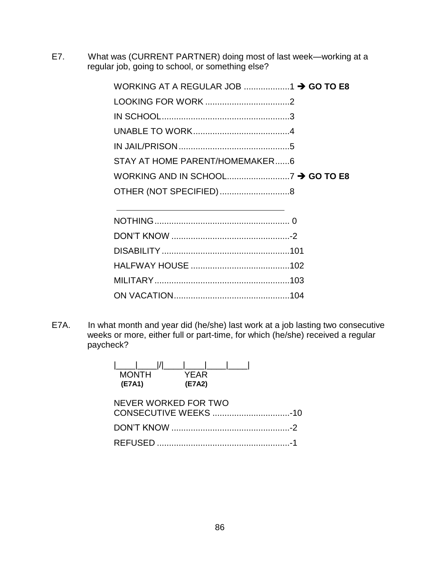E7. What was (CURRENT PARTNER) doing most of last week—working at a regular job, going to school, or something else?

| STAY AT HOME PARENT/HOMEMAKER6 |  |
|--------------------------------|--|
|                                |  |
|                                |  |
| OTHER (NOT SPECIFIED)8         |  |
|                                |  |
|                                |  |
|                                |  |
|                                |  |
|                                |  |

E7A. In what month and year did (he/she) last work at a job lasting two consecutive weeks or more, either full or part-time, for which (he/she) received a regular paycheck?

ON VACATION................................................104

| <b>MONTH</b><br>(E7A1) | YFAR<br>(E7A2) |  |
|------------------------|----------------|--|
| NEVER WORKED FOR TWO   |                |  |
|                        |                |  |
|                        |                |  |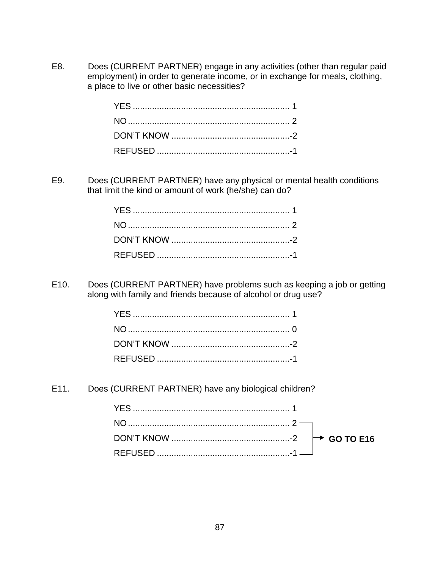E8. Does (CURRENT PARTNER) engage in any activities (other than regular paid employment) in order to generate income, or in exchange for meals, clothing, a place to live or other basic necessities?

E9. Does (CURRENT PARTNER) have any physical or mental health conditions that limit the kind or amount of work (he/she) can do?

E10. Does (CURRENT PARTNER) have problems such as keeping a job or getting along with family and friends because of alcohol or drug use?

E11. Does (CURRENT PARTNER) have any biological children?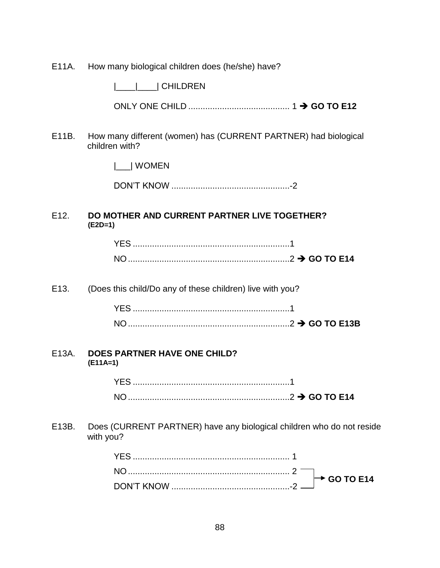E11A. How many biological children does (he/she) have?

|\_\_\_\_|\_\_\_\_| CHILDREN

ONLY ONE CHILD .......................................... 1 **GO TO E12**

E11B. How many different (women) has (CURRENT PARTNER) had biological children with?

|\_\_\_| WOMEN

DON'T KNOW .................................................-2

#### E12. **DO MOTHER AND CURRENT PARTNER LIVE TOGETHER? (E2D=1)**

| N <sub>O</sub> |  |
|----------------|--|

E13. (Does this child/Do any of these children) live with you?

| N <sub>IC</sub> |  |
|-----------------|--|

#### E13A. **DOES PARTNER HAVE ONE CHILD? (E11A=1)**

YES .................................................................1 NO...................................................................2 **GO TO E14**

E13B. Does (CURRENT PARTNER) have any biological children who do not reside with you?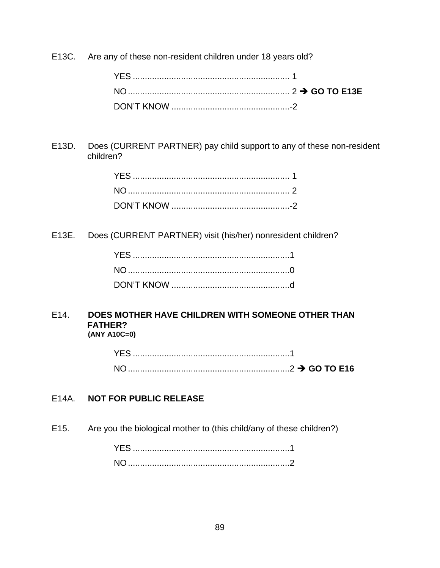E13C. Are any of these non-resident children under 18 years old?

E13D. Does (CURRENT PARTNER) pay child support to any of these non-resident children?

E13E. Does (CURRENT PARTNER) visit (his/her) nonresident children?

#### E14. **DOES MOTHER HAVE CHILDREN WITH SOMEONE OTHER THAN FATHER? (ANY A10C=0)**

### E14A. **NOT FOR PUBLIC RELEASE**

E15. Are you the biological mother to (this child/any of these children?)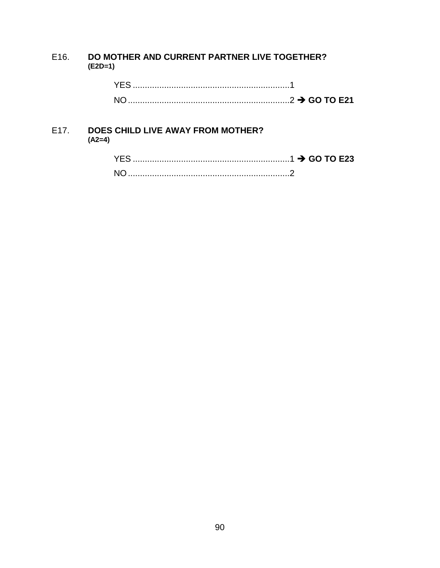#### DO MOTHER AND CURRENT PARTNER LIVE TOGETHER? E16.  $(E2D=1)$

| $\Omega \rightarrow$ GO TO E21 |
|--------------------------------|

#### **DOES CHILD LIVE AWAY FROM MOTHER?** E17.  $(A2=4)$

| N <sub>O</sub> |  |
|----------------|--|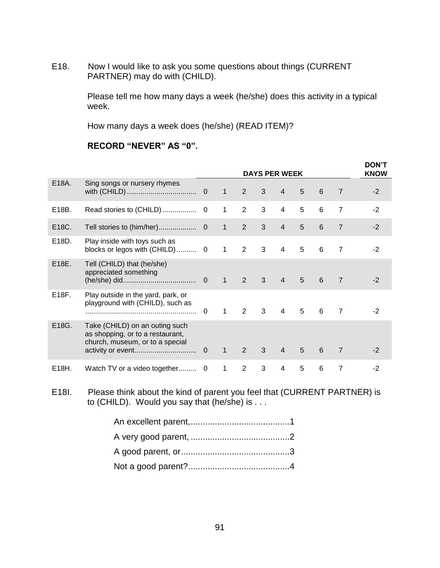E18. Now I would like to ask you some questions about things (CURRENT PARTNER) may do with (CHILD).

> Please tell me how many days a week (he/she) does this activity in a typical week.

How many days a week does (he/she) (READ ITEM)?

### **RECORD "NEVER" AS "0".**

|       |                                                                                                       |             |                | <b>DAYS PER WEEK</b> |              |                |   |   |                | <b>DON'T</b><br><b>KNOW</b> |
|-------|-------------------------------------------------------------------------------------------------------|-------------|----------------|----------------------|--------------|----------------|---|---|----------------|-----------------------------|
| E18A. | Sing songs or nursery rhymes                                                                          |             | $\mathbf{1}$   | $2^{\circ}$          | 3            | $\overline{4}$ | 5 | 6 | $\overline{7}$ | $-2$                        |
| E18B. | Read stories to (CHILD)                                                                               | 0           | $\mathbf{1}$   | $\overline{2}$       | 3            | 4              | 5 | 6 | $\overline{7}$ | $-2$                        |
| E18C. | Tell stories to (him/her)                                                                             | $\mathbf 0$ | $\mathbf{1}$   | $\overline{2}$       | 3            | $\overline{4}$ | 5 | 6 | $\overline{7}$ | $-2$                        |
| E18D. | Play inside with toys such as<br>blocks or legos with (CHILD) 0                                       |             | $\mathbf{1}$   | $\overline{2}$       | 3            | $\overline{4}$ | 5 | 6 | $\overline{7}$ | $-2$                        |
| E18E. | Tell (CHILD) that (he/she)<br>appreciated something                                                   |             | $\overline{1}$ | $2^{\circ}$          | $\mathbf{3}$ | $\overline{4}$ | 5 | 6 | $\overline{7}$ | $-2$                        |
| E18F. | Play outside in the yard, park, or<br>playground with (CHILD), such as                                | $\Omega$    | $\mathbf{1}$   | 2                    | 3            | $\overline{4}$ | 5 | 6 | $\overline{7}$ | $-2$                        |
| E18G. | Take (CHILD) on an outing such<br>as shopping, or to a restaurant,<br>church, museum, or to a special | $\mathbf 0$ | $\mathbf{1}$   | $2^{\circ}$          | $\mathbf{3}$ | $\overline{4}$ | 5 | 6 | $\overline{7}$ | $-2$                        |
| E18H. | Watch TV or a video together 0                                                                        |             | 1              | 2                    | 3            | $\overline{4}$ | 5 | 6 | $\overline{7}$ | $-2$                        |

E18I. Please think about the kind of parent you feel that (CURRENT PARTNER) is to (CHILD). Would you say that (he/she) is . . .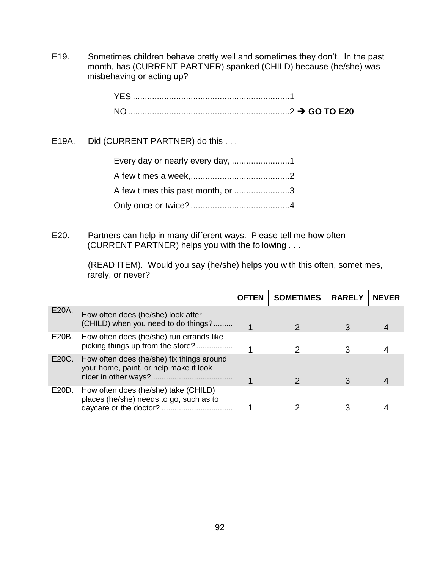E19. Sometimes children behave pretty well and sometimes they don't. In the past month, has (CURRENT PARTNER) spanked (CHILD) because (he/she) was misbehaving or acting up?

E19A. Did (CURRENT PARTNER) do this . . .

| Every day or nearly every day, 1  |  |
|-----------------------------------|--|
|                                   |  |
| A few times this past month, or 3 |  |
|                                   |  |

E20. Partners can help in many different ways. Please tell me how often (CURRENT PARTNER) helps you with the following . . .

> (READ ITEM). Would you say (he/she) helps you with this often, sometimes, rarely, or never?

|       |                                                                                     | <b>OFTEN</b> | <b>SOMETIMES</b> | <b>RARELY</b> | <b>NEVER</b> |
|-------|-------------------------------------------------------------------------------------|--------------|------------------|---------------|--------------|
|       |                                                                                     |              |                  |               |              |
| E20A. | How often does (he/she) look after<br>(CHILD) when you need to do things?           |              |                  |               |              |
| E20B. | How often does (he/she) run errands like<br>picking things up from the store?       |              |                  |               |              |
| E20C. | How often does (he/she) fix things around<br>your home, paint, or help make it look |              |                  |               |              |
| E20D. | How often does (he/she) take (CHILD)<br>places (he/she) needs to go, such as to     |              |                  |               |              |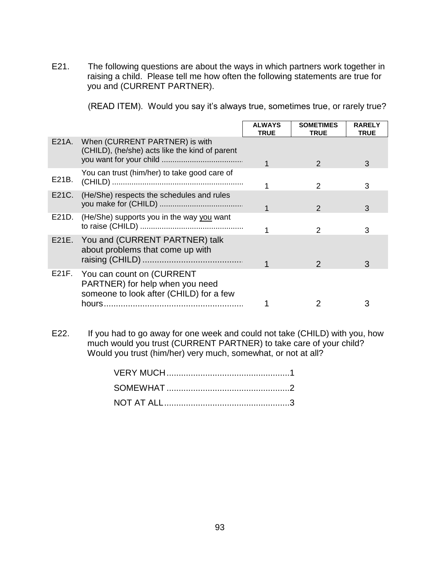E21. The following questions are about the ways in which partners work together in raising a child. Please tell me how often the following statements are true for you and (CURRENT PARTNER).

(READ ITEM). Would you say it's always true, sometimes true, or rarely true?

|       |                                                                                                               | <b>ALWAYS</b><br><b>TRUE</b> | <b>SOMETIMES</b><br><b>TRUE</b> | <b>RARELY</b><br><b>TRUE</b> |
|-------|---------------------------------------------------------------------------------------------------------------|------------------------------|---------------------------------|------------------------------|
|       | E21A. When (CURRENT PARTNER) is with<br>(CHILD), (he/she) acts like the kind of parent                        |                              |                                 |                              |
|       |                                                                                                               |                              | $\mathcal{P}$                   | 3                            |
| E21B. | You can trust (him/her) to take good care of                                                                  |                              | 2                               | 3                            |
| E21C. | (He/She) respects the schedules and rules                                                                     |                              | $\mathcal{P}$                   | 3                            |
| E21D. | (He/She) supports you in the way you want                                                                     |                              | 2                               | 3                            |
|       | E21E. You and (CURRENT PARTNER) talk<br>about problems that come up with                                      |                              | $\mathcal{P}$                   | 3                            |
|       | E21F. You can count on (CURRENT<br>PARTNER) for help when you need<br>someone to look after (CHILD) for a few |                              |                                 |                              |
|       |                                                                                                               |                              |                                 | 3                            |

E22. If you had to go away for one week and could not take (CHILD) with you, how much would you trust (CURRENT PARTNER) to take care of your child? Would you trust (him/her) very much, somewhat, or not at all?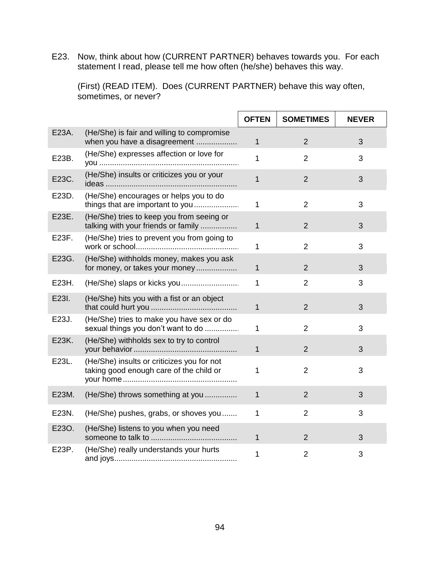E23. Now, think about how (CURRENT PARTNER) behaves towards you. For each statement I read, please tell me how often (he/she) behaves this way.

(First) (READ ITEM). Does (CURRENT PARTNER) behave this way often, sometimes, or never?

|       |                                                                                       | <b>OFTEN</b> | <b>SOMETIMES</b> | <b>NEVER</b> |
|-------|---------------------------------------------------------------------------------------|--------------|------------------|--------------|
| E23A. | (He/She) is fair and willing to compromise<br>when you have a disagreement            | $\mathbf{1}$ | $\overline{2}$   | 3            |
| E23B. | (He/She) expresses affection or love for                                              | 1            | $\overline{2}$   | 3            |
| E23C. | (He/She) insults or criticizes you or your                                            | 1            | $\overline{2}$   | 3            |
| E23D. | (He/She) encourages or helps you to do<br>things that are important to you            | 1            | $\overline{2}$   | 3            |
| E23E. | (He/She) tries to keep you from seeing or<br>talking with your friends or family      | $\mathbf{1}$ | $\overline{2}$   | 3            |
| E23F. | (He/She) tries to prevent you from going to                                           | 1            | $\overline{2}$   | 3            |
| E23G. | (He/She) withholds money, makes you ask<br>for money, or takes your money             | $\mathbf{1}$ | $\overline{2}$   | 3            |
| E23H. |                                                                                       | 1            | $\overline{2}$   | 3            |
| E23I. | (He/She) hits you with a fist or an object                                            | $\mathbf{1}$ | $\overline{2}$   | 3            |
| E23J. | (He/She) tries to make you have sex or do<br>sexual things you don't want to do       | 1            | $\overline{2}$   | 3            |
| E23K. | (He/She) withholds sex to try to control                                              | $\mathbf{1}$ | $\overline{2}$   | 3            |
| E23L. | (He/She) insults or criticizes you for not<br>taking good enough care of the child or | 1            | $\overline{2}$   | 3            |
| E23M. | (He/She) throws something at you                                                      | 1            | $\overline{2}$   | 3            |
| E23N. | (He/She) pushes, grabs, or shoves you                                                 | 1            | $\overline{2}$   | 3            |
| E23O. | (He/She) listens to you when you need                                                 | $\mathbf 1$  | 2                | 3            |
| E23P. | (He/She) really understands your hurts                                                | 1            | $\overline{2}$   | 3            |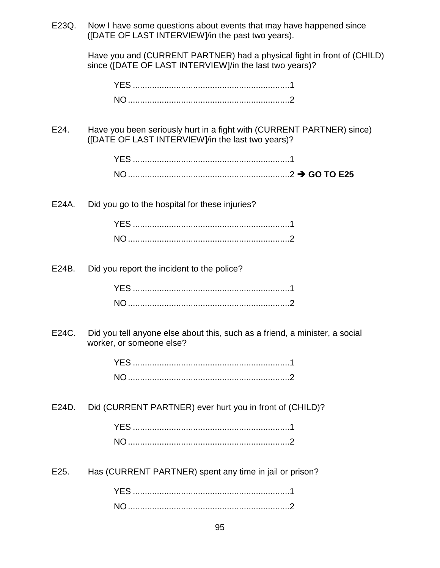| E23Q. | Now I have some questions about events that may have happened since<br>([DATE OF LAST INTERVIEW]/in the past two years).           |
|-------|------------------------------------------------------------------------------------------------------------------------------------|
|       | Have you and (CURRENT PARTNER) had a physical fight in front of (CHILD)<br>since ([DATE OF LAST INTERVIEW]/in the last two years)? |
|       |                                                                                                                                    |
|       |                                                                                                                                    |
|       |                                                                                                                                    |
| E24.  | Have you been seriously hurt in a fight with (CURRENT PARTNER) since)<br>([DATE OF LAST INTERVIEW]/in the last two years)?         |
|       |                                                                                                                                    |
|       |                                                                                                                                    |
| E24A. | Did you go to the hospital for these injuries?                                                                                     |
|       |                                                                                                                                    |
|       |                                                                                                                                    |
| E24B. | Did you report the incident to the police?                                                                                         |
|       |                                                                                                                                    |
|       |                                                                                                                                    |
| E24C. | Did you tell anyone else about this, such as a friend, a minister, a social<br>worker, or someone else?                            |
|       |                                                                                                                                    |
|       |                                                                                                                                    |
| E24D. | Did (CURRENT PARTNER) ever hurt you in front of (CHILD)?                                                                           |
|       |                                                                                                                                    |
|       |                                                                                                                                    |
| E25.  | Has (CURRENT PARTNER) spent any time in jail or prison?                                                                            |
|       |                                                                                                                                    |
|       |                                                                                                                                    |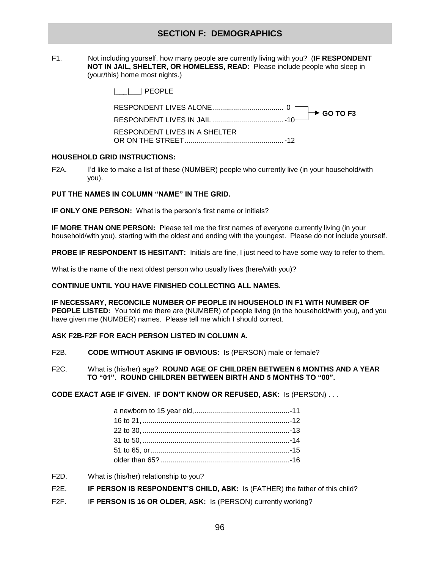### **SECTION F: DEMOGRAPHICS**

F1. Not including yourself, how many people are currently living with you? (**IF RESPONDENT NOT IN JAIL, SHELTER, OR HOMELESS, READ:** Please include people who sleep in (your/this) home most nights.)

| I I IPEOPLE                   |
|-------------------------------|
|                               |
|                               |
| RESPONDENT LIVES IN A SHELTER |

#### **HOUSEHOLD GRID INSTRUCTIONS:**

F2A. I'd like to make a list of these (NUMBER) people who currently live (in your household/with you).

#### **PUT THE NAMES IN COLUMN "NAME" IN THE GRID.**

**IF ONLY ONE PERSON:** What is the person's first name or initials?

**IF MORE THAN ONE PERSON:** Please tell me the first names of everyone currently living (in your household/with you), starting with the oldest and ending with the youngest. Please do not include yourself.

**PROBE IF RESPONDENT IS HESITANT:** Initials are fine, I just need to have some way to refer to them.

What is the name of the next oldest person who usually lives (here/with you)?

#### **CONTINUE UNTIL YOU HAVE FINISHED COLLECTING ALL NAMES.**

**IF NECESSARY, RECONCILE NUMBER OF PEOPLE IN HOUSEHOLD IN F1 WITH NUMBER OF PEOPLE LISTED:** You told me there are (NUMBER) of people living (in the household/with you), and you have given me (NUMBER) names. Please tell me which I should correct.

#### **ASK F2B-F2F FOR EACH PERSON LISTED IN COLUMN A.**

- F2B. **CODE WITHOUT ASKING IF OBVIOUS:** Is (PERSON) male or female?
- F2C. What is (his/her) age? **ROUND AGE OF CHILDREN BETWEEN 6 MONTHS AND A YEAR TO "01". ROUND CHILDREN BETWEEN BIRTH AND 5 MONTHS TO "00".**

**CODE EXACT AGE IF GIVEN. IF DON'T KNOW OR REFUSED, ASK:** Is (PERSON) . . .

- F2D. What is (his/her) relationship to you?
- F2E. **IF PERSON IS RESPONDENT'S CHILD, ASK:** Is (FATHER) the father of this child?
- F2F. I**F PERSON IS 16 OR OLDER, ASK:** Is (PERSON) currently working?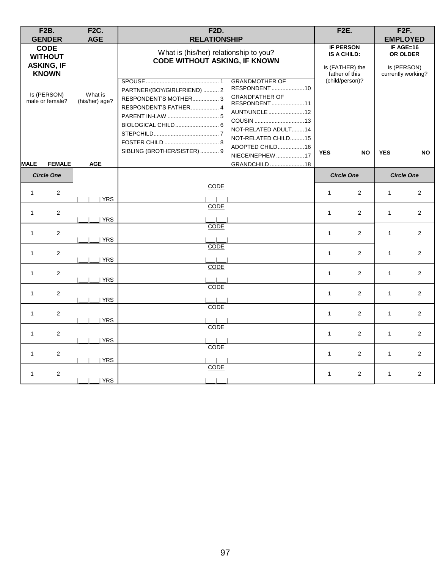|              | <b>F2B.</b><br><b>GENDER</b>                                                                         | <b>F2C.</b><br><b>AGE</b> | <b>F2D.</b><br><b>RELATIONSHIP</b>                                                                                                                                                                                                                                                                                                                                 |              | <b>F2E.</b>                                                                                                        |              | F <sub>2F</sub> .<br><b>EMPLOYED</b>                                    |
|--------------|------------------------------------------------------------------------------------------------------|---------------------------|--------------------------------------------------------------------------------------------------------------------------------------------------------------------------------------------------------------------------------------------------------------------------------------------------------------------------------------------------------------------|--------------|--------------------------------------------------------------------------------------------------------------------|--------------|-------------------------------------------------------------------------|
|              | <b>CODE</b><br><b>WITHOUT</b><br><b>ASKING, IF</b><br><b>KNOWN</b><br>Is (PERSON)<br>male or female? | What is<br>(his/her) age? | What is (his/her) relationship to you?<br><b>CODE WITHOUT ASKING, IF KNOWN</b><br><b>GRANDMOTHER OF</b><br>RESPONDENT10<br>PARTNER/(BOY/GIRLFRIEND)  2<br><b>GRANDFATHER OF</b><br>RESPONDENT'S MOTHER 3<br>RESPONDENT11<br>RESPONDENT'S FATHER 4<br>AUNT/UNCLE 12<br>NOT-RELATED ADULT14<br>NOT-RELATED CHILD15<br>ADOPTED CHILD16<br>SIBLING (BROTHER/SISTER)  9 |              | <b>IF PERSON</b><br>IS A CHILD:<br>Is (FATHER) the<br>father of this<br>(child/person)?<br><b>YES</b><br><b>NO</b> |              | IF AGE=16<br>OR OLDER<br>Is (PERSON)<br>currently working?<br><b>NO</b> |
| <b>MALE</b>  | <b>FEMALE</b>                                                                                        | <b>AGE</b>                | NIECE/NEPHEW 17<br>GRANDCHILD18                                                                                                                                                                                                                                                                                                                                    |              |                                                                                                                    | <b>YES</b>   |                                                                         |
|              | <b>Circle One</b>                                                                                    |                           |                                                                                                                                                                                                                                                                                                                                                                    |              | <b>Circle One</b>                                                                                                  |              | <b>Circle One</b>                                                       |
| $\mathbf{1}$ | 2                                                                                                    | <b>YRS</b>                | <b>CODE</b>                                                                                                                                                                                                                                                                                                                                                        | $\mathbf{1}$ | 2                                                                                                                  | $\mathbf{1}$ | 2                                                                       |
| $\mathbf{1}$ | 2                                                                                                    | <b>YRS</b>                | <b>CODE</b>                                                                                                                                                                                                                                                                                                                                                        | $\mathbf{1}$ | $\overline{2}$                                                                                                     | $\mathbf{1}$ | 2                                                                       |
| $\mathbf{1}$ | 2                                                                                                    | YRS                       | <b>CODE</b>                                                                                                                                                                                                                                                                                                                                                        | $\mathbf{1}$ | 2                                                                                                                  | $\mathbf{1}$ | $\mathbf{2}$                                                            |
| $\mathbf{1}$ | 2                                                                                                    | YRS                       | CODE                                                                                                                                                                                                                                                                                                                                                               | $\mathbf{1}$ | 2                                                                                                                  | $\mathbf{1}$ | $\overline{2}$                                                          |
| $\mathbf{1}$ | 2                                                                                                    | YRS                       | CODE                                                                                                                                                                                                                                                                                                                                                               | $\mathbf{1}$ | $\overline{2}$                                                                                                     | $\mathbf{1}$ | 2                                                                       |
| $\mathbf{1}$ | 2                                                                                                    | <b>YRS</b>                | CODE                                                                                                                                                                                                                                                                                                                                                               | $\mathbf{1}$ | 2                                                                                                                  | $\mathbf{1}$ | 2                                                                       |
| $\mathbf{1}$ | 2                                                                                                    | <b>YRS</b>                | CODE                                                                                                                                                                                                                                                                                                                                                               | $\mathbf{1}$ | 2                                                                                                                  | $\mathbf{1}$ | 2                                                                       |
| $\mathbf{1}$ | 2                                                                                                    | YRS                       | CODE                                                                                                                                                                                                                                                                                                                                                               | $\mathbf{1}$ | 2                                                                                                                  | $\mathbf{1}$ | 2                                                                       |
| $\mathbf{1}$ | 2                                                                                                    | <b>YRS</b>                | <b>CODE</b>                                                                                                                                                                                                                                                                                                                                                        | $\mathbf{1}$ | 2                                                                                                                  | $\mathbf{1}$ | 2                                                                       |
| $\mathbf{1}$ | $\overline{2}$                                                                                       | YRS                       | CODE                                                                                                                                                                                                                                                                                                                                                               | $\mathbf{1}$ | 2                                                                                                                  | $\mathbf{1}$ | 2                                                                       |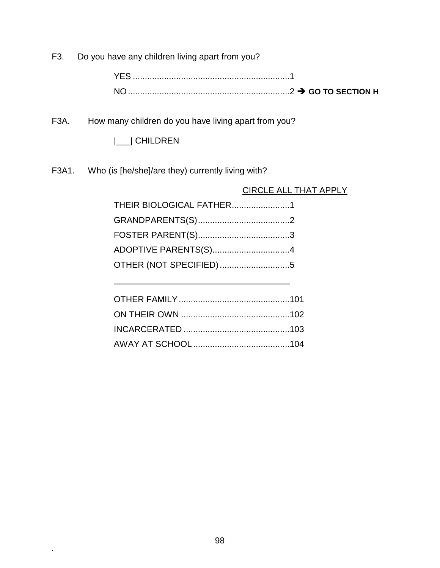F3. Do you have any children living apart from you?

YES .................................................................1 NO...................................................................2 **GO TO SECTION H**

F3A. How many children do you have living apart from you?

|\_\_\_| CHILDREN

F3A1. Who (is [he/she]/are they) currently living with?

CIRCLE ALL THAT APPLY

| THEIR BIOLOGICAL FATHER1 |  |
|--------------------------|--|
|                          |  |
|                          |  |
|                          |  |
| OTHER (NOT SPECIFIED)5   |  |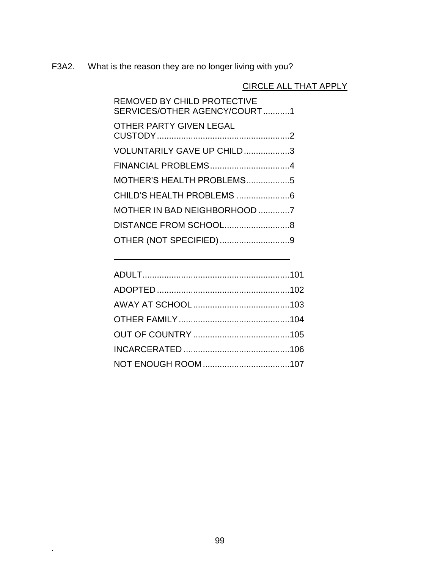F3A2. What is the reason they are no longer living with you?

# CIRCLE ALL THAT APPLY

| REMOVED BY CHILD PROTECTIVE<br>SERVICES/OTHER AGENCY/COURT1 |  |
|-------------------------------------------------------------|--|
| <b>OTHER PARTY GIVEN LEGAL</b>                              |  |
| VOLUNTARILY GAVE UP CHILD3                                  |  |
|                                                             |  |
| MOTHER'S HEALTH PROBLEMS5                                   |  |
| CHILD'S HEALTH PROBLEMS 6                                   |  |
| MOTHER IN BAD NEIGHBORHOOD 7                                |  |
|                                                             |  |
| OTHER (NOT SPECIFIED)9                                      |  |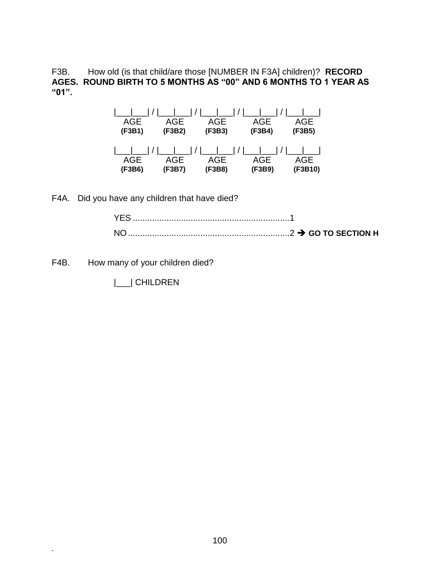F3B. How old (is that child/are those [NUMBER IN F3A] children)? **RECORD AGES. ROUND BIRTH TO 5 MONTHS AS "00" AND 6 MONTHS TO 1 YEAR AS "01".**

| AGE<br>(F3B1) | /     /     /     /   <br>AGE<br>(F3B2) | AGE<br>(F3B3) | AGE<br>(F3B4) | AGE<br>(F3B5)  |
|---------------|-----------------------------------------|---------------|---------------|----------------|
| AGE<br>(F3B6) | AGE<br>(F3B7)                           | AGE<br>(F3B8) | AGE<br>(F3B9) | AGE<br>(F3B10) |

F4A. Did you have any children that have died?

F4B. How many of your children died?

**.**

|\_\_\_| CHILDREN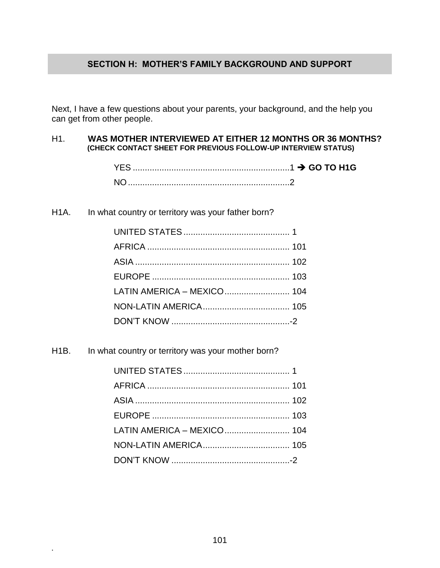### **SECTION H: MOTHER'S FAMILY BACKGROUND AND SUPPORT**

Next, I have a few questions about your parents, your background, and the help you can get from other people.

#### H1. **WAS MOTHER INTERVIEWED AT EITHER 12 MONTHS OR 36 MONTHS? (CHECK CONTACT SHEET FOR PREVIOUS FOLLOW-UP INTERVIEW STATUS)**

| YES. |  |
|------|--|
| NO.  |  |

H1A. In what country or territory was your father born?

H1B. In what country or territory was your mother born?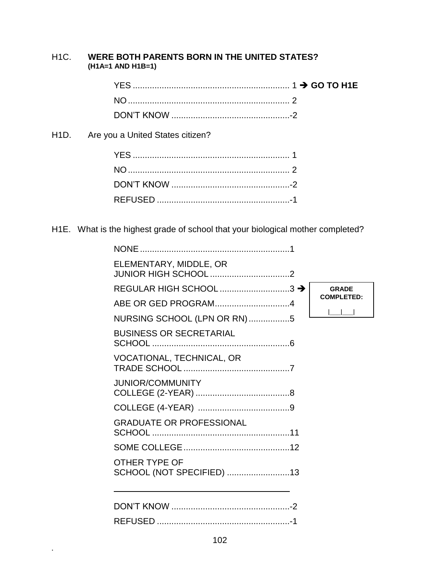### H1C. **WERE BOTH PARENTS BORN IN THE UNITED STATES? (H1A=1 AND H1B=1)**

H1D. Are you a United States citizen?

**.**

H1E. What is the highest grade of school that your biological mother completed?

| ELEMENTARY, MIDDLE, OR                            |                   |
|---------------------------------------------------|-------------------|
| REGULAR HIGH SCHOOL 3 →                           | <b>GRADE</b>      |
| ABE OR GED PROGRAM4                               | <b>COMPLETED:</b> |
| NURSING SCHOOL (LPN OR RN)5                       |                   |
| <b>BUSINESS OR SECRETARIAL</b>                    |                   |
| VOCATIONAL, TECHNICAL, OR                         |                   |
| <b>JUNIOR/COMMUNITY</b>                           |                   |
|                                                   |                   |
| <b>GRADUATE OR PROFESSIONAL</b>                   |                   |
|                                                   |                   |
| <b>OTHER TYPE OF</b><br>SCHOOL (NOT SPECIFIED) 13 |                   |
|                                                   |                   |
|                                                   |                   |
|                                                   |                   |
|                                                   |                   |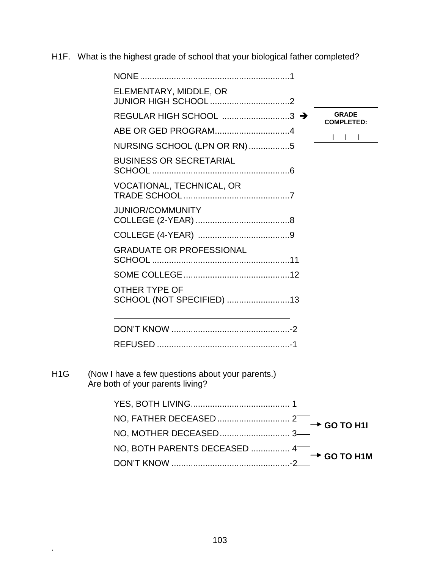H1F. What is the highest grade of school that your biological father completed?

|     | ELEMENTARY, MIDDLE, OR                                                               |                                   |
|-----|--------------------------------------------------------------------------------------|-----------------------------------|
|     | REGULAR HIGH SCHOOL 3 →                                                              | <b>GRADE</b><br><b>COMPLETED:</b> |
|     |                                                                                      |                                   |
|     | NURSING SCHOOL (LPN OR RN)5                                                          |                                   |
|     | <b>BUSINESS OR SECRETARIAL</b>                                                       |                                   |
|     | VOCATIONAL, TECHNICAL, OR                                                            |                                   |
|     | <b>JUNIOR/COMMUNITY</b>                                                              |                                   |
|     |                                                                                      |                                   |
|     | <b>GRADUATE OR PROFESSIONAL</b>                                                      |                                   |
|     |                                                                                      |                                   |
|     | OTHER TYPE OF<br>SCHOOL (NOT SPECIFIED) 13                                           |                                   |
|     |                                                                                      |                                   |
|     |                                                                                      |                                   |
| H1G | (Now I have a few questions about your parents.)<br>Are both of your parents living? |                                   |
|     |                                                                                      |                                   |
|     |                                                                                      | <b>GO TO H1I</b>                  |
|     |                                                                                      |                                   |
|     | NO, BOTH PARENTS DECEASED  4                                                         |                                   |
|     |                                                                                      | <b>GO TO H1M</b>                  |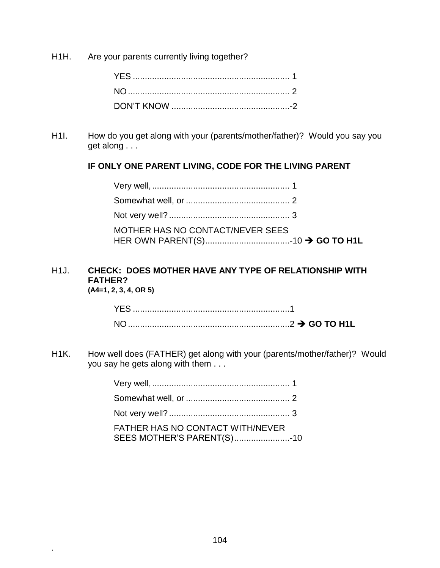H1H. Are your parents currently living together?

H1I. How do you get along with your (parents/mother/father)? Would you say you get along . . .

## **IF ONLY ONE PARENT LIVING, CODE FOR THE LIVING PARENT**

| MOTHER HAS NO CONTACT/NEVER SEES |  |
|----------------------------------|--|

# H1J. **CHECK: DOES MOTHER HAVE ANY TYPE OF RELATIONSHIP WITH FATHER?**

**(A4=1, 2, 3, 4, OR 5)**

**.**

H1K. How well does (FATHER) get along with your (parents/mother/father)? Would you say he gets along with them . . .

| FATHER HAS NO CONTACT WITH/NEVER<br>SEES MOTHER'S PARENT(S)10 |  |
|---------------------------------------------------------------|--|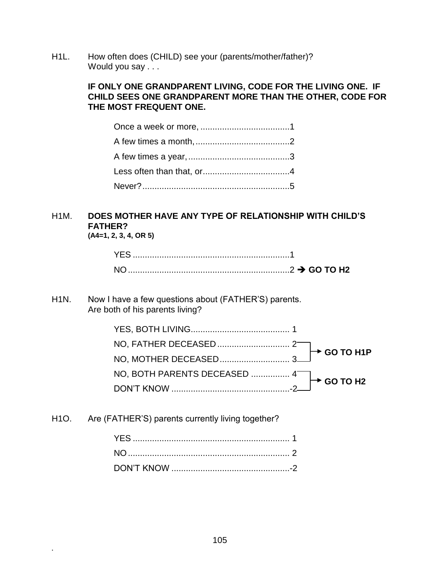H1L. How often does (CHILD) see your (parents/mother/father)? Would you say . . .

### **IF ONLY ONE GRANDPARENT LIVING, CODE FOR THE LIVING ONE. IF CHILD SEES ONE GRANDPARENT MORE THAN THE OTHER, CODE FOR THE MOST FREQUENT ONE.**

# H1M. **DOES MOTHER HAVE ANY TYPE OF RELATIONSHIP WITH CHILD'S FATHER?**

**(A4=1, 2, 3, 4, OR 5)**

**.**

### H1N. Now I have a few questions about (FATHER'S) parents. Are both of his parents living?

H1O. Are (FATHER'S) parents currently living together?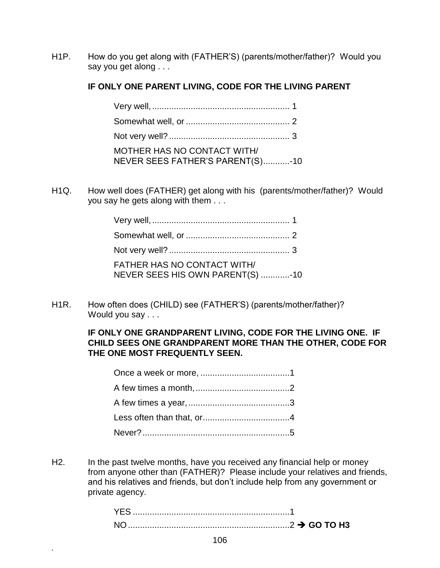H1P. How do you get along with (FATHER'S) (parents/mother/father)? Would you say you get along . . .

## **IF ONLY ONE PARENT LIVING, CODE FOR THE LIVING PARENT**

| <b>MOTHER HAS NO CONTACT WITH/</b><br>NEVER SEES FATHER'S PARENT(S)-10 |  |
|------------------------------------------------------------------------|--|

H1Q. How well does (FATHER) get along with his (parents/mother/father)? Would you say he gets along with them . . .

| FATHER HAS NO CONTACT WITH/<br>NEVER SEES HIS OWN PARENT(S) -10 |  |
|-----------------------------------------------------------------|--|

H1R. How often does (CHILD) see (FATHER'S) (parents/mother/father)? Would you say . . .

### **IF ONLY ONE GRANDPARENT LIVING, CODE FOR THE LIVING ONE. IF CHILD SEES ONE GRANDPARENT MORE THAN THE OTHER, CODE FOR THE ONE MOST FREQUENTLY SEEN.**

H2. In the past twelve months, have you received any financial help or money from anyone other than (FATHER)? Please include your relatives and friends, and his relatives and friends, but don't include help from any government or private agency.

| <b>NO</b><br>$\ldots$ GO TO H3 |  |
|--------------------------------|--|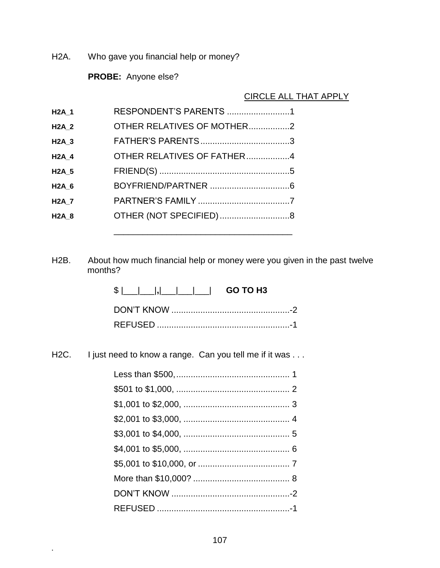H2A. Who gave you financial help or money?

**PROBE:** Anyone else?

CIRCLE ALL THAT APPLY

| <b>H2A_1</b> | RESPONDENT'S PARENTS 1     |  |
|--------------|----------------------------|--|
| <b>H2A 2</b> | OTHER RELATIVES OF MOTHER2 |  |
| <b>H2A 3</b> |                            |  |
| <b>H2A 4</b> | OTHER RELATIVES OF FATHER4 |  |
| <b>H2A 5</b> |                            |  |
| <b>H2A 6</b> |                            |  |
| <b>H2A_7</b> |                            |  |
| <b>H2A 8</b> | OTHER (NOT SPECIFIED)8     |  |
|              |                            |  |

H2B. About how much financial help or money were you given in the past twelve months?

| $\frac{1}{2}$ $\frac{1}{2}$ $\frac{1}{2}$ $\frac{1}{2}$ $\frac{1}{2}$ GO TO H3 |  |
|--------------------------------------------------------------------------------|--|
|                                                                                |  |
|                                                                                |  |

\_\_\_\_\_\_\_\_\_\_\_\_\_\_\_\_\_\_\_\_\_\_\_\_\_\_\_\_\_\_\_\_\_\_\_\_\_

H2C. I just need to know a range. Can you tell me if it was . . .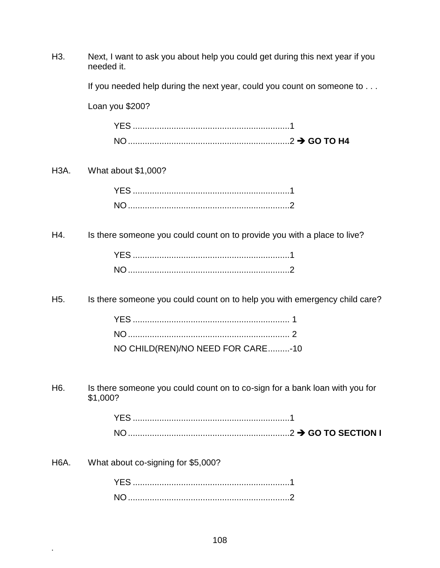| H <sub>3</sub> .  | Next, I want to ask you about help you could get during this next year if you<br>needed it. |  |
|-------------------|---------------------------------------------------------------------------------------------|--|
|                   | If you needed help during the next year, could you count on someone to                      |  |
|                   | Loan you \$200?                                                                             |  |
|                   |                                                                                             |  |
|                   |                                                                                             |  |
| H <sub>3</sub> A. | What about \$1,000?                                                                         |  |
|                   |                                                                                             |  |
|                   |                                                                                             |  |
| H4.               | Is there someone you could count on to provide you with a place to live?                    |  |
|                   |                                                                                             |  |
|                   |                                                                                             |  |
| H <sub>5.</sub>   | Is there someone you could count on to help you with emergency child care?                  |  |
|                   |                                                                                             |  |
|                   |                                                                                             |  |
|                   | NO CHILD(REN)/NO NEED FOR CARE-10                                                           |  |
| H <sub>6</sub> .  | Is there someone you could count on to co-sign for a bank loan with you for<br>\$1,000?     |  |
|                   |                                                                                             |  |
|                   |                                                                                             |  |
| H <sub>6</sub> A. | What about co-signing for \$5,000?                                                          |  |
|                   |                                                                                             |  |
|                   |                                                                                             |  |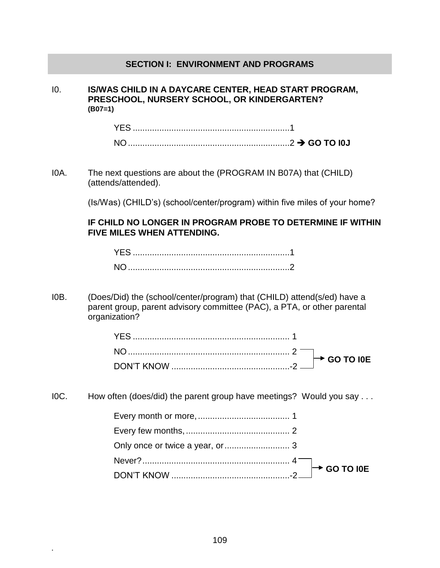#### **SECTION I: ENVIRONMENT AND PROGRAMS**

I0. **IS/WAS CHILD IN A DAYCARE CENTER, HEAD START PROGRAM, PRESCHOOL, NURSERY SCHOOL, OR KINDERGARTEN? (B07=1)**

I0A. The next questions are about the (PROGRAM IN B07A) that (CHILD) (attends/attended).

(Is/Was) (CHILD's) (school/center/program) within five miles of your home?

**IF CHILD NO LONGER IN PROGRAM PROBE TO DETERMINE IF WITHIN FIVE MILES WHEN ATTENDING.**

I0B. (Does/Did) the (school/center/program) that (CHILD) attend(s/ed) have a parent group, parent advisory committee (PAC), a PTA, or other parental organization?

I0C. How often (does/did) the parent group have meetings? Would you say . . .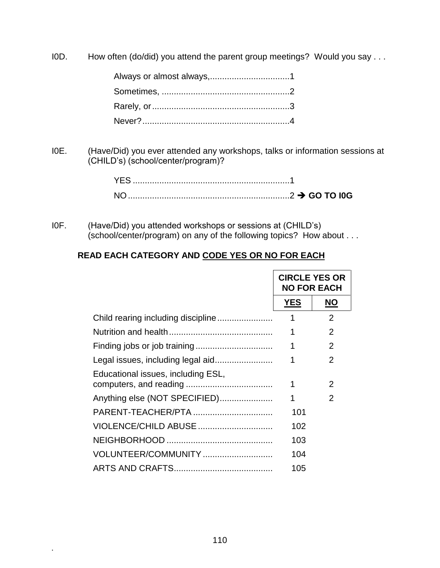I0D. How often (do/did) you attend the parent group meetings? Would you say . . .

I0E. (Have/Did) you ever attended any workshops, talks or information sessions at (CHILD's) (school/center/program)?

| YFS. |  |
|------|--|
|      |  |

I0F. (Have/Did) you attended workshops or sessions at (CHILD's) (school/center/program) on any of the following topics? How about . . .

# **READ EACH CATEGORY AND CODE YES OR NO FOR EACH**

|                                    | <b>CIRCLE YES OR</b><br><b>NO FOR EACH</b> |               |
|------------------------------------|--------------------------------------------|---------------|
|                                    | <b>YES</b>                                 | <b>NO</b>     |
|                                    | 1                                          | 2             |
|                                    | 1                                          | 2             |
|                                    | 1                                          | 2             |
|                                    | 1                                          | 2             |
| Educational issues, including ESL, | 1                                          | 2             |
| Anything else (NOT SPECIFIED)      | 1                                          | $\mathcal{P}$ |
| PARENT-TEACHER/PTA                 | 101                                        |               |
| VIOLENCE/CHILD ABUSE               | 102                                        |               |
|                                    | 103                                        |               |
| VOLUNTEER/COMMUNITY                | 104                                        |               |
|                                    | 105                                        |               |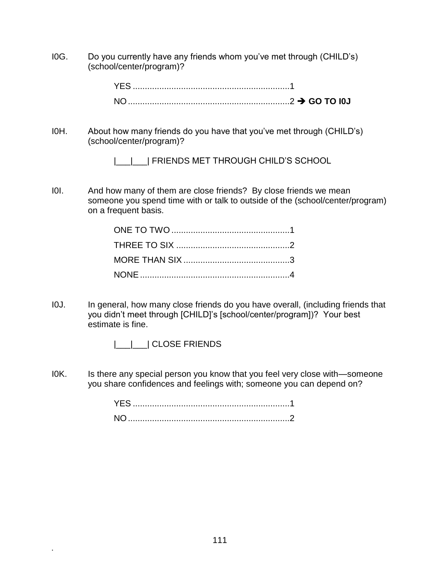I0G. Do you currently have any friends whom you've met through (CHILD's) (school/center/program)?

| YFS. |  |
|------|--|
|      |  |

I0H. About how many friends do you have that you've met through (CHILD's) (school/center/program)?

|\_\_|\_\_| FRIENDS MET THROUGH CHILD'S SCHOOL

I0I. And how many of them are close friends? By close friends we mean someone you spend time with or talk to outside of the (school/center/program) on a frequent basis.

- I0J. In general, how many close friends do you have overall, (including friends that you didn't meet through [CHILD]'s [school/center/program])? Your best estimate is fine.
	- | | | CLOSE FRIENDS

**.**

IOK. Is there any special person you know that you feel very close with—someone you share confidences and feelings with; someone you can depend on?

> YES .................................................................1 NO...................................................................2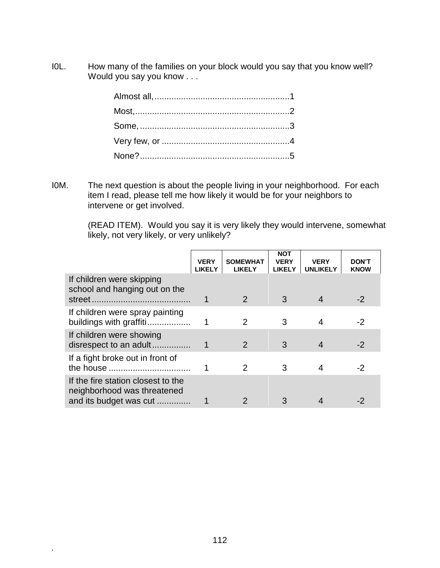I0L. How many of the families on your block would you say that you know well? Would you say you know . . .

I0M. The next question is about the people living in your neighborhood. For each item I read, please tell me how likely it would be for your neighbors to intervene or get involved.

> (READ ITEM). Would you say it is very likely they would intervene, somewhat likely, not very likely, or very unlikely?

|                                                                                             | <b>VERY</b><br><b>LIKELY</b> | <b>SOMEWHAT</b><br><b>LIKELY</b> | <b>NOT</b><br><b>VERY</b><br><b>LIKELY</b> | <b>VERY</b><br><b>UNLIKELY</b> | <b>DON'T</b><br><b>KNOW</b> |
|---------------------------------------------------------------------------------------------|------------------------------|----------------------------------|--------------------------------------------|--------------------------------|-----------------------------|
| If children were skipping<br>school and hanging out on the                                  |                              | 2                                | 3                                          |                                | $-2$                        |
| If children were spray painting<br>buildings with graffiti                                  |                              | 2                                | 3                                          | 4                              | -2                          |
| If children were showing<br>disrespect to an adult                                          |                              | $\mathcal{P}$                    | 3                                          | $\boldsymbol{4}$               | $-2$                        |
| If a fight broke out in front of                                                            |                              | 2                                | 3                                          | 4                              | -2                          |
| If the fire station closest to the<br>neighborhood was threatened<br>and its budget was cut |                              |                                  |                                            |                                |                             |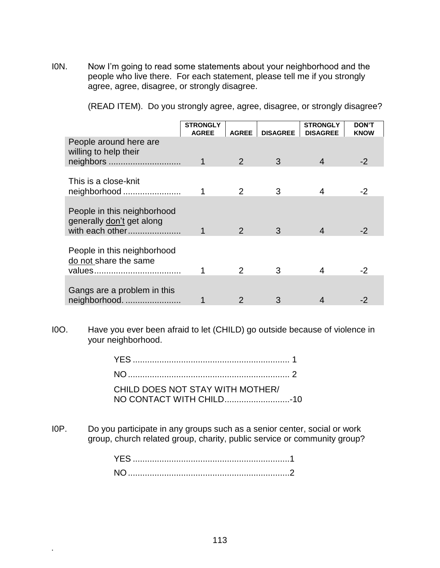I0N. Now I'm going to read some statements about your neighborhood and the people who live there. For each statement, please tell me if you strongly agree, agree, disagree, or strongly disagree.

(READ ITEM). Do you strongly agree, agree, disagree, or strongly disagree?

|                                                                             | <b>STRONGLY</b><br><b>AGREE</b> | <b>AGREE</b>  | <b>DISAGREE</b> | <b>STRONGLY</b><br><b>DISAGREE</b> | <b>DON'T</b><br><b>KNOW</b> |
|-----------------------------------------------------------------------------|---------------------------------|---------------|-----------------|------------------------------------|-----------------------------|
| People around here are<br>willing to help their<br>neighbors                |                                 | $\mathcal{P}$ | 3               | 4                                  | $-2$                        |
|                                                                             |                                 |               |                 |                                    |                             |
| This is a close-knit<br>neighborhood                                        |                                 | 2             | 3               | 4                                  | -2                          |
|                                                                             |                                 |               |                 |                                    |                             |
| People in this neighborhood<br>generally don't get along<br>with each other |                                 | 2             | 3               | 4                                  | -2                          |
| People in this neighborhood<br>do not share the same                        |                                 | 2             | 3               | 4                                  | -2                          |
|                                                                             |                                 |               |                 |                                    |                             |
| Gangs are a problem in this<br>neighborhood                                 |                                 |               |                 |                                    |                             |

I0O. Have you ever been afraid to let (CHILD) go outside because of violence in your neighborhood.

| CHILD DOES NOT STAY WITH MOTHER/ |  |
|----------------------------------|--|
|                                  |  |

I0P. Do you participate in any groups such as a senior center, social or work group, church related group, charity, public service or community group?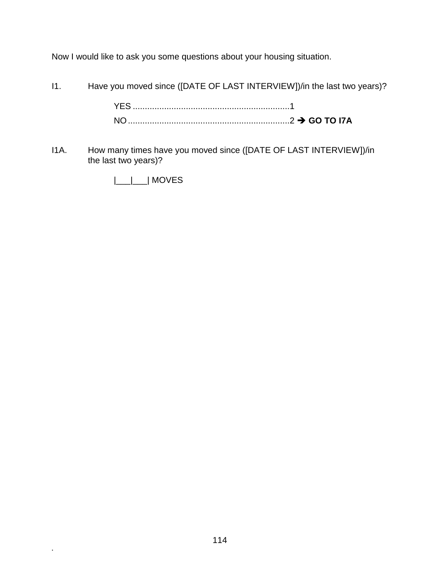Now I would like to ask you some questions about your housing situation.

I1. Have you moved since ([DATE OF LAST INTERVIEW])/in the last two years)?

YES .................................................................1 NO...................................................................2 **GO TO I7A**

I1A. How many times have you moved since ([DATE OF LAST INTERVIEW])/in the last two years)?

|\_\_\_|\_\_\_| MOVES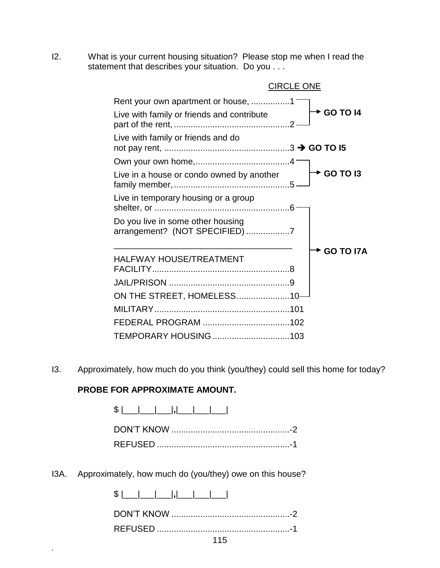I2. What is your current housing situation? Please stop me when I read the statement that describes your situation. Do you . . .

| <b>CIRCLE ONE</b>                                                                 |                    |
|-----------------------------------------------------------------------------------|--------------------|
| Rent your own apartment or house, 1<br>Live with family or friends and contribute | <b>← GO TO 14</b>  |
| Live with family or friends and do                                                |                    |
|                                                                                   |                    |
| Live in a house or condo owned by another                                         | <b>← GO TO I3</b>  |
| Live in temporary housing or a group                                              |                    |
| Do you live in some other housing<br>arrangement? (NOT SPECIFIED) 7               |                    |
| <b>HALFWAY HOUSE/TREATMENT</b>                                                    | <b>→ GO TO I7A</b> |
|                                                                                   |                    |
| ON THE STREET, HOMELESS10-                                                        |                    |
|                                                                                   |                    |
|                                                                                   |                    |
|                                                                                   |                    |

I3. Approximately, how much do you think (you/they) could sell this home for today?

## **PROBE FOR APPROXIMATE AMOUNT.**

**.**

 $$ |$   $|$ DON'T KNOW .................................................-2 REFUSED .......................................................-1

I3A. Approximately, how much do (you/they) owe on this house?

| 115 |
|-----|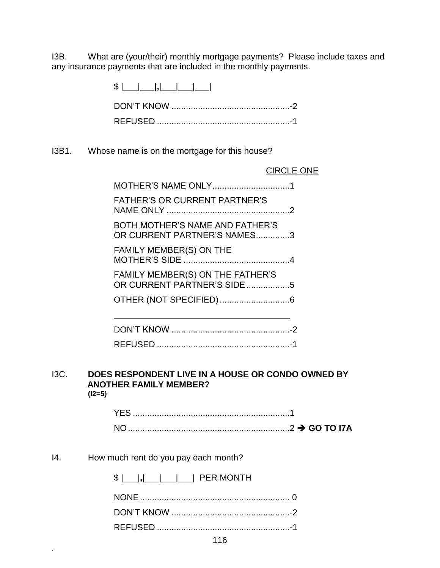I3B. What are (your/their) monthly mortgage payments? Please include taxes and any insurance payments that are included in the monthly payments.

> \$ |\_\_\_|\_\_\_|**,**|\_\_\_|\_\_\_|\_\_\_| DON'T KNOW .................................................-2 REFUSED .......................................................-1

I3B1. Whose name is on the mortgage for this house?

|                                                                | <b>CIRCLE ONE</b> |
|----------------------------------------------------------------|-------------------|
|                                                                |                   |
| <b>FATHER'S OR CURRENT PARTNER'S</b>                           |                   |
| BOTH MOTHER'S NAME AND FATHER'S<br>OR CURRENT PARTNER'S NAMES3 |                   |
| <b>FAMILY MEMBER(S) ON THE</b>                                 |                   |
| FAMILY MEMBER(S) ON THE FATHER'S<br>OR CURRENT PARTNER'S SIDE5 |                   |
|                                                                |                   |
|                                                                |                   |
|                                                                |                   |
|                                                                |                   |
|                                                                |                   |

#### I3C. **DOES RESPONDENT LIVE IN A HOUSE OR CONDO OWNED BY ANOTHER FAMILY MEMBER? (I2=5)**

| NO. |  |
|-----|--|

#### I4. How much rent do you pay each month?

|  |  |  |  |  | <b>PER MONTH</b> |
|--|--|--|--|--|------------------|
|--|--|--|--|--|------------------|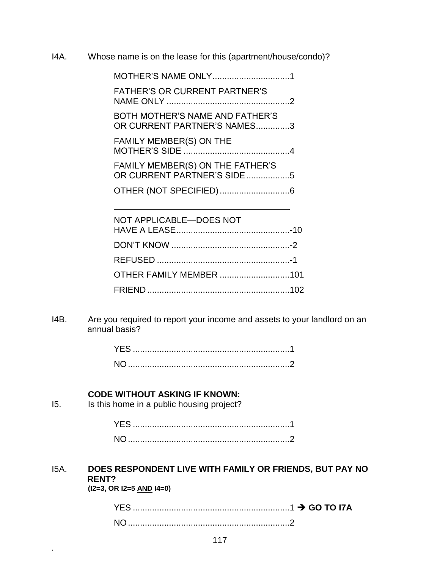I4A. Whose name is on the lease for this (apartment/house/condo)?

MOTHER'S NAME ONLY................................1 FATHER'S OR CURRENT PARTNER'S NAME ONLY ...................................................2 BOTH MOTHER'S NAME AND FATHER'S OR CURRENT PARTNER'S NAMES..............3 FAMILY MEMBER(S) ON THE MOTHER'S SIDE ............................................4 FAMILY MEMBER(S) ON THE FATHER'S OR CURRENT PARTNER'S SIDE..................5 OTHER (NOT SPECIFIED).............................6

| NOT APPLICABLE-DOES NOT        |  |
|--------------------------------|--|
|                                |  |
|                                |  |
|                                |  |
| <b>OTHER FAMILY MEMBER</b> 101 |  |
|                                |  |

I4B. Are you required to report your income and assets to your landlord on an annual basis?

#### **CODE WITHOUT ASKING IF KNOWN:**

I5. Is this home in a public housing project?

# I5A. **DOES RESPONDENT LIVE WITH FAMILY OR FRIENDS, BUT PAY NO RENT?**

**(I2=3, OR I2=5 AND I4=0)**

| <b>YES</b> |  |
|------------|--|
| <b>NO</b>  |  |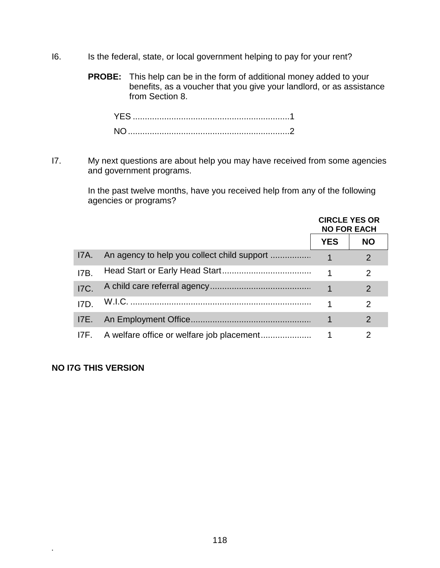- I6. Is the federal, state, or local government helping to pay for your rent?
	- **PROBE:** This help can be in the form of additional money added to your benefits, as a voucher that you give your landlord, or as assistance from Section 8.

I7. My next questions are about help you may have received from some agencies and government programs.

> In the past twelve months, have you received help from any of the following agencies or programs?

|             |                                           | <b>CIRCLE YES OR</b><br><b>NO FOR EACH</b> |               |
|-------------|-------------------------------------------|--------------------------------------------|---------------|
|             |                                           | <b>YES</b>                                 | <b>NO</b>     |
| 17A.        |                                           |                                            | $\mathcal{P}$ |
| 17B         |                                           | 1                                          | $\mathcal{P}$ |
| <b>I7C.</b> |                                           |                                            | $\mathcal{P}$ |
| 17D         |                                           |                                            | $\mathcal{P}$ |
| <b>I7E.</b> |                                           |                                            | $\mathcal{P}$ |
| I7F.        | A welfare office or welfare job placement |                                            | 2             |

#### **NO I7G THIS VERSION**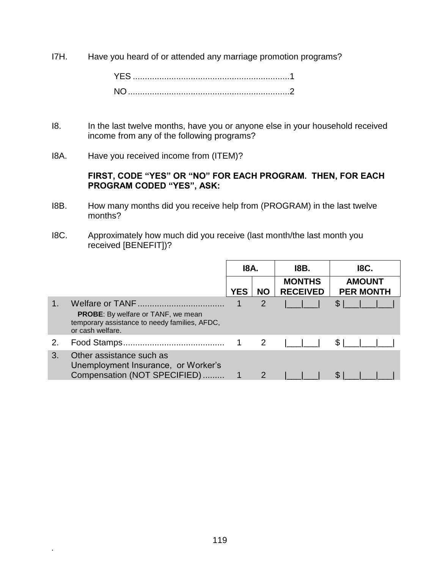I7H. Have you heard of or attended any marriage promotion programs?

- I8. In the last twelve months, have you or anyone else in your household received income from any of the following programs?
- I8A. Have you received income from (ITEM)?

#### **FIRST, CODE "YES" OR "NO" FOR EACH PROGRAM. THEN, FOR EACH PROGRAM CODED "YES", ASK:**

- I8B. How many months did you receive help from (PROGRAM) in the last twelve months?
- I8C. Approximately how much did you receive (last month/the last month you received [BENEFIT])?

|    |                                                                                                                | 18A.       |              | 18B.                             | <b>I8C.</b>                       |
|----|----------------------------------------------------------------------------------------------------------------|------------|--------------|----------------------------------|-----------------------------------|
|    |                                                                                                                | <b>YES</b> | <b>NO</b>    | <b>MONTHS</b><br><b>RECEIVED</b> | <b>AMOUNT</b><br><b>PER MONTH</b> |
|    | <b>PROBE:</b> By welfare or TANF, we mean<br>temporary assistance to needy families, AFDC,<br>or cash welfare. |            | 2            |                                  |                                   |
| 2. |                                                                                                                |            | 2            |                                  |                                   |
| 3. | Other assistance such as<br>Unemployment Insurance, or Worker's<br>Compensation (NOT SPECIFIED)                |            | $\mathcal P$ |                                  |                                   |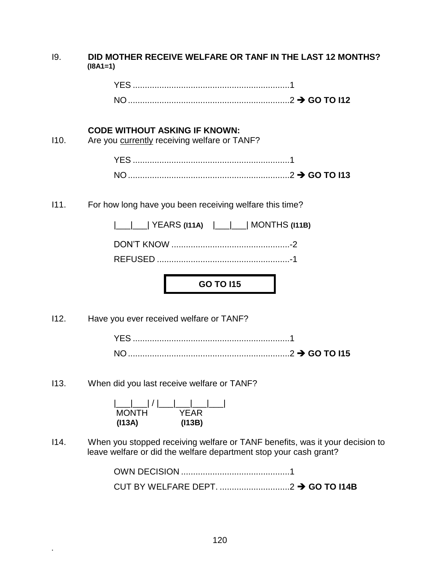| <b>19.</b> | DID MOTHER RECEIVE WELFARE OR TANF IN THE LAST 12 MONTHS?<br>$(I8A1=1)$                                                                           |  |  |
|------------|---------------------------------------------------------------------------------------------------------------------------------------------------|--|--|
|            |                                                                                                                                                   |  |  |
|            |                                                                                                                                                   |  |  |
| 110.       | <b>CODE WITHOUT ASKING IF KNOWN:</b><br>Are you currently receiving welfare or TANF?                                                              |  |  |
|            |                                                                                                                                                   |  |  |
|            |                                                                                                                                                   |  |  |
| 111.       | For how long have you been receiving welfare this time?                                                                                           |  |  |
|            | <u>__  __ </u> YEARS (I11A)  __ __  MONTHS (I11B)                                                                                                 |  |  |
|            |                                                                                                                                                   |  |  |
|            |                                                                                                                                                   |  |  |
|            | <b>GO TO I15</b>                                                                                                                                  |  |  |
| 112.       | Have you ever received welfare or TANF?                                                                                                           |  |  |
|            |                                                                                                                                                   |  |  |
|            |                                                                                                                                                   |  |  |
| 113.       | When did you last receive welfare or TANF?                                                                                                        |  |  |
|            | (113A)<br>(113B)                                                                                                                                  |  |  |
| 114.       | When you stopped receiving welfare or TANF benefits, was it your decision to<br>leave welfare or did the welfare department stop your cash grant? |  |  |

OWN DECISION .............................................1 CUT BY WELFARE DEPT. .............................2 **GO TO I14B**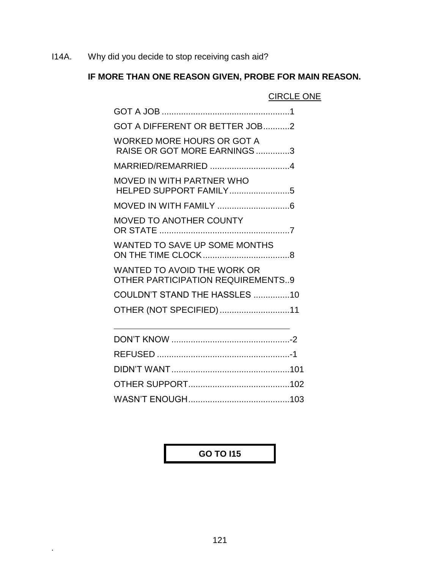I14A. Why did you decide to stop receiving cash aid?

# **IF MORE THAN ONE REASON GIVEN, PROBE FOR MAIN REASON.**

CIRCLE ONE

| GOT A DIFFERENT OR BETTER JOB2                                          |
|-------------------------------------------------------------------------|
| <b>WORKED MORE HOURS OR GOT A</b><br>RAISE OR GOT MORE EARNINGS3        |
| MARRIED/REMARRIED 4                                                     |
| <b>MOVED IN WITH PARTNER WHO</b><br>HELPED SUPPORT FAMILY5              |
|                                                                         |
| <b>MOVED TO ANOTHER COUNTY</b>                                          |
| <b>WANTED TO SAVE UP SOME MONTHS</b>                                    |
| WANTED TO AVOID THE WORK OR<br><b>OTHER PARTICIPATION REQUIREMENTS9</b> |
| COULDN'T STAND THE HASSLES 10                                           |
| OTHER (NOT SPECIFIED)11                                                 |
|                                                                         |
|                                                                         |

# **GO TO I15**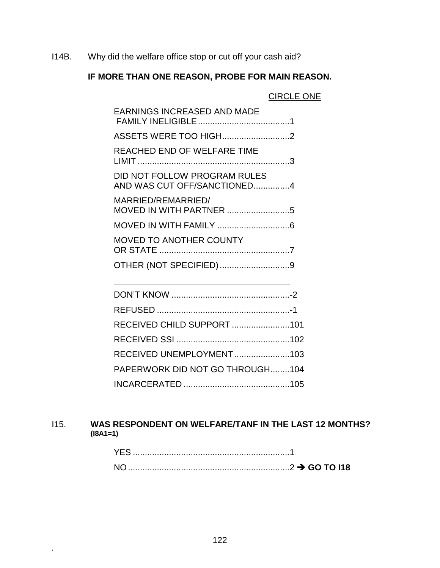I14B. Why did the welfare office stop or cut off your cash aid?

# **IF MORE THAN ONE REASON, PROBE FOR MAIN REASON.**

|                                                             | <b>CIRCLE ONE</b> |
|-------------------------------------------------------------|-------------------|
| <b>EARNINGS INCREASED AND MADE</b>                          |                   |
|                                                             |                   |
| REACHED END OF WELFARE TIME                                 |                   |
| DID NOT FOLLOW PROGRAM RULES<br>AND WAS CUT OFF/SANCTIONED4 |                   |
| MARRIED/REMARRIED/                                          |                   |
|                                                             |                   |

| MOVED TO ANOTHER COUNTY |  |
|-------------------------|--|
|                         |  |
|                         |  |

| RECEIVED CHILD SUPPORT101       |  |
|---------------------------------|--|
|                                 |  |
| RECEIVED UNEMPLOYMENT103        |  |
| PAPERWORK DID NOT GO THROUGH104 |  |
|                                 |  |

### I15. **WAS RESPONDENT ON WELFARE/TANF IN THE LAST 12 MONTHS? (I8A1=1)**

| $\ldots$ GO TO 118 |
|--------------------|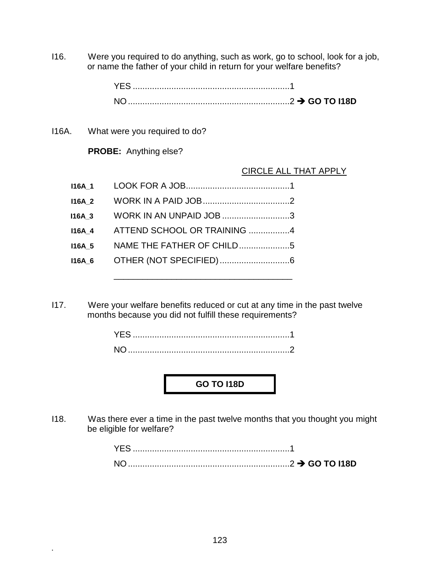I16. Were you required to do anything, such as work, go to school, look for a job, or name the father of your child in return for your welfare benefits?

I16A. What were you required to do?

**.**

**PROBE:** Anything else?

#### CIRCLE ALL THAT APPLY

| <b>I16A 1</b> |                             |  |
|---------------|-----------------------------|--|
| <b>I16A 2</b> |                             |  |
| <b>I16A 3</b> | WORK IN AN UNPAID JOB 3     |  |
| <b>I16A 4</b> | ATTEND SCHOOL OR TRAINING 4 |  |
| <b>I16A 5</b> | NAME THE FATHER OF CHILD5   |  |
| 116A 6        |                             |  |
|               |                             |  |

I17. Were your welfare benefits reduced or cut at any time in the past twelve months because you did not fulfill these requirements?

| <b>NO</b> |  |  |  |  |
|-----------|--|--|--|--|

# **GO TO I18D**

I18. Was there ever a time in the past twelve months that you thought you might be eligible for welfare?

| YES. |  |
|------|--|
| NO.  |  |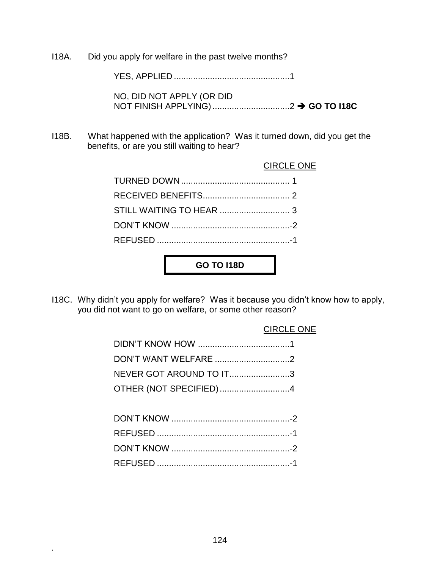I18A. Did you apply for welfare in the past twelve months?

YES, APPLIED ................................................1

NO, DID NOT APPLY (OR DID NOT FINISH APPLYING)................................2 **GO TO I18C**

I18B. What happened with the application? Was it turned down, did you get the benefits, or are you still waiting to hear?

#### CIRCLE ONE

**GO TO I18D**

I18C. Why didn't you apply for welfare? Was it because you didn't know how to apply, you did not want to go on welfare, or some other reason?

#### CIRCLE ONE

| DON'T WANT WELFARE 2    |  |
|-------------------------|--|
| NEVER GOT AROUND TO IT3 |  |
| OTHER (NOT SPECIFIED)4  |  |
|                         |  |
|                         |  |
|                         |  |
|                         |  |

DON'T KNOW .................................................-2

REFUSED .......................................................-1

124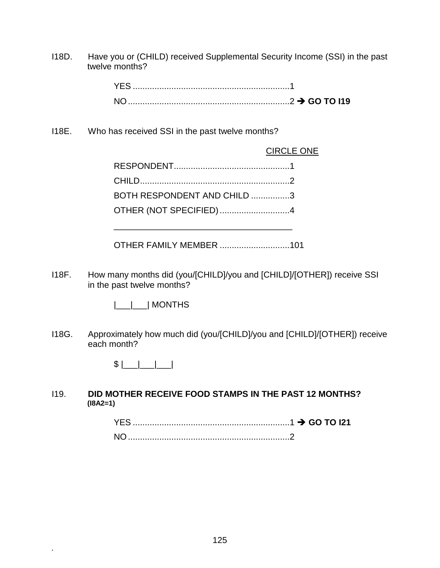I18D. Have you or (CHILD) received Supplemental Security Income (SSI) in the past twelve months?

I18E. Who has received SSI in the past twelve months?

CIRCLE ONE

| BOTH RESPONDENT AND CHILD 3 |  |
|-----------------------------|--|
| OTHER (NOT SPECIFIED)4      |  |
|                             |  |

\_\_\_\_\_\_\_\_\_\_\_\_\_\_\_\_\_\_\_\_\_\_\_\_\_\_\_\_\_\_\_\_\_\_\_\_\_

OTHER FAMILY MEMBER .............................101

I18F. How many months did (you/[CHILD]/you and [CHILD]/[OTHER]) receive SSI in the past twelve months?

|\_\_\_|\_\_\_| MONTHS

I18G. Approximately how much did (you/[CHILD]/you and [CHILD]/[OTHER]) receive each month?

 $$$   $|$   $|$   $|$   $|$   $|$ 

**.**

I19. **DID MOTHER RECEIVE FOOD STAMPS IN THE PAST 12 MONTHS? (I8A2=1)**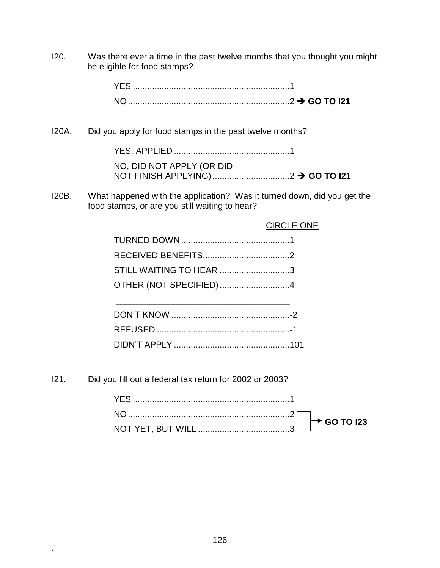I20. Was there ever a time in the past twelve months that you thought you might be eligible for food stamps?

| YFS. |  |
|------|--|
|      |  |

I20A. Did you apply for food stamps in the past twelve months?

YES, APPLIED ................................................1 NO, DID NOT APPLY (OR DID NOT FINISH APPLYING).................................2 **→ GO TO I21** 

I20B. What happened with the application? Was it turned down, did you get the food stamps, or are you still waiting to hear?

|                         | <b>CIRCLE ONE</b> |
|-------------------------|-------------------|
|                         |                   |
|                         |                   |
| STILL WAITING TO HEAR 3 |                   |
| OTHER (NOT SPECIFIED)4  |                   |
|                         |                   |
|                         |                   |
|                         |                   |
|                         |                   |

I21. Did you fill out a federal tax return for 2002 or 2003?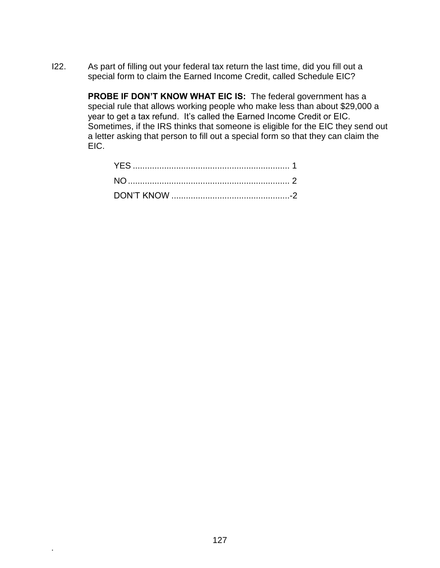I22. As part of filling out your federal tax return the last time, did you fill out a special form to claim the Earned Income Credit, called Schedule EIC?

> **PROBE IF DON'T KNOW WHAT EIC IS:** The federal government has a special rule that allows working people who make less than about \$29,000 a year to get a tax refund. It's called the Earned Income Credit or EIC. Sometimes, if the IRS thinks that someone is eligible for the EIC they send out a letter asking that person to fill out a special form so that they can claim the EIC.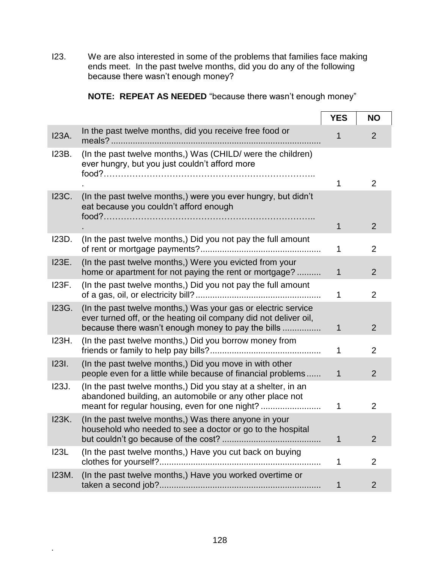I23. We are also interested in some of the problems that families face making ends meet. In the past twelve months, did you do any of the following because there wasn't enough money?

|  | NOTE: REPEAT AS NEEDED "because there wasn't enough money" |  |  |  |
|--|------------------------------------------------------------|--|--|--|
|  |                                                            |  |  |  |

|              |                                                                                                                                                                                         | <b>YES</b>  | <b>NO</b>      |
|--------------|-----------------------------------------------------------------------------------------------------------------------------------------------------------------------------------------|-------------|----------------|
| <b>I23A.</b> | In the past twelve months, did you receive free food or                                                                                                                                 |             | 2              |
| I23B.        | (In the past twelve months,) Was (CHILD/ were the children)<br>ever hungry, but you just couldn't afford more                                                                           |             |                |
|              |                                                                                                                                                                                         |             | $\overline{2}$ |
| <b>I23C.</b> | (In the past twelve months,) were you ever hungry, but didn't<br>eat because you couldn't afford enough                                                                                 | 1           | $\overline{2}$ |
| I23D.        | (In the past twelve months,) Did you not pay the full amount                                                                                                                            | 1           | $\overline{2}$ |
| <b>I23E.</b> | (In the past twelve months,) Were you evicted from your<br>home or apartment for not paying the rent or mortgage?                                                                       | 1           | $\overline{2}$ |
| 123F.        | (In the past twelve months,) Did you not pay the full amount                                                                                                                            | 1           | $\overline{2}$ |
| <b>I23G.</b> | (In the past twelve months,) Was your gas or electric service<br>ever turned off, or the heating oil company did not deliver oil,<br>because there wasn't enough money to pay the bills | $\mathbf 1$ | $\overline{2}$ |
| 123H.        | (In the past twelve months,) Did you borrow money from                                                                                                                                  | 1           | 2              |
| <b>1231.</b> | (In the past twelve months,) Did you move in with other<br>people even for a little while because of financial problems                                                                 | 1           | $\overline{2}$ |
| <b>123J.</b> | (In the past twelve months,) Did you stay at a shelter, in an<br>abandoned building, an automobile or any other place not<br>meant for regular housing, even for one night?             | 1           | 2              |
| 123K.        | (In the past twelve months,) Was there anyone in your<br>household who needed to see a doctor or go to the hospital                                                                     | 1           | $\overline{2}$ |
| <b>I23L</b>  | (In the past twelve months,) Have you cut back on buying                                                                                                                                | 1           | $\overline{2}$ |
| <b>I23M.</b> | (In the past twelve months,) Have you worked overtime or                                                                                                                                | 1           | $\overline{2}$ |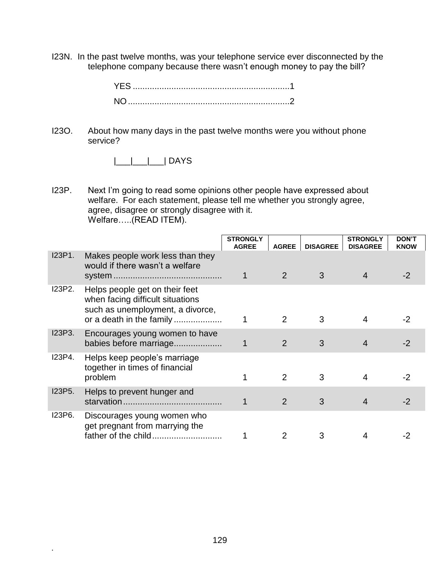I23N. In the past twelve months, was your telephone service ever disconnected by the telephone company because there wasn't enough money to pay the bill?

I23O. About how many days in the past twelve months were you without phone service?

|\_\_\_|\_\_\_|\_\_\_| DAYS

I23P. Next I'm going to read some opinions other people have expressed about welfare. For each statement, please tell me whether you strongly agree, agree, disagree or strongly disagree with it. Welfare…..(READ ITEM).

|        |                                                                                                                                    | <b>STRONGLY</b><br><b>AGREE</b> | <b>AGREE</b>  | <b>DISAGREE</b> | <b>STRONGLY</b><br><b>DISAGREE</b> | <b>DON'T</b><br><b>KNOW</b> |
|--------|------------------------------------------------------------------------------------------------------------------------------------|---------------------------------|---------------|-----------------|------------------------------------|-----------------------------|
| I23P1. | Makes people work less than they<br>would if there wasn't a welfare                                                                |                                 | 2             | 3               |                                    |                             |
| I23P2. | Helps people get on their feet<br>when facing difficult situations<br>such as unemployment, a divorce,<br>or a death in the family |                                 | 2             | 3               | 4                                  | -2                          |
| I23P3. | Encourages young women to have<br>babies before marriage                                                                           |                                 | 2             | 3               | 4                                  |                             |
| I23P4. | Helps keep people's marriage<br>together in times of financial<br>problem                                                          |                                 | $\mathcal{P}$ | 3               |                                    | -2                          |
| I23P5. | Helps to prevent hunger and                                                                                                        |                                 | 2             | 3               | 4                                  | $-2$                        |
| I23P6. | Discourages young women who<br>get pregnant from marrying the<br>father of the child                                               |                                 |               | 3               |                                    |                             |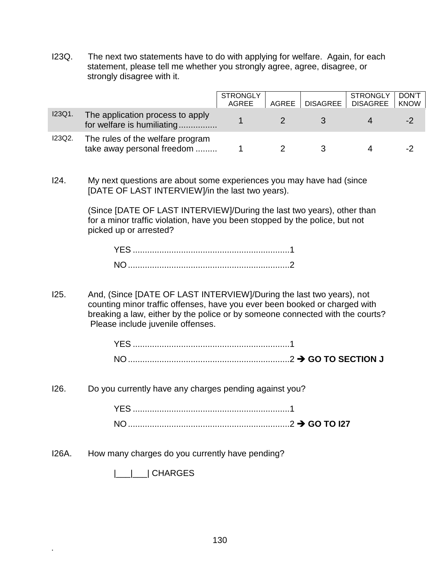I23Q. The next two statements have to do with applying for welfare. Again, for each statement, please tell me whether you strongly agree, agree, disagree, or strongly disagree with it.

|        |                                                                | <b>STRONGLY</b><br>AGREE | AGREE | DISAGREE | <b>STRONGLY</b><br><b>DISAGREE</b> | DON'T<br><b>KNOW</b> |
|--------|----------------------------------------------------------------|--------------------------|-------|----------|------------------------------------|----------------------|
| I23Q1. | The application process to apply<br>for welfare is humiliating |                          |       |          |                                    | -2                   |
| I23Q2. | The rules of the welfare program<br>take away personal freedom |                          |       |          |                                    | -2                   |

I24. My next questions are about some experiences you may have had (since [DATE OF LAST INTERVIEW]/in the last two years).

> (Since [DATE OF LAST INTERVIEW]/During the last two years), other than for a minor traffic violation, have you been stopped by the police, but not picked up or arrested?

I25. And, (Since [DATE OF LAST INTERVIEW]/During the last two years), not counting minor traffic offenses, have you ever been booked or charged with breaking a law, either by the police or by someone connected with the courts? Please include juvenile offenses.

| <b>YES</b>     |  |
|----------------|--|
| N <sub>O</sub> |  |

I26. Do you currently have any charges pending against you?

| YES.            |  |
|-----------------|--|
| NO <sub>1</sub> |  |

I26A. How many charges do you currently have pending?

|\_\_\_|\_\_\_| CHARGES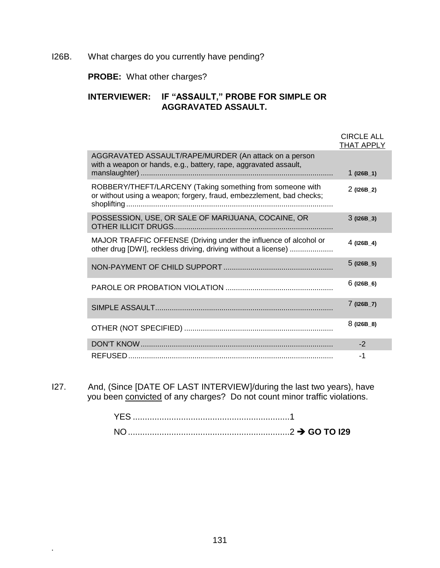#### I26B. What charges do you currently have pending?

**PROBE:** What other charges?

## **INTERVIEWER: IF "ASSAULT," PROBE FOR SIMPLE OR AGGRAVATED ASSAULT.**

|                                                                                                                                    | <b>CIRCLE ALL</b><br><b>THAT APPLY</b> |
|------------------------------------------------------------------------------------------------------------------------------------|----------------------------------------|
| AGGRAVATED ASSAULT/RAPE/MURDER (An attack on a person<br>with a weapon or hands, e.g., battery, rape, aggravated assault,          | $1$ (I26B_1)                           |
| ROBBERY/THEFT/LARCENY (Taking something from someone with<br>or without using a weapon; forgery, fraud, embezzlement, bad checks;  | $2$ (126B_2)                           |
| POSSESSION, USE, OR SALE OF MARIJUANA, COCAINE, OR                                                                                 | $3(126B-3)$                            |
| MAJOR TRAFFIC OFFENSE (Driving under the influence of alcohol or<br>other drug [DWI], reckless driving, driving without a license) | $4$ (126B_4)                           |
|                                                                                                                                    | $5$ (I26B_5)                           |
|                                                                                                                                    | $6$ (I26B_6)                           |
|                                                                                                                                    | $7$ (126B_7)                           |
|                                                                                                                                    | $8(126B_8)$                            |
|                                                                                                                                    | $-2$                                   |
|                                                                                                                                    | -1                                     |

I27. And, (Since [DATE OF LAST INTERVIEW]/during the last two years), have you been convicted of any charges? Do not count minor traffic violations.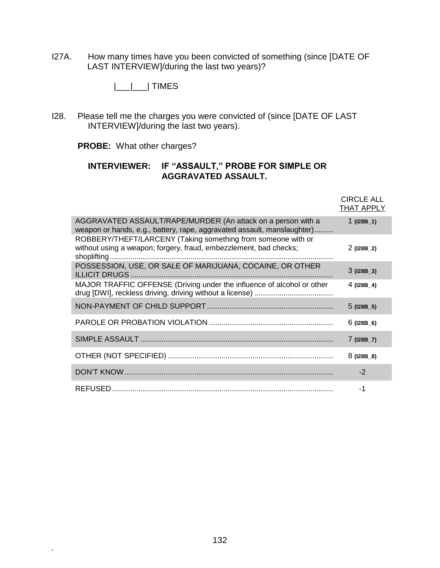I27A. How many times have you been convicted of something (since [DATE OF LAST INTERVIEW]/during the last two years)?

|\_\_\_|\_\_\_| TIMES

I28. Please tell me the charges you were convicted of (since [DATE OF LAST INTERVIEW]/during the last two years).

**PROBE:** What other charges?

**.**

#### **INTERVIEWER: IF "ASSAULT," PROBE FOR SIMPLE OR AGGRAVATED ASSAULT.**

|                                                                                                                                         | <b>CIRCLE ALL</b><br><b>THAT APPLY</b> |
|-----------------------------------------------------------------------------------------------------------------------------------------|----------------------------------------|
| AGGRAVATED ASSAULT/RAPE/MURDER (An attack on a person with a<br>weapon or hands, e.g., battery, rape, aggravated assault, manslaughter) | $1$ (128B_1)                           |
| ROBBERY/THEFT/LARCENY (Taking something from someone with or<br>without using a weapon; forgery, fraud, embezzlement, bad checks;       | $2$ (128B_2)                           |
| POSSESSION, USE, OR SALE OF MARIJUANA, COCAINE, OR OTHER                                                                                | $3(128B-3)$                            |
| MAJOR TRAFFIC OFFENSE (Driving under the influence of alcohol or other                                                                  | $4$ (128B_4)                           |
|                                                                                                                                         | $5$ (I28B_5)                           |
|                                                                                                                                         | $6$ (I28B_6)                           |
|                                                                                                                                         | $7$ (128B_7)                           |
|                                                                                                                                         | $8(128B_8)$                            |
|                                                                                                                                         | $-2$                                   |
|                                                                                                                                         | -1                                     |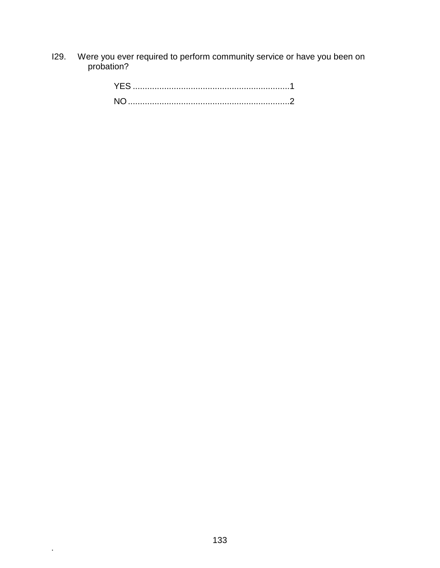I29. Were you ever required to perform community service or have you been on probation?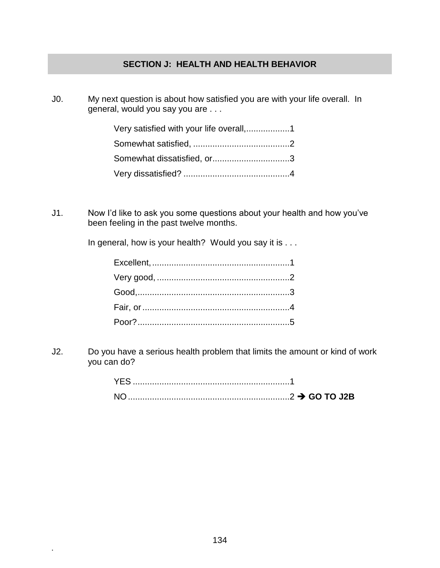#### **SECTION J: HEALTH AND HEALTH BEHAVIOR**

J0. My next question is about how satisfied you are with your life overall. In general, would you say you are . . .

| Somewhat dissatisfied, or3 |  |
|----------------------------|--|
|                            |  |

J1. Now I'd like to ask you some questions about your health and how you've been feeling in the past twelve months.

In general, how is your health? Would you say it is . . .

J2. Do you have a serious health problem that limits the amount or kind of work you can do?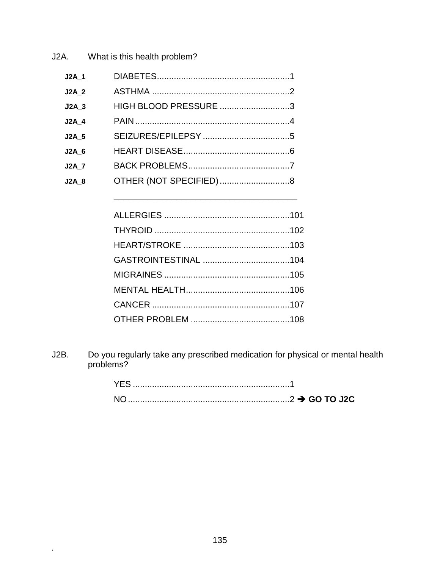J2A. What is this health problem?

| J2A 1        |                        |  |
|--------------|------------------------|--|
| <b>J2A 2</b> |                        |  |
| $J2A$ 3      | HIGH BLOOD PRESSURE 3  |  |
| <b>J2A 4</b> |                        |  |
| <b>J2A 5</b> |                        |  |
| J2A 6        |                        |  |
| <b>J2A 7</b> |                        |  |
| $J2A_8$      | OTHER (NOT SPECIFIED)8 |  |
|              |                        |  |

Do you regularly take any prescribed medication for physical or mental health problems?  $J2B.$ 

 $\hat{\mathbf{r}}$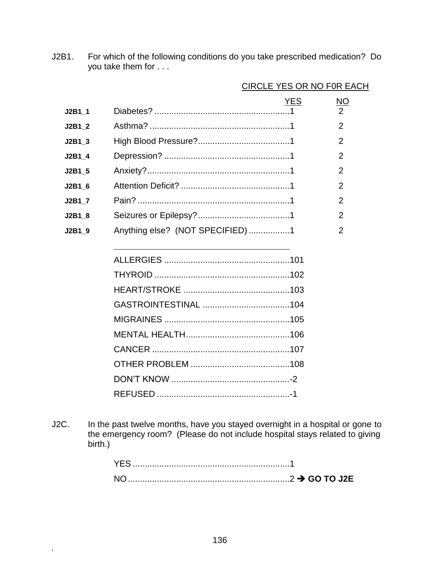J2B1. For which of the following conditions do you take prescribed medication? Do you take them for . . .

|          |                                  | <b>YES</b> | <u>NO</u>      |
|----------|----------------------------------|------------|----------------|
| J2B1 1   |                                  |            | $\overline{2}$ |
| J2B1 2   |                                  |            | $\overline{2}$ |
| J2B1 3   |                                  |            | 2              |
| J2B1 4   |                                  |            | 2              |
| J2B1 5   |                                  |            | 2              |
| J2B1 6   |                                  |            | 2              |
| J2B1 7   |                                  |            | 2              |
| $J2B1_8$ |                                  |            | 2              |
| $J2B1_9$ | Anything else? (NOT SPECIFIED) 1 |            | 2              |
|          |                                  |            |                |
|          |                                  |            |                |
|          |                                  |            |                |
|          |                                  |            |                |
|          |                                  |            |                |
|          |                                  |            |                |
|          |                                  |            |                |
|          |                                  |            |                |
|          |                                  |            |                |
|          |                                  |            |                |
|          |                                  |            |                |

#### CIRCLE YES OR NO F0R EACH

J2C. In the past twelve months, have you stayed overnight in a hospital or gone to the emergency room? (Please do not include hospital stays related to giving birth.)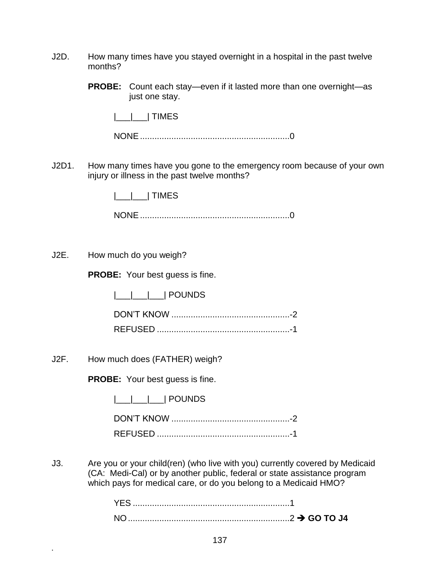- J2D. How many times have you stayed overnight in a hospital in the past twelve months?
	- **PROBE:** Count each stay—even if it lasted more than one overnight—as just one stay.

|\_\_\_|\_\_\_| TIMES

NONE..............................................................0

J2D1. How many times have you gone to the emergency room because of your own injury or illness in the past twelve months?

|\_\_\_|\_\_\_| TIMES

NONE..............................................................0

J2E. How much do you weigh?

**PROBE:** Your best guess is fine.

|\_\_\_|\_\_\_|\_\_\_| POUNDS

DON'T KNOW .................................................-2 REFUSED .......................................................-1

J2F. How much does (FATHER) weigh?

**.**

**PROBE:** Your best guess is fine.

|\_\_\_|\_\_\_|\_\_\_| POUNDS

J3. Are you or your child(ren) (who live with you) currently covered by Medicaid (CA: Medi-Cal) or by another public, federal or state assistance program which pays for medical care, or do you belong to a Medicaid HMO?

| NO <sub>1</sub> |  |
|-----------------|--|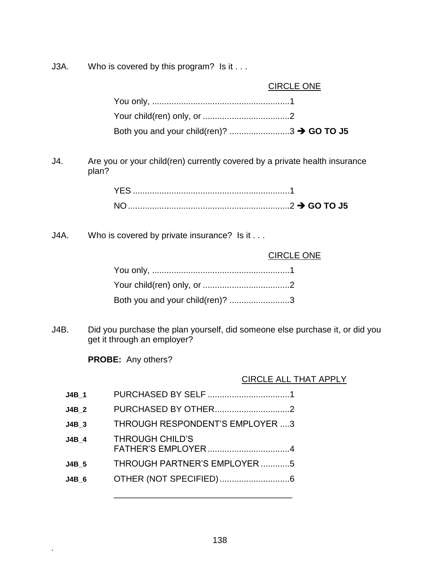J3A. Who is covered by this program? Is it . . .

|      | <b>CIRCLE ONE</b>                                                                                           |
|------|-------------------------------------------------------------------------------------------------------------|
|      |                                                                                                             |
|      |                                                                                                             |
|      | Both you and your child(ren)? 3 > GO TO J5                                                                  |
| J4.  | Are you or your child(ren) currently covered by a private health insurance<br>plan?                         |
|      |                                                                                                             |
|      |                                                                                                             |
| J4A. | Who is covered by private insurance? Is it                                                                  |
|      | <b>CIRCLE ONE</b>                                                                                           |
|      |                                                                                                             |
|      |                                                                                                             |
|      | Both you and your child(ren)? 3                                                                             |
| J4B. | Did you purchase the plan yourself, did someone else purchase it, or did you<br>get it through an employer? |
|      | <b>PROBE:</b> Any others?                                                                                   |
|      | <b>CIRCLE ALL THAT APPLY</b>                                                                                |
|      |                                                                                                             |

| J4B 1        | PURCHASED BY SELF                      |
|--------------|----------------------------------------|
| <b>J4B 2</b> | PURCHASED BY OTHER                     |
| J4B 3        | <b>THROUGH RESPONDENT'S EMPLOYER 3</b> |
| J4B 4        | <b>THROUGH CHILD'S</b>                 |
| <b>J4B 5</b> | THROUGH PARTNER'S EMPLOYER5            |
| J4B 6        |                                        |
|              |                                        |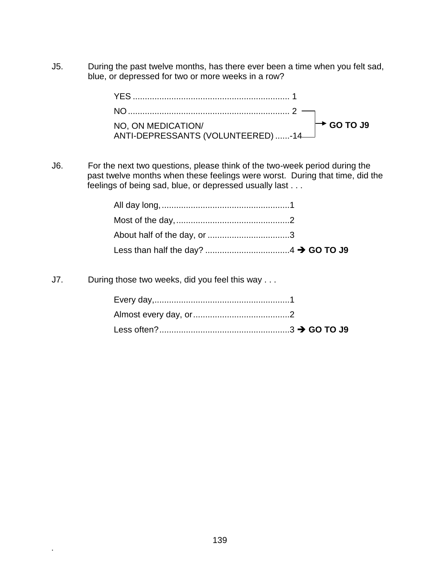J5. During the past twelve months, has there ever been a time when you felt sad, blue, or depressed for two or more weeks in a row?

| NO, ON MEDICATION/<br>NO, ON MEDICATION/<br>ANTI-DEPRESSANTS (VOLUNTEERED) -14 | $\rightarrow$ GO TO J9 |
|--------------------------------------------------------------------------------|------------------------|
|                                                                                |                        |

J6. For the next two questions, please think of the two-week period during the past twelve months when these feelings were worst. During that time, did the feelings of being sad, blue, or depressed usually last . . .

J7. During those two weeks, did you feel this way . . .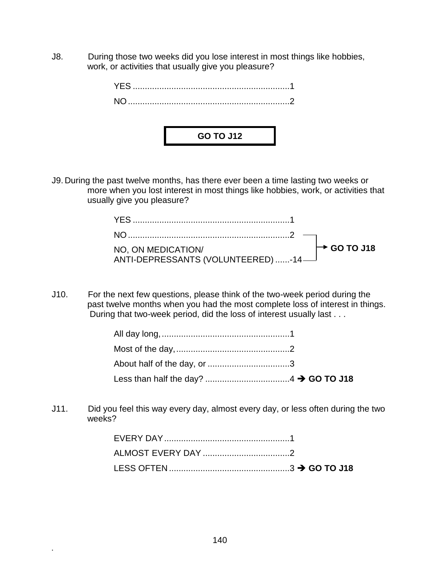J8. During those two weeks did you lose interest in most things like hobbies, work, or activities that usually give you pleasure?

| <b>GO TO J12</b> |  |
|------------------|--|
|                  |  |

J9. During the past twelve months, has there ever been a time lasting two weeks or more when you lost interest in most things like hobbies, work, or activities that usually give you pleasure?

| WIT-DEPRESSANTS (VOLUNTEERFD) 14 |  |
|----------------------------------|--|
|                                  |  |

J10. For the next few questions, please think of the two-week period during the past twelve months when you had the most complete loss of interest in things. During that two-week period, did the loss of interest usually last . . .

J11. Did you feel this way every day, almost every day, or less often during the two weeks?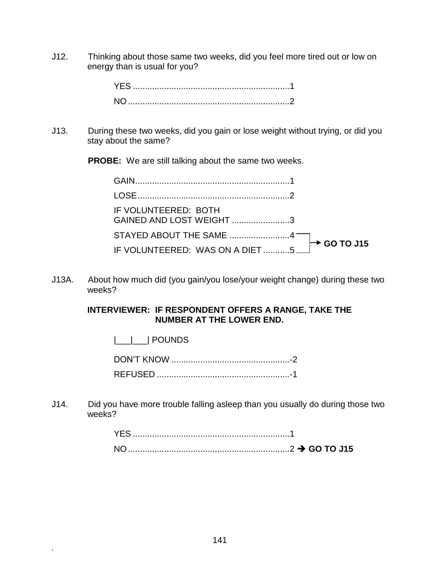J12. Thinking about those same two weeks, did you feel more tired out or low on energy than is usual for you?

J13. During these two weeks, did you gain or lose weight without trying, or did you stay about the same?

**PROBE:** We are still talking about the same two weeks.

| IF VOLUNTEERED: BOTH<br>GAINED AND LOST WEIGHT3                            |  |
|----------------------------------------------------------------------------|--|
| STAYED ABOUT THE SAME $\begin{array}{c} 4 \\ \hline \end{array}$ GO TO J15 |  |
|                                                                            |  |

J13A. About how much did (you gain/you lose/your weight change) during these two weeks?

#### **INTERVIEWER: IF RESPONDENT OFFERS A RANGE, TAKE THE NUMBER AT THE LOWER END.**

|\_\_\_|\_\_\_| POUNDS

**.**

J14. Did you have more trouble falling asleep than you usually do during those two weeks?

| <b>YFS</b> |  |
|------------|--|
|            |  |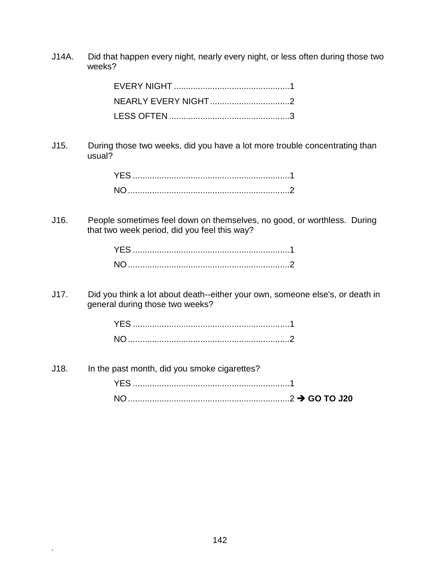J14A. Did that happen every night, nearly every night, or less often during those two weeks?

J15. During those two weeks, did you have a lot more trouble concentrating than usual?

J16. People sometimes feel down on themselves, no good, or worthless. During that two week period, did you feel this way?

J17. Did you think a lot about death--either your own, someone else's, or death in general during those two weeks?

J18. In the past month, did you smoke cigarettes? YES .................................................................1

NO...................................................................2 **GO TO J20**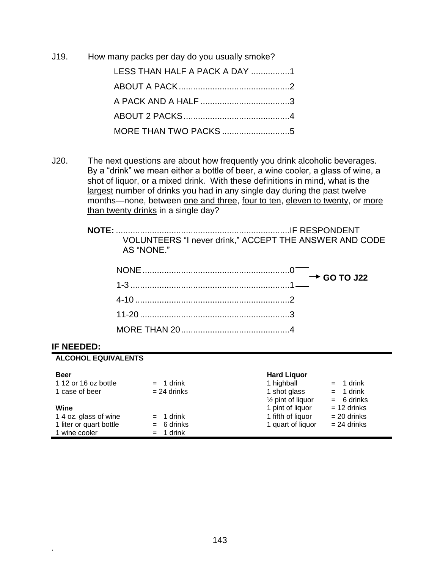J19. How many packs per day do you usually smoke?

| LESS THAN HALF A PACK A DAY 1 |  |
|-------------------------------|--|
|                               |  |
|                               |  |
|                               |  |
|                               |  |

J20. The next questions are about how frequently you drink alcoholic beverages. By a "drink" we mean either a bottle of beer, a wine cooler, a glass of wine, a shot of liquor, or a mixed drink. With these definitions in mind, what is the largest number of drinks you had in any single day during the past twelve months—none, between one and three, four to ten, eleven to twenty, or more than twenty drinks in a single day?

| VOLUNTEERS "I never drink," ACCEPT THE ANSWER AND CODE |  |
|--------------------------------------------------------|--|
| AS "NONE."                                             |  |

#### **IF NEEDED:**

**.**

# **ALCOHOL EQUIVALENTS Beer Hard Liquor**

| 1 12 or 16 oz bottle    | $= 1$ drink   | 1 highball                   | $= 1$ drink   |
|-------------------------|---------------|------------------------------|---------------|
| 1 case of beer          | $= 24$ drinks | 1 shot glass                 | $= 1$ drink   |
|                         |               | $\frac{1}{2}$ pint of liquor | $= 6$ drinks  |
| Wine                    |               | 1 pint of liquor             | $= 12$ drinks |
| 1 4 oz. glass of wine   | $= 1$ drink   | 1 fifth of liquor            | $= 20$ drinks |
| 1 liter or quart bottle | $= 6$ drinks  | 1 quart of liquor            | $= 24$ drinks |
| 1 wine cooler           | $= 1$ drink   |                              |               |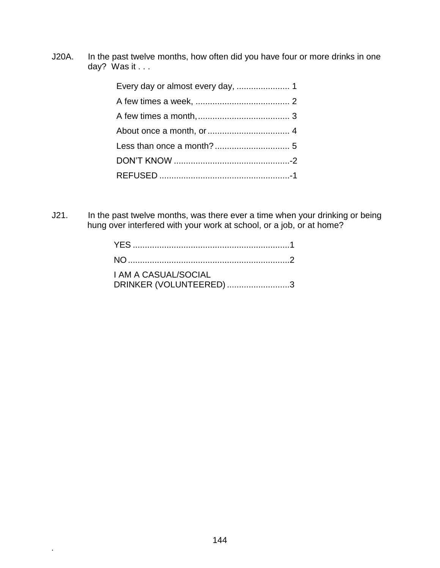J20A. In the past twelve months, how often did you have four or more drinks in one day? Was it . . .

J21. In the past twelve months, was there ever a time when your drinking or being hung over interfered with your work at school, or a job, or at home?

| <b>I AM A CASUAL/SOCIAL</b> |  |
|-----------------------------|--|
| DRINKER (VOLUNTEERED) 3     |  |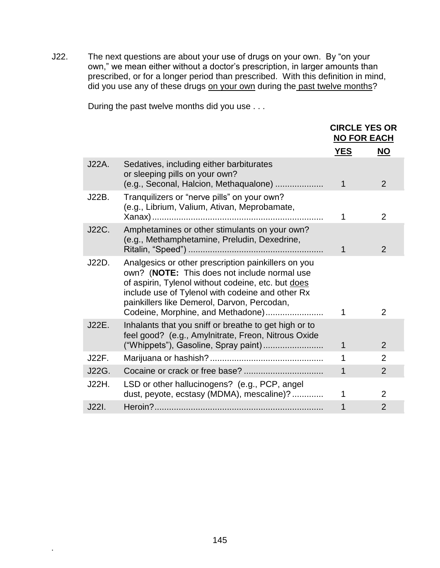J22. The next questions are about your use of drugs on your own. By "on your own," we mean either without a doctor's prescription, in larger amounts than prescribed, or for a longer period than prescribed. With this definition in mind, did you use any of these drugs on your own during the past twelve months?

During the past twelve months did you use . . .

|       |                                                                                                                                                                                                                                                                                                   |             | <b>CIRCLE YES OR</b><br><b>NO FOR EACH</b> |
|-------|---------------------------------------------------------------------------------------------------------------------------------------------------------------------------------------------------------------------------------------------------------------------------------------------------|-------------|--------------------------------------------|
|       |                                                                                                                                                                                                                                                                                                   | <b>YES</b>  | <b>NO</b>                                  |
| J22A. | Sedatives, including either barbiturates<br>or sleeping pills on your own?<br>(e.g., Seconal, Halcion, Methaqualone)                                                                                                                                                                              | $\mathbf 1$ | 2                                          |
| J22B. | Tranquilizers or "nerve pills" on your own?<br>(e.g., Librium, Valium, Ativan, Meprobamate,                                                                                                                                                                                                       |             | 2                                          |
| J22C. | Amphetamines or other stimulants on your own?<br>(e.g., Methamphetamine, Preludin, Dexedrine,                                                                                                                                                                                                     | 1           | $\overline{2}$                             |
| J22D. | Analgesics or other prescription painkillers on you<br>own? (NOTE: This does not include normal use<br>of aspirin, Tylenol without codeine, etc. but does<br>include use of Tylenol with codeine and other Rx<br>painkillers like Demerol, Darvon, Percodan,<br>Codeine, Morphine, and Methadone) | 1           | $\overline{2}$                             |
| J22E. | Inhalants that you sniff or breathe to get high or to<br>feel good? (e.g., Amylnitrate, Freon, Nitrous Oxide<br>("Whippets"), Gasoline, Spray paint)                                                                                                                                              | 1           | $\overline{2}$                             |
| J22F. |                                                                                                                                                                                                                                                                                                   | 1           | $\overline{2}$                             |
| J22G. |                                                                                                                                                                                                                                                                                                   | 1           | $\overline{2}$                             |
| J22H. | LSD or other hallucinogens? (e.g., PCP, angel<br>dust, peyote, ecstasy (MDMA), mescaline)?                                                                                                                                                                                                        | 1           | $\overline{2}$                             |
| J22I. |                                                                                                                                                                                                                                                                                                   | 1           | $\overline{2}$                             |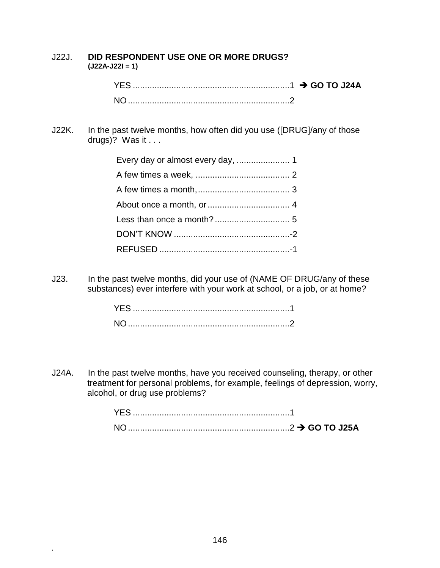| J22J. | DID RESPONDENT USE ONE OR MORE DRUGS?<br>$(J22A-J22I=1)$                                        |
|-------|-------------------------------------------------------------------------------------------------|
|       |                                                                                                 |
| J22K. | In the past twelve months, how often did you use ([DRUG]/any of those<br>drugs)? Was it $\dots$ |
|       |                                                                                                 |
|       |                                                                                                 |
|       |                                                                                                 |
|       |                                                                                                 |
|       |                                                                                                 |
|       |                                                                                                 |
|       |                                                                                                 |
|       | $\frac{1}{2}$ is the post turble operation did us us no of (NIANE OF DDIIO) and the set         |

J23. In the past twelve months, did your use of (NAME OF DRUG/any of these substances) ever interfere with your work at school, or a job, or at home?

J24A. In the past twelve months, have you received counseling, therapy, or other treatment for personal problems, for example, feelings of depression, worry, alcohol, or drug use problems?

| YES. |  |
|------|--|
| NΟ   |  |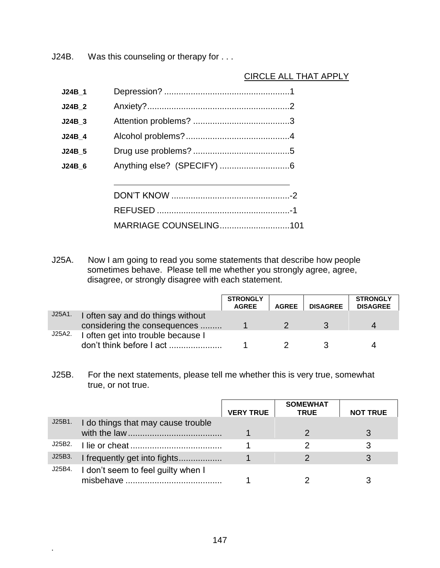J24B. Was this counseling or therapy for . . .

# CIRCLE ALL THAT APPLY

| J24B 1   |                        |
|----------|------------------------|
| J24B 2   |                        |
| $J24B_3$ |                        |
| J24B 4   |                        |
| J24B 5   |                        |
| J24B 6   |                        |
|          |                        |
|          |                        |
|          |                        |
|          | MARRIAGE COUNSELING101 |

J25A. Now I am going to read you some statements that describe how people sometimes behave. Please tell me whether you strongly agree, agree, disagree, or strongly disagree with each statement.

|        |                                    | <b>STRONGLY</b><br><b>AGREE</b> | <b>AGREE</b> | <b>DISAGREE</b> | <b>STRONGLY</b><br><b>DISAGREE</b> |
|--------|------------------------------------|---------------------------------|--------------|-----------------|------------------------------------|
| J25A1. | I often say and do things without  |                                 |              |                 |                                    |
|        | considering the consequences       |                                 |              |                 |                                    |
| J25A2. | I often get into trouble because I |                                 |              |                 |                                    |
|        | don't think before I act           |                                 |              |                 |                                    |

J25B. For the next statements, please tell me whether this is very true, somewhat true, or not true.

|        |                                    | <b>VERY TRUE</b> | <b>SOMEWHAT</b><br><b>TRUE</b> | <b>NOT TRUE</b> |
|--------|------------------------------------|------------------|--------------------------------|-----------------|
| J25B1. | I do things that may cause trouble |                  |                                |                 |
| J25B2. |                                    |                  |                                |                 |
| J25B3. | I frequently get into fights       |                  |                                |                 |
| J25B4. | I don't seem to feel guilty when I |                  |                                |                 |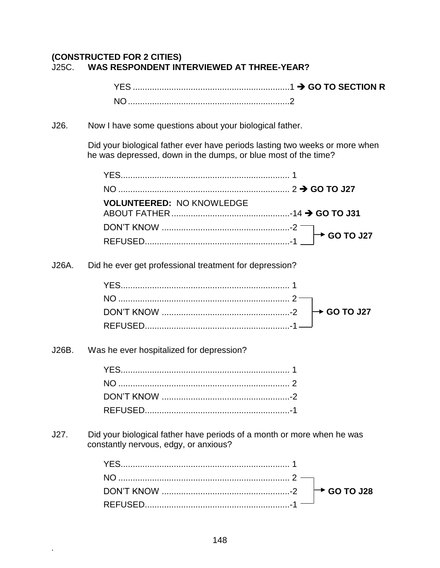# **(CONSTRUCTED FOR 2 CITIES)** J25C. **WAS RESPONDENT INTERVIEWED AT THREE-YEAR?**

YES .................................................................1 **GO TO SECTION R** NO...................................................................2

J26. Now I have some questions about your biological father.

Did your biological father ever have periods lasting two weeks or more when he was depressed, down in the dumps, or blue most of the time?

|       | <b>VOLUNTEERED: NO KNOWLEDGE</b>                                                                                |                         |
|-------|-----------------------------------------------------------------------------------------------------------------|-------------------------|
|       |                                                                                                                 | <b>► GO TO J27</b>      |
|       |                                                                                                                 |                         |
| J26A. | Did he ever get professional treatment for depression?                                                          |                         |
|       |                                                                                                                 |                         |
|       |                                                                                                                 |                         |
|       |                                                                                                                 | $\rightarrow$ GO TO J27 |
|       |                                                                                                                 |                         |
| J26B. | Was he ever hospitalized for depression?                                                                        |                         |
|       |                                                                                                                 |                         |
|       |                                                                                                                 |                         |
|       |                                                                                                                 |                         |
|       |                                                                                                                 |                         |
| J27.  | Did your biological father have periods of a month or more when he was<br>constantly nervous, edgy, or anxious? |                         |
|       |                                                                                                                 |                         |
|       |                                                                                                                 |                         |

 $\rightarrow$  GO TO J28

DON'T KNOW .....................................................-2 REFUSED............................................................-1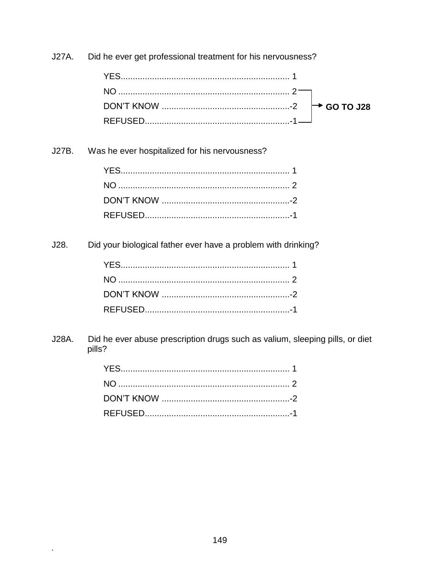**J27A.** Did he ever get professional treatment for his nervousness?

Was he ever hospitalized for his nervousness? J27B.

Did your biological father ever have a problem with drinking?  $J28.$ 

J28A. Did he ever abuse prescription drugs such as valium, sleeping pills, or diet pills?

 $\ddot{\phantom{a}}$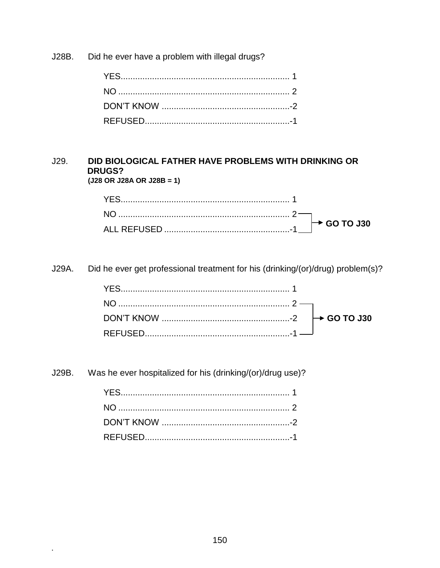Did he ever have a problem with illegal drugs? J28B.

#### DID BIOLOGICAL FATHER HAVE PROBLEMS WITH DRINKING OR  $J29.$ **DRUGS?**  $(J28 \t{OR} \t{J28A} \t{OR} \t{J28B} = 1)$

Did he ever get professional treatment for his (drinking/(or)/drug) problem(s)? J29A.

J29B. Was he ever hospitalized for his (drinking/(or)/drug use)?

 $\blacksquare$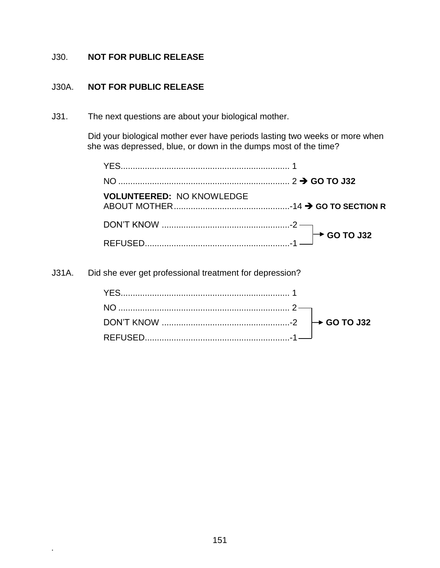# J30. **NOT FOR PUBLIC RELEASE**

## J30A. **NOT FOR PUBLIC RELEASE**

**.**

J31. The next questions are about your biological mother.

Did your biological mother ever have periods lasting two weeks or more when she was depressed, blue, or down in the dumps most of the time?

| <b>VOLUNTEERED: NO KNOWLEDGE</b> |  |
|----------------------------------|--|
|                                  |  |
|                                  |  |

J31A. Did she ever get professional treatment for depression?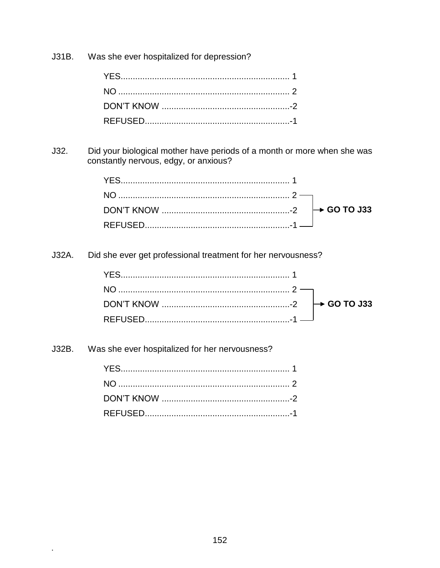Was she ever hospitalized for depression?  $J31B.$ 

Did your biological mother have periods of a month or more when she was  $J32.$ constantly nervous, edgy, or anxious?

Did she ever get professional treatment for her nervousness? J32A.

| DON'T KNOW $\cdots$ 60 TO J33 |  |
|-------------------------------|--|
|                               |  |

Was she ever hospitalized for her nervousness?  $J32B.$ 

 $\bullet$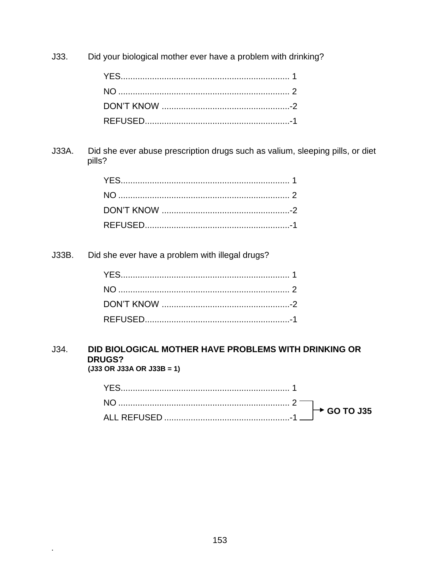$J33.$ Did your biological mother ever have a problem with drinking?

Did she ever abuse prescription drugs such as valium, sleeping pills, or diet J33A. pills?

Did she ever have a problem with illegal drugs?  $J33B.$ 

 $\blacksquare$ 

#### DID BIOLOGICAL MOTHER HAVE PROBLEMS WITH DRINKING OR  $J34.$ **DRUGS?**  $(J33 \t{OR} J33A \t{OR} J33B = 1)$

| $10$ $\rightarrow$ GO TO J35 |                          |
|------------------------------|--------------------------|
|                              | $\overline{\phantom{a}}$ |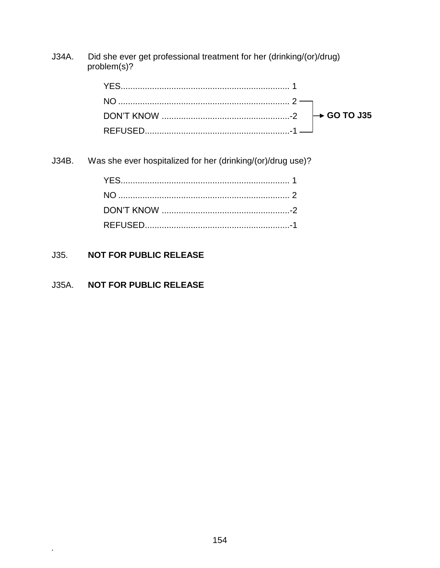J34A. Did she ever get professional treatment for her (drinking/(or)/drug) problem(s)?

| DON'T KNOW $\ldots$ $\rightarrow$ GO TO J35 |  |
|---------------------------------------------|--|
|                                             |  |

J34B. Was she ever hospitalized for her (drinking/(or)/drug use)?

#### $J35.$ **NOT FOR PUBLIC RELEASE**

#### J35A. **NOT FOR PUBLIC RELEASE**

 $\hat{\mathbf{r}}$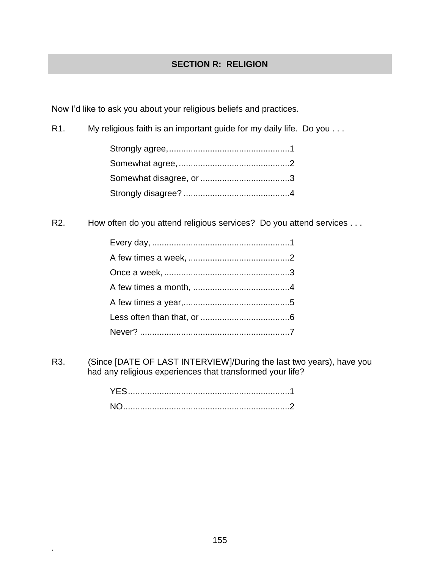# **SECTION R: RELIGION**

Now I'd like to ask you about your religious beliefs and practices.

R1. My religious faith is an important guide for my daily life. Do you . . .

R2. How often do you attend religious services? Do you attend services . . .

R3. (Since [DATE OF LAST INTERVIEW]/During the last two years), have you had any religious experiences that transformed your life?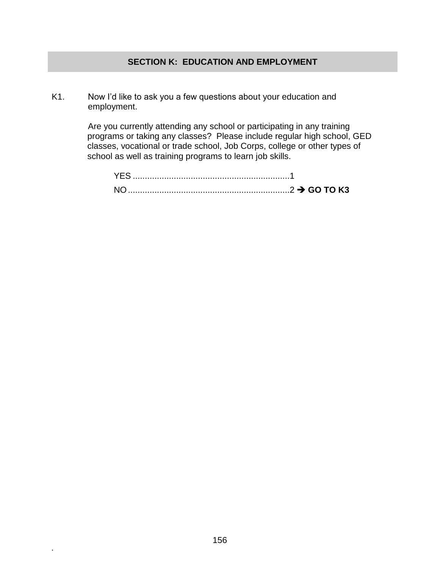### **SECTION K: EDUCATION AND EMPLOYMENT**

K1. Now I'd like to ask you a few questions about your education and employment.

> Are you currently attending any school or participating in any training programs or taking any classes? Please include regular high school, GED classes, vocational or trade school, Job Corps, college or other types of school as well as training programs to learn job skills.

| <b>YES</b> |  |
|------------|--|
| <b>NO</b>  |  |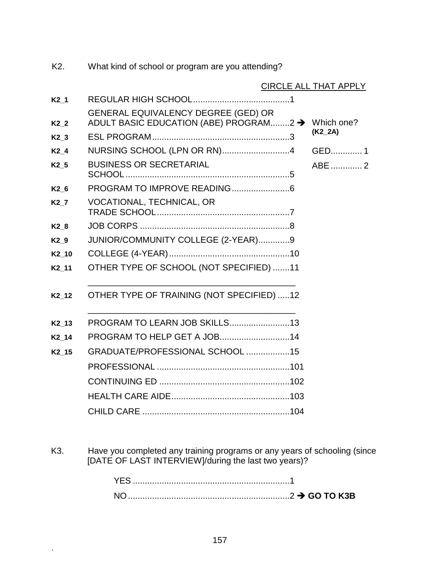K2. What kind of school or program are you attending?

|                  | CIRCLE ALL THAT APPLY                                                                           |  |           |  |  |  |
|------------------|-------------------------------------------------------------------------------------------------|--|-----------|--|--|--|
| K2 1             |                                                                                                 |  |           |  |  |  |
| K <sub>2</sub> 2 | <b>GENERAL EQUIVALENCY DEGREE (GED) OR</b><br>ADULT BASIC EDUCATION (ABE) PROGRAM2 → Which one? |  | $(K2_2A)$ |  |  |  |
| K2 3             |                                                                                                 |  |           |  |  |  |
| K <sub>2</sub> 4 | NURSING SCHOOL (LPN OR RN)4                                                                     |  | GED1      |  |  |  |
| K <sub>2</sub> 5 | <b>BUSINESS OR SECRETARIAL</b>                                                                  |  | ABE 2     |  |  |  |
| K2 6             |                                                                                                 |  |           |  |  |  |
| K2 7             | VOCATIONAL, TECHNICAL, OR                                                                       |  |           |  |  |  |
| K <sub>2</sub> 8 |                                                                                                 |  |           |  |  |  |
| K2 9             | JUNIOR/COMMUNITY COLLEGE (2-YEAR)9                                                              |  |           |  |  |  |
| K2 10            |                                                                                                 |  |           |  |  |  |
| K2 11            | OTHER TYPE OF SCHOOL (NOT SPECIFIED) 11                                                         |  |           |  |  |  |
| K2 12            | OTHER TYPE OF TRAINING (NOT SPECIFIED) 12                                                       |  |           |  |  |  |
| K2 13            | <b>PROGRAM TO LEARN JOB SKILLS13</b>                                                            |  |           |  |  |  |
| K2 14            |                                                                                                 |  |           |  |  |  |
| K2_15            | GRADUATE/PROFESSIONAL SCHOOL 15                                                                 |  |           |  |  |  |
|                  |                                                                                                 |  |           |  |  |  |
|                  |                                                                                                 |  |           |  |  |  |
|                  |                                                                                                 |  |           |  |  |  |
|                  |                                                                                                 |  |           |  |  |  |

K3. Have you completed any training programs or any years of schooling (since [DATE OF LAST INTERVIEW]/during the last two years)?

| <b>Example 2 → GO TO K3B</b> |  |
|------------------------------|--|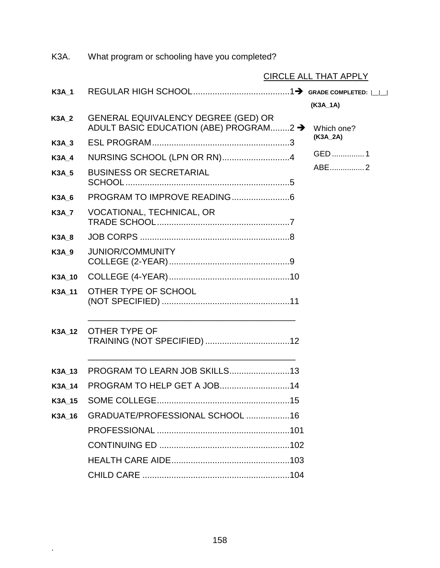|              |                                                                                           | <b>CIRCLE ALL THAT APPLY</b> |
|--------------|-------------------------------------------------------------------------------------------|------------------------------|
| <b>K3A 1</b> | $\sf REGULAR\ HIGH\ SCHOOL. 1 \blacktriangleright \ {\tt Grade\ convleted:} \verb ----- $ |                              |
|              |                                                                                           | (K3A_1A)                     |
| <b>K3A 2</b> | GENERAL EQUIVALENCY DEGREE (GED) OR<br>ADULT BASIC EDUCATION (ABE) PROGRAM2 →             | Which one?                   |
| <b>K3A_3</b> |                                                                                           | (K3A_2A)                     |
| <b>K3A_4</b> | NURSING SCHOOL (LPN OR RN)4                                                               | GED 1                        |
| <b>K3A 5</b> | <b>BUSINESS OR SECRETARIAL</b>                                                            | ABE2                         |
| <b>K3A 6</b> |                                                                                           |                              |
| <b>K3A 7</b> | VOCATIONAL, TECHNICAL, OR                                                                 |                              |
| <b>K3A 8</b> |                                                                                           |                              |
| <b>K3A 9</b> | <b>JUNIOR/COMMUNITY</b>                                                                   |                              |
| K3A 10       |                                                                                           |                              |
| K3A 11       | OTHER TYPE OF SCHOOL                                                                      |                              |
| K3A 12       | OTHER TYPE OF                                                                             |                              |
|              | K3A_13 PROGRAM TO LEARN JOB SKILLS13                                                      |                              |
|              | K3A_14 PROGRAM TO HELP GET A JOB14                                                        |                              |
| K3A 15       |                                                                                           |                              |
| K3A 16       | GRADUATE/PROFESSIONAL SCHOOL 16                                                           |                              |
|              |                                                                                           |                              |
|              |                                                                                           |                              |
|              |                                                                                           |                              |
|              |                                                                                           |                              |

K3A. What program or schooling have you completed?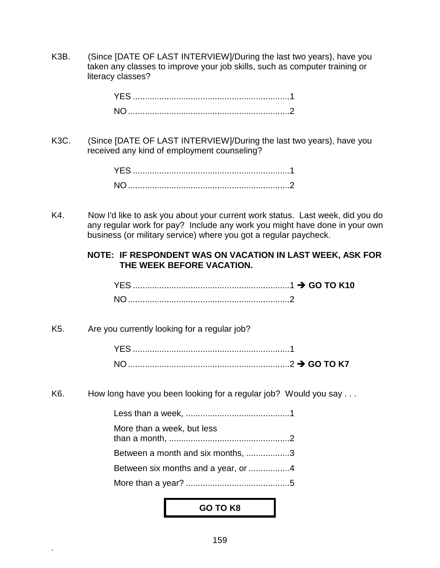K3B. (Since [DATE OF LAST INTERVIEW]/During the last two years), have you taken any classes to improve your job skills, such as computer training or literacy classes?

| <b>YES</b> |  |  |  |  |  |
|------------|--|--|--|--|--|
| NO.        |  |  |  |  |  |

K3C. (Since [DATE OF LAST INTERVIEW]/During the last two years), have you received any kind of employment counseling?

K4. Now I'd like to ask you about your current work status. Last week, did you do any regular work for pay? Include any work you might have done in your own business (or military service) where you got a regular paycheck.

#### **NOTE: IF RESPONDENT WAS ON VACATION IN LAST WEEK, ASK FOR THE WEEK BEFORE VACATION.**

| YES.           |  |
|----------------|--|
| N <sub>O</sub> |  |

K5. Are you currently looking for a regular job?

**.**

K6. How long have you been looking for a regular job? Would you say ...

| More than a week, but less          |  |
|-------------------------------------|--|
| Between a month and six months, 3   |  |
| Between six months and a year, or 4 |  |
|                                     |  |
|                                     |  |

#### **GO TO K8**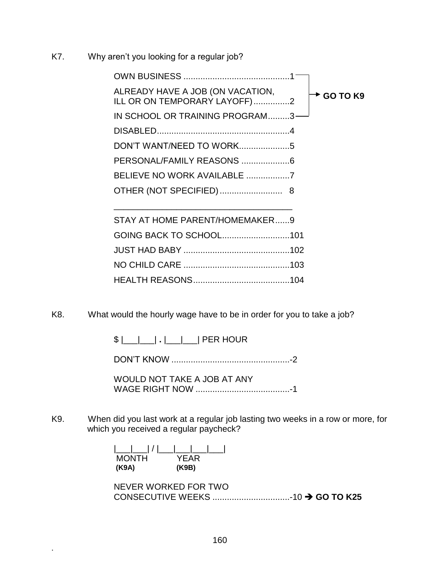K7. Why aren't you looking for a regular job?

| ALREADY HAVE A JOB (ON VACATION,<br><b>► GO TO K9</b><br>ILL OR ON TEMPORARY LAYOFF)2 |
|---------------------------------------------------------------------------------------|
| IN SCHOOL OR TRAINING PROGRAM3                                                        |
|                                                                                       |
|                                                                                       |
|                                                                                       |
|                                                                                       |
|                                                                                       |
|                                                                                       |
| STAY AT HOME PARENT/HOMEMAKER9                                                        |
| GOING BACK TO SCHOOL101                                                               |
|                                                                                       |
|                                                                                       |
|                                                                                       |

K8. What would the hourly wage have to be in order for you to take a job?

\$ |\_\_\_|\_\_\_| **.** |\_\_\_|\_\_\_| PER HOUR

DON'T KNOW .................................................-2

WOULD NOT TAKE A JOB AT ANY WAGE RIGHT NOW .......................................-1

K9. When did you last work at a regular job lasting two weeks in a row or more, for which you received a regular paycheck?

> |\_\_\_|\_\_\_| / |\_\_\_|\_\_\_|\_\_\_|\_\_\_| MONTH YEAR **(K9A) (K9B)**

**.**

NEVER WORKED FOR TWO CONSECUTIVE WEEKS ................................-10 **GO TO K25**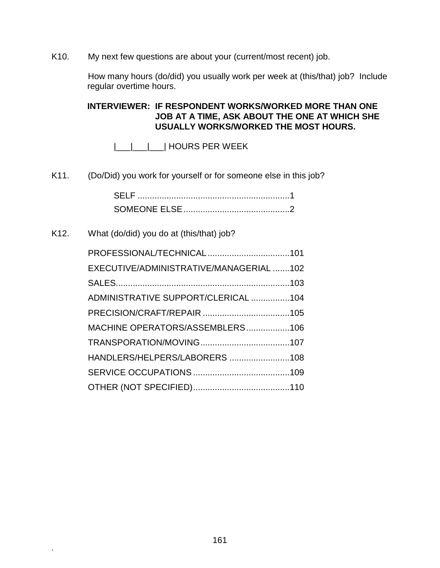K10. My next few questions are about your (current/most recent) job.

How many hours (do/did) you usually work per week at (this/that) job? Include regular overtime hours.

**INTERVIEWER: IF RESPONDENT WORKS/WORKED MORE THAN ONE JOB AT A TIME, ASK ABOUT THE ONE AT WHICH SHE USUALLY WORKS/WORKED THE MOST HOURS.**

|\_\_\_|\_\_\_|\_\_\_| HOURS PER WEEK

K11. (Do/Did) you work for yourself or for someone else in this job?

| SELE. |  |
|-------|--|
|       |  |

## K12. What (do/did) you do at (this/that) job?

| EXECUTIVE/ADMINISTRATIVE/MANAGERIAL 102 |  |
|-----------------------------------------|--|
|                                         |  |
| ADMINISTRATIVE SUPPORT/CLERICAL 104     |  |
|                                         |  |
| MACHINE OPERATORS/ASSEMBLERS106         |  |
|                                         |  |
| HANDLERS/HELPERS/LABORERS 108           |  |
|                                         |  |
|                                         |  |
|                                         |  |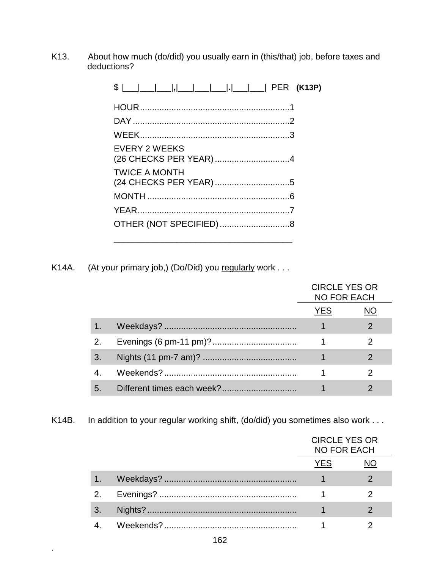K13. About how much (do/did) you usually earn in (this/that) job, before taxes and deductions?

| $\frac{1}{2}$ PER (K13P) |  |
|--------------------------|--|
|                          |  |
|                          |  |
|                          |  |
| <b>EVERY 2 WEEKS</b>     |  |
| <b>TWICE A MONTH</b>     |  |
|                          |  |
|                          |  |
|                          |  |
|                          |  |

(At your primary job,) (Do/Did) you regularly work . . . K14A.

|    | <b>CIRCLE YES OR</b><br><b>NO FOR EACH</b> |  |  |
|----|--------------------------------------------|--|--|
|    | YES.                                       |  |  |
|    |                                            |  |  |
| 2. |                                            |  |  |
| 3. |                                            |  |  |
|    |                                            |  |  |
| 5. |                                            |  |  |

K14B. In addition to your regular working shift, (do/did) you sometimes also work . . .

|    | <b>CIRCLE YES OR</b><br><b>NO FOR EACH</b> |  |  |
|----|--------------------------------------------|--|--|
|    | YES                                        |  |  |
| 47 |                                            |  |  |
| 2. |                                            |  |  |
| 3. |                                            |  |  |
|    |                                            |  |  |

 $\ddot{\phantom{a}}$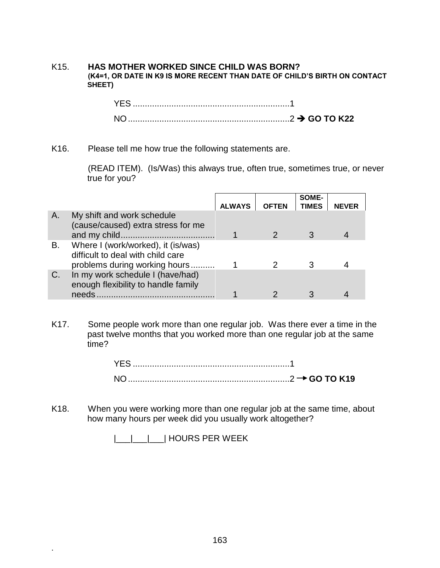#### K15. **HAS MOTHER WORKED SINCE CHILD WAS BORN? (K4=1, OR DATE IN K9 IS MORE RECENT THAN DATE OF CHILD'S BIRTH ON CONTACT SHEET)**

| YES.     |  |
|----------|--|
| $NO_{-}$ |  |

K16. Please tell me how true the following statements are.

(READ ITEM). (Is/Was) this always true, often true, sometimes true, or never true for you?

|    |                                                                                                          | <b>ALWAYS</b> | <b>OFTEN</b> | SOME-<br><b>TIMES</b> | <b>NEVER</b> |
|----|----------------------------------------------------------------------------------------------------------|---------------|--------------|-----------------------|--------------|
| Α. | My shift and work schedule<br>(cause/caused) extra stress for me                                         |               |              | 3                     |              |
| В. | Where I (work/worked), it (is/was)<br>difficult to deal with child care<br>problems during working hours |               |              |                       |              |
| C. | In my work schedule I (have/had)<br>enough flexibility to handle family<br>needs                         |               |              |                       |              |

K17. Some people work more than one regular job. Was there ever a time in the past twelve months that you worked more than one regular job at the same time?

| YES. |  |
|------|--|
|      |  |

K18. When you were working more than one regular job at the same time, about how many hours per week did you usually work altogether?

|\_\_\_|\_\_\_|\_\_\_| HOURS PER WEEK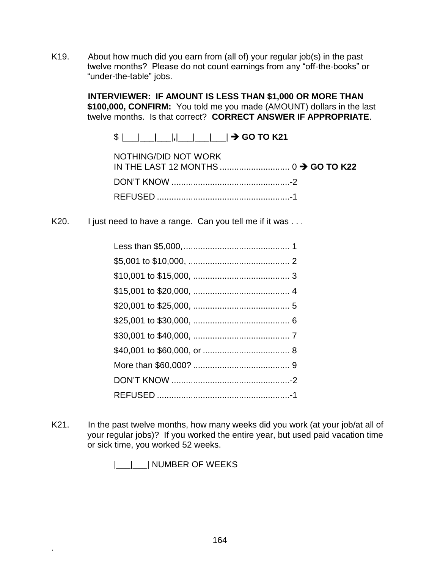K19. About how much did you earn from (all of) your regular job(s) in the past twelve months? Please do not count earnings from any "off-the-books" or "under-the-table" jobs.

> **INTERVIEWER: IF AMOUNT IS LESS THAN \$1,000 OR MORE THAN \$100,000, CONFIRM:** You told me you made (AMOUNT) dollars in the last twelve months. Is that correct? **CORRECT ANSWER IF APPROPRIATE**.

 $\frac{1}{2}$   $\frac{1}{2}$   $\frac{1}{2}$   $\frac{1}{2}$   $\frac{1}{2}$   $\frac{1}{2}$  **GO TO K21** 

| NOTHING/DID NOT WORK |  |
|----------------------|--|
|                      |  |
|                      |  |

K20. I just need to have a range. Can you tell me if it was ...

K21. In the past twelve months, how many weeks did you work (at your job/at all of your regular jobs)? If you worked the entire year, but used paid vacation time or sick time, you worked 52 weeks.

|\_\_\_|\_\_\_| NUMBER OF WEEKS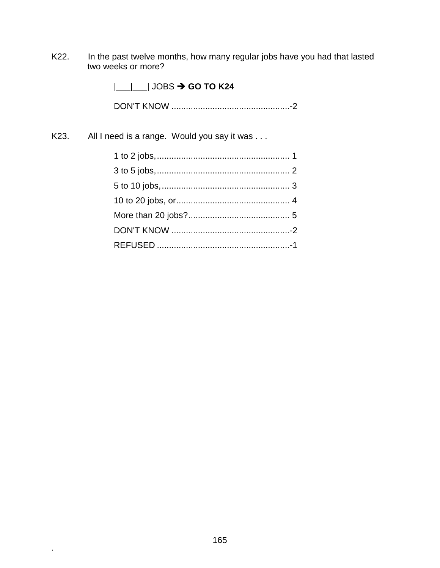K22. In the past twelve months, how many regular jobs have you had that lasted two weeks or more?

|\_\_\_|\_\_\_| JOBS **GO TO K24**

DON'T KNOW .................................................-2

K23. All I need is a range. Would you say it was . . .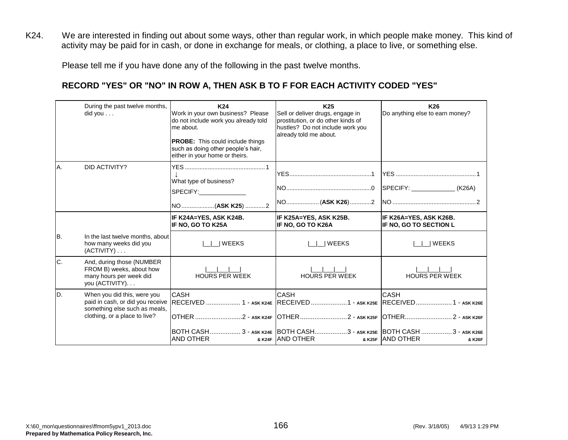K24. We are interested in finding out about some ways, other than regular work, in which people make money. This kind of activity may be paid for in cash, or done in exchange for meals, or clothing, a place to live, or something else.

Please tell me if you have done any of the following in the past twelve months.

# **RECORD "YES" OR "NO" IN ROW A, THEN ASK B TO F FOR EACH ACTIVITY CODED "YES"**

|     | During the past twelve months,<br>did you                                                           | K24<br>Work in your own business? Please<br>do not include work you already told<br>me about.<br><b>PROBE:</b> This could include things<br>such as doing other people's hair,<br>either in your home or theirs.                                                         | K <sub>25</sub><br>Sell or deliver drugs, engage in<br>prostitution, or do other kinds of<br>hustles? Do not include work you<br>already told me about. | K26<br>Do anything else to earn money?                  |
|-----|-----------------------------------------------------------------------------------------------------|--------------------------------------------------------------------------------------------------------------------------------------------------------------------------------------------------------------------------------------------------------------------------|---------------------------------------------------------------------------------------------------------------------------------------------------------|---------------------------------------------------------|
| A.  | <b>DID ACTIVITY?</b>                                                                                | What type of business?<br>SPECIFY: And the state of the state of the state of the state of the state of the state of the state of the state of the state of the state of the state of the state of the state of the state of the state of the state of t<br>NO (ASK K25) |                                                                                                                                                         |                                                         |
|     |                                                                                                     | IF K24A=YES, ASK K24B.<br>IF NO, GO TO K25A                                                                                                                                                                                                                              | IF K25A=YES, ASK K25B.<br><b>IF NO. GO TO K26A</b>                                                                                                      | IF K26A=YES, ASK K26B.<br><b>IF NO, GO TO SECTION L</b> |
| IB. | In the last twelve months, about<br>how many weeks did you<br>$(ACTIVITY) \ldots$                   | <b>WEEKS</b>                                                                                                                                                                                                                                                             | I WEEKS                                                                                                                                                 | <b>WEEKS</b>                                            |
| C.  | And, during those (NUMBER<br>FROM B) weeks, about how<br>many hours per week did<br>you (ACTIVITY). | <b>HOURS PER WEEK</b>                                                                                                                                                                                                                                                    | <b>HOURS PER WEEK</b>                                                                                                                                   | <b>HOURS PER WEEK</b>                                   |
| ID. | When you did this, were you<br>something else such as meals,<br>clothing, or a place to live?       | <b>CASH</b><br>paid in cash, or did you receive RECEIVED  1 - ASK K24E RECEIVED  1 - ASK K25E RECEIVED  1 - ASK K26E                                                                                                                                                     | <b>CASH</b><br>OTHER ………………………2 - ask k24f    OTHER ………………………2 - ask k25f    OTHER…………………………2 - ask k26f                                                | <b>CASH</b>                                             |
|     |                                                                                                     | <b>AND OTHER</b>                                                                                                                                                                                                                                                         | BOTH CASH 3 - аѕк к24Е  BOTH CASH3 - аѕк к25Е  BOTH CASH  3 - аѕк к26Е<br>& K24F AND OTHER                                                              | & K25F AND OTHER<br>& K26F                              |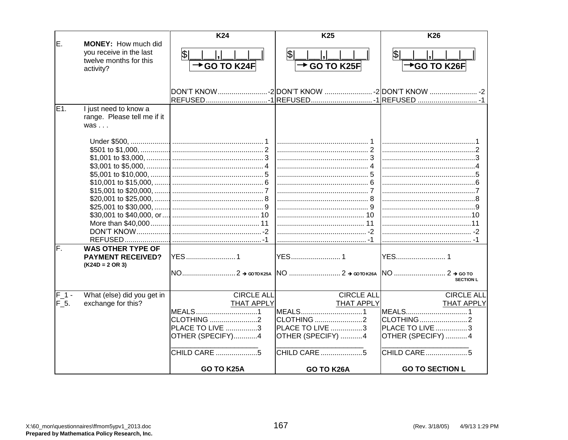|                            |                                                   | K24                      | K <sub>25</sub>          | K26                    |
|----------------------------|---------------------------------------------------|--------------------------|--------------------------|------------------------|
| E.                         | MONEY: How much did                               |                          |                          |                        |
|                            | you receive in the last<br>twelve months for this | $\mathfrak{P}$           | \$                       | \$                     |
| activity?                  |                                                   | $\rightarrow$ GO TO K24F | $\rightarrow$ GO TO K25F | *GO TO K26F            |
|                            |                                                   |                          |                          |                        |
|                            |                                                   |                          |                          |                        |
|                            |                                                   |                          |                          |                        |
| E1.                        | I just need to know a                             |                          |                          |                        |
|                            | range. Please tell me if it                       |                          |                          |                        |
| $was \dots$                |                                                   |                          |                          |                        |
|                            |                                                   |                          |                          |                        |
|                            |                                                   |                          |                          |                        |
|                            |                                                   |                          |                          |                        |
|                            |                                                   |                          |                          |                        |
|                            |                                                   |                          |                          |                        |
|                            |                                                   |                          |                          |                        |
|                            |                                                   |                          |                          |                        |
|                            |                                                   |                          |                          |                        |
|                            |                                                   |                          |                          |                        |
|                            |                                                   |                          |                          |                        |
|                            |                                                   |                          |                          |                        |
|                            |                                                   |                          |                          |                        |
|                            |                                                   |                          |                          |                        |
| lF.                        | <b>WAS OTHER TYPE OF</b>                          |                          |                          |                        |
|                            | <b>PAYMENT RECEIVED?</b>                          | <b>YES</b> 1             | YES1                     |                        |
| $(K24D = 2 \text{ OR } 3)$ |                                                   |                          |                          |                        |
|                            |                                                   |                          |                          | <b>SECTION L</b>       |
|                            |                                                   |                          |                          |                        |
| F 1 -                      | What (else) did you get in                        | <b>CIRCLE ALL</b>        | <b>CIRCLE ALL</b>        | <b>CIRCLE ALL</b>      |
| $F_5$ .                    | exchange for this?                                | <b>THAT APPLY</b>        | <b>THAT APPLY</b>        | <b>THAT APPLY</b>      |
|                            |                                                   | MEALS1                   | MEALS1                   |                        |
|                            |                                                   | <b>CLOTHING</b> 2        | CLOTHING 2               |                        |
|                            |                                                   | <b>PLACE TO LIVE 3</b>   | <b>PLACE TO LIVE 3</b>   | <b>PLACE TO LIVE 3</b> |
|                            |                                                   | OTHER (SPECIFY)4         | OTHER (SPECIFY) 4        | OTHER (SPECIFY) 4      |
|                            |                                                   | CHILD CARE 5             | CHILD CARE 5             |                        |
|                            |                                                   | GO TO K25A               | GO TO K26A               | <b>GO TO SECTION L</b> |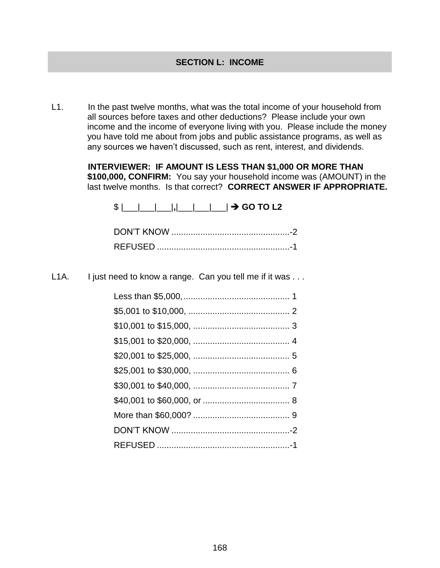L1. In the past twelve months, what was the total income of your household from all sources before taxes and other deductions? Please include your own income and the income of everyone living with you. Please include the money you have told me about from jobs and public assistance programs, as well as any sources we haven't discussed, such as rent, interest, and dividends.

> **INTERVIEWER: IF AMOUNT IS LESS THAN \$1,000 OR MORE THAN \$100,000, CONFIRM:** You say your household income was (AMOUNT) in the last twelve months. Is that correct? **CORRECT ANSWER IF APPROPRIATE.**

\$ |\_\_\_|\_\_\_|\_\_\_|**,**|\_\_\_|\_\_\_|\_\_\_| **GO TO L2**

L1A. I just need to know a range. Can you tell me if it was ...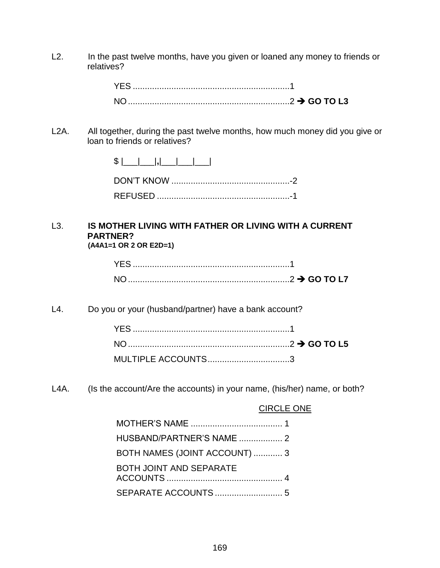L2. In the past twelve months, have you given or loaned any money to friends or relatives?

| YES. |  |
|------|--|
|      |  |

L2A. All together, during the past twelve months, how much money did you give or loan to friends or relatives?

#### L3. **IS MOTHER LIVING WITH FATHER OR LIVING WITH A CURRENT PARTNER? (A4A1=1 OR 2 OR E2D=1)**

L4. Do you or your (husband/partner) have a bank account?

| MULTIPLE ACCOUNTS3 |  |
|--------------------|--|

L4A. (Is the account/Are the accounts) in your name, (his/her) name, or both?

## CIRCLE ONE

| BOTH NAMES (JOINT ACCOUNT)  3  |
|--------------------------------|
| <b>BOTH JOINT AND SEPARATE</b> |
|                                |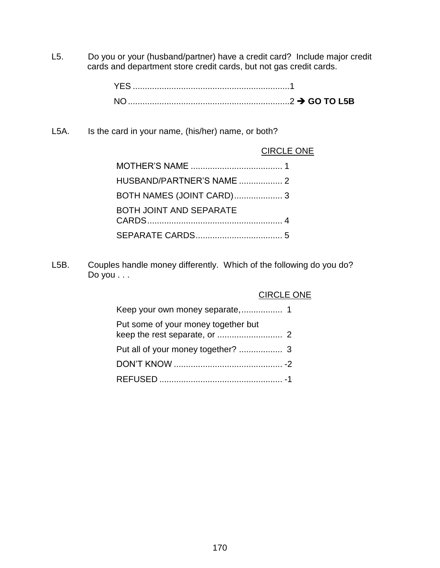L5. Do you or your (husband/partner) have a credit card? Include major credit cards and department store credit cards, but not gas credit cards.

L5A. Is the card in your name, (his/her) name, or both?

### CIRCLE ONE

| HUSBAND/PARTNER'S NAME  2      |  |
|--------------------------------|--|
| BOTH NAMES (JOINT CARD) 3      |  |
| <b>BOTH JOINT AND SEPARATE</b> |  |
|                                |  |

L5B. Couples handle money differently. Which of the following do you do? Do you . . .

|                                     | <b>CIRCLE ONE</b> |
|-------------------------------------|-------------------|
|                                     |                   |
| Put some of your money together but |                   |
|                                     |                   |
|                                     |                   |
|                                     |                   |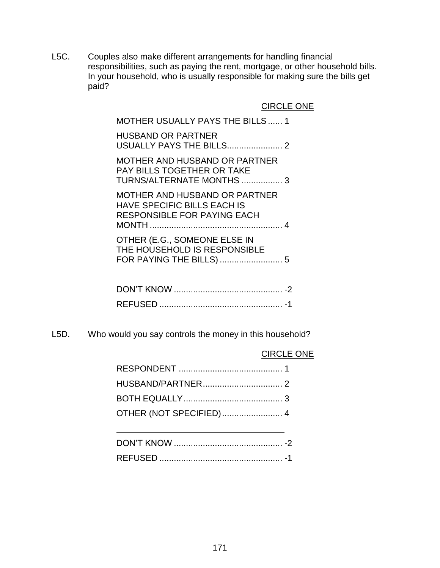L5C. Couples also make different arrangements for handling financial responsibilities, such as paying the rent, mortgage, or other household bills. In your household, who is usually responsible for making sure the bills get paid?

CIRCLE ONE

MOTHER USUALLY PAYS THE BILLS...... 1 HUSBAND OR PARTNER USUALLY PAYS THE BILLS....................... 2 MOTHER AND HUSBAND OR PARTNER PAY BILLS TOGETHER OR TAKE TURNS/ALTERNATE MONTHS ................. 3 MOTHER AND HUSBAND OR PARTNER HAVE SPECIFIC BILLS EACH IS RESPONSIBLE FOR PAYING EACH MONTH ....................................................... 4 OTHER (E.G., SOMEONE ELSE IN THE HOUSEHOLD IS RESPONSIBLE

FOR PAYING THE BILLS) .......................... 5

L5D. Who would you say controls the money in this household?

#### CIRCLE ONE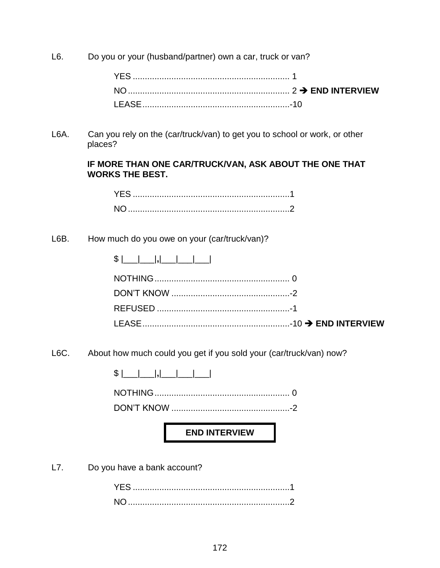L6. Do you or your (husband/partner) own a car, truck or van?

L6A. Can you rely on the (car/truck/van) to get you to school or work, or other places?

#### **IF MORE THAN ONE CAR/TRUCK/VAN, ASK ABOUT THE ONE THAT WORKS THE BEST.**

# L6B. How much do you owe on your (car/truck/van)?

| ጡ<br>Φ<br>—— I ———— I 7 I ———— '<br>___ |  |  |
|-----------------------------------------|--|--|
|-----------------------------------------|--|--|

L6C. About how much could you get if you sold your (car/truck/van) now?

NOTHING........................................................ 0

DON'T KNOW .................................................-2

**END INTERVIEW**

L7. Do you have a bank account?